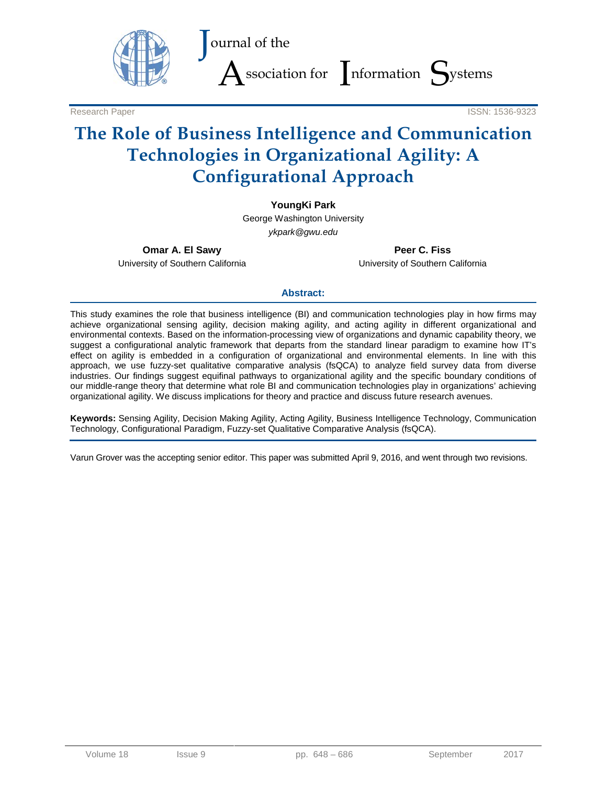

Research Paper ISSN: 1536-9323

# **The Role of Business Intelligence and Communication Technologies in Organizational Agility: A Configurational Approach**

#### **YoungKi Park**

George Washington University *ykpark@gwu.edu*

**Omar A. El Sawy** University of Southern California

**Peer C. Fiss** University of Southern California

#### **Abstract:**

This study examines the role that business intelligence (BI) and communication technologies play in how firms may achieve organizational sensing agility, decision making agility, and acting agility in different organizational and environmental contexts. Based on the information-processing view of organizations and dynamic capability theory, we suggest a configurational analytic framework that departs from the standard linear paradigm to examine how IT's effect on agility is embedded in a configuration of organizational and environmental elements. In line with this approach, we use fuzzy-set qualitative comparative analysis (fsQCA) to analyze field survey data from diverse industries. Our findings suggest equifinal pathways to organizational agility and the specific boundary conditions of our middle-range theory that determine what role BI and communication technologies play in organizations' achieving organizational agility. We discuss implications for theory and practice and discuss future research avenues.

**Keywords:** Sensing Agility, Decision Making Agility, Acting Agility, Business Intelligence Technology, Communication Technology, Configurational Paradigm, Fuzzy-set Qualitative Comparative Analysis (fsQCA).

Varun Grover was the accepting senior editor. This paper was submitted April 9, 2016, and went through two revisions.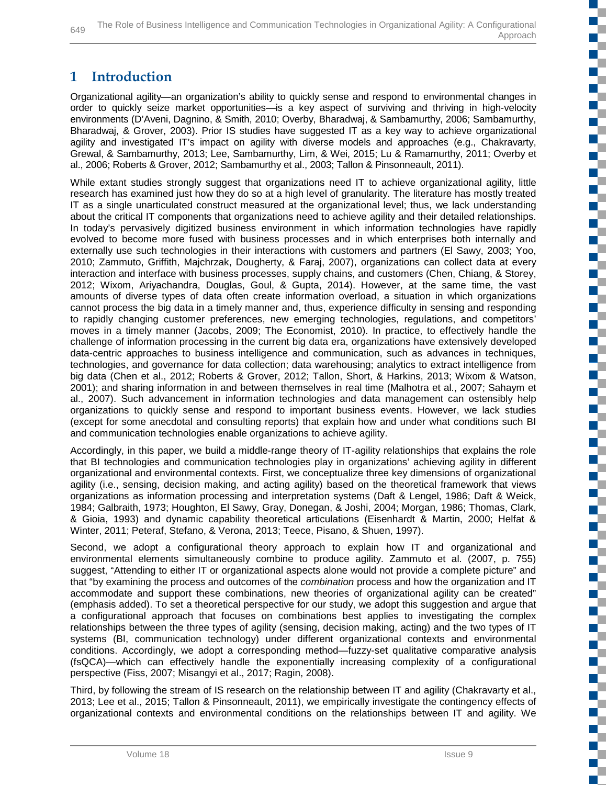## **1 Introduction**

Organizational agility—an organization's ability to quickly sense and respond to environmental changes in order to quickly seize market opportunities—is a key aspect of surviving and thriving in high-velocity environments (D'Aveni, Dagnino, & Smith, 2010; Overby, Bharadwaj, & Sambamurthy, 2006; Sambamurthy, Bharadwaj, & Grover, 2003). Prior IS studies have suggested IT as a key way to achieve organizational agility and investigated IT's impact on agility with diverse models and approaches (e.g., Chakravarty, Grewal, & Sambamurthy, 2013; Lee, Sambamurthy, Lim, & Wei, 2015; Lu & Ramamurthy, 2011; Overby et al., 2006; Roberts & Grover, 2012; Sambamurthy et al., 2003; Tallon & Pinsonneault, 2011).

While extant studies strongly suggest that organizations need IT to achieve organizational agility, little research has examined just how they do so at a high level of granularity. The literature has mostly treated IT as a single unarticulated construct measured at the organizational level; thus, we lack understanding about the critical IT components that organizations need to achieve agility and their detailed relationships. In today's pervasively digitized business environment in which information technologies have rapidly evolved to become more fused with business processes and in which enterprises both internally and externally use such technologies in their interactions with customers and partners (El Sawy, 2003; Yoo, 2010; Zammuto, Griffith, Majchrzak, Dougherty, & Faraj, 2007), organizations can collect data at every interaction and interface with business processes, supply chains, and customers (Chen, Chiang, & Storey, 2012; Wixom, Ariyachandra, Douglas, Goul, & Gupta, 2014). However, at the same time, the vast amounts of diverse types of data often create information overload, a situation in which organizations cannot process the big data in a timely manner and, thus, experience difficulty in sensing and responding to rapidly changing customer preferences, new emerging technologies, regulations, and competitors' moves in a timely manner (Jacobs, 2009; The Economist, 2010). In practice, to effectively handle the challenge of information processing in the current big data era, organizations have extensively developed data-centric approaches to business intelligence and communication, such as advances in techniques, technologies, and governance for data collection; data warehousing; analytics to extract intelligence from big data (Chen et al., 2012; Roberts & Grover, 2012; Tallon, Short, & Harkins, 2013; Wixom & Watson, 2001); and sharing information in and between themselves in real time (Malhotra et al., 2007; Sahaym et al., 2007). Such advancement in information technologies and data management can ostensibly help organizations to quickly sense and respond to important business events. However, we lack studies (except for some anecdotal and consulting reports) that explain how and under what conditions such BI and communication technologies enable organizations to achieve agility.

Accordingly, in this paper, we build a middle-range theory of IT-agility relationships that explains the role that BI technologies and communication technologies play in organizations' achieving agility in different organizational and environmental contexts. First, we conceptualize three key dimensions of organizational agility (i.e., sensing, decision making, and acting agility) based on the theoretical framework that views organizations as information processing and interpretation systems (Daft & Lengel, 1986; Daft & Weick, 1984; Galbraith, 1973; Houghton, El Sawy, Gray, Donegan, & Joshi, 2004; Morgan, 1986; Thomas, Clark, & Gioia, 1993) and dynamic capability theoretical articulations (Eisenhardt & Martin, 2000; Helfat & Winter, 2011; Peteraf, Stefano, & Verona, 2013; Teece, Pisano, & Shuen, 1997).

Second, we adopt a configurational theory approach to explain how IT and organizational and environmental elements simultaneously combine to produce agility. Zammuto et al. (2007, p. 755) suggest, "Attending to either IT or organizational aspects alone would not provide a complete picture" and that "by examining the process and outcomes of the *combination* process and how the organization and IT accommodate and support these combinations, new theories of organizational agility can be created" (emphasis added). To set a theoretical perspective for our study, we adopt this suggestion and argue that a configurational approach that focuses on combinations best applies to investigating the complex relationships between the three types of agility (sensing, decision making, acting) and the two types of IT systems (BI, communication technology) under different organizational contexts and environmental conditions. Accordingly, we adopt a corresponding method—fuzzy-set qualitative comparative analysis (fsQCA)—which can effectively handle the exponentially increasing complexity of a configurational perspective (Fiss, 2007; Misangyi et al., 2017; Ragin, 2008).

Third, by following the stream of IS research on the relationship between IT and agility (Chakravarty et al., 2013; Lee et al., 2015; Tallon & Pinsonneault, 2011), we empirically investigate the contingency effects of organizational contexts and environmental conditions on the relationships between IT and agility. We n T

с ď.

EĒ.

FF.

C,

n T

a.

**TT**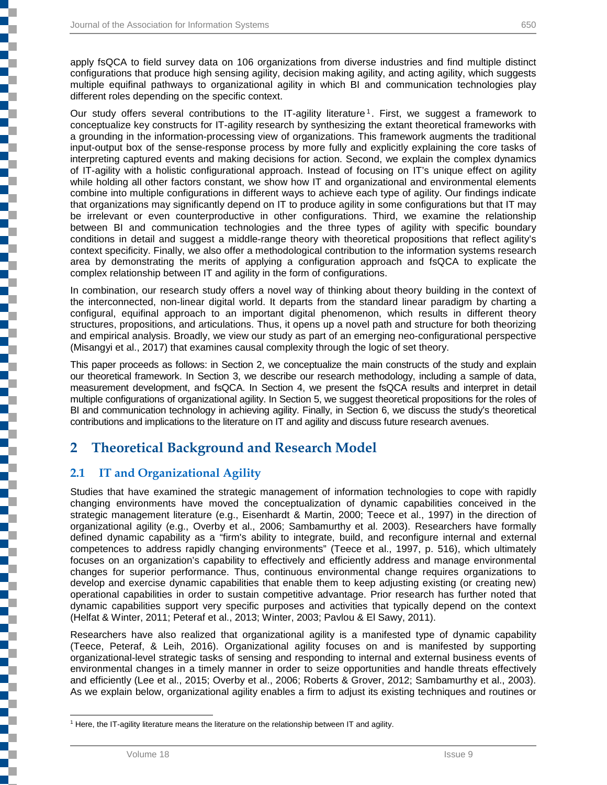apply fsQCA to field survey data on 106 organizations from diverse industries and find multiple distinct configurations that produce high sensing agility, decision making agility, and acting agility, which suggests multiple equifinal pathways to organizational agility in which BI and communication technologies play different roles depending on the specific context.

Our study offers several contributions to the IT-agility literature<sup>[1](#page-2-0)</sup>. First, we suggest a framework to conceptualize key constructs for IT-agility research by synthesizing the extant theoretical frameworks with a grounding in the information-processing view of organizations. This framework augments the traditional input-output box of the sense-response process by more fully and explicitly explaining the core tasks of interpreting captured events and making decisions for action. Second, we explain the complex dynamics of IT-agility with a holistic configurational approach. Instead of focusing on IT's unique effect on agility while holding all other factors constant, we show how IT and organizational and environmental elements combine into multiple configurations in different ways to achieve each type of agility. Our findings indicate that organizations may significantly depend on IT to produce agility in some configurations but that IT may be irrelevant or even counterproductive in other configurations. Third, we examine the relationship between BI and communication technologies and the three types of agility with specific boundary conditions in detail and suggest a middle-range theory with theoretical propositions that reflect agility's context specificity. Finally, we also offer a methodological contribution to the information systems research area by demonstrating the merits of applying a configuration approach and fsQCA to explicate the complex relationship between IT and agility in the form of configurations.

In combination, our research study offers a novel way of thinking about theory building in the context of the interconnected, non-linear digital world. It departs from the standard linear paradigm by charting a configural, equifinal approach to an important digital phenomenon, which results in different theory structures, propositions, and articulations. Thus, it opens up a novel path and structure for both theorizing and empirical analysis. Broadly, we view our study as part of an emerging neo-configurational perspective (Misangyi et al., 2017) that examines causal complexity through the logic of set theory.

This paper proceeds as follows: in Section 2, we conceptualize the main constructs of the study and explain our theoretical framework. In Section 3, we describe our research methodology, including a sample of data, measurement development, and fsQCA. In Section 4, we present the fsQCA results and interpret in detail multiple configurations of organizational agility. In Section 5, we suggest theoretical propositions for the roles of BI and communication technology in achieving agility. Finally, in Section 6, we discuss the study's theoretical contributions and implications to the literature on IT and agility and discuss future research avenues.

## **2 Theoretical Background and Research Model**

## **2.1 IT and Organizational Agility**

<span id="page-2-0"></span>i<br>1

Studies that have examined the strategic management of information technologies to cope with rapidly changing environments have moved the conceptualization of dynamic capabilities conceived in the strategic management literature (e.g., Eisenhardt & Martin, 2000; Teece et al., 1997) in the direction of organizational agility (e.g., Overby et al., 2006; Sambamurthy et al. 2003). Researchers have formally defined dynamic capability as a "firm's ability to integrate, build, and reconfigure internal and external competences to address rapidly changing environments" (Teece et al., 1997, p. 516), which ultimately focuses on an organization's capability to effectively and efficiently address and manage environmental changes for superior performance. Thus, continuous environmental change requires organizations to develop and exercise dynamic capabilities that enable them to keep adjusting existing (or creating new) operational capabilities in order to sustain competitive advantage. Prior research has further noted that dynamic capabilities support very specific purposes and activities that typically depend on the context (Helfat & Winter, 2011; Peteraf et al., 2013; Winter, 2003; Pavlou & El Sawy, 2011).

Researchers have also realized that organizational agility is a manifested type of dynamic capability (Teece, Peteraf, & Leih, 2016). Organizational agility focuses on and is manifested by supporting organizational-level strategic tasks of sensing and responding to internal and external business events of environmental changes in a timely manner in order to seize opportunities and handle threats effectively and efficiently (Lee et al., 2015; Overby et al., 2006; Roberts & Grover, 2012; Sambamurthy et al., 2003). As we explain below, organizational agility enables a firm to adjust its existing techniques and routines or

 <sup>1</sup> Here, the IT-agility literature means the literature on the relationship between IT and agility.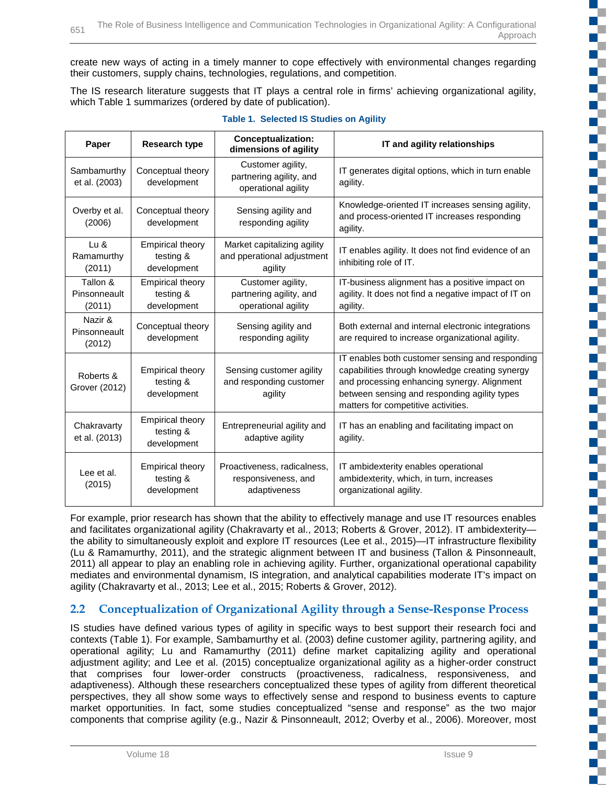create new ways of acting in a timely manner to cope effectively with environmental changes regarding their customers, supply chains, technologies, regulations, and competition.

The IS research literature suggests that IT plays a central role in firms' achieving organizational agility, which Table 1 summarizes (ordered by date of publication).

| Research type<br>Paper             |                                                     | <b>Conceptualization:</b><br>dimensions of agility                   | IT and agility relationships                                                                                                                                                                                                             |
|------------------------------------|-----------------------------------------------------|----------------------------------------------------------------------|------------------------------------------------------------------------------------------------------------------------------------------------------------------------------------------------------------------------------------------|
| Sambamurthy<br>et al. (2003)       | Conceptual theory<br>development                    | Customer agility,<br>partnering agility, and<br>operational agility  | IT generates digital options, which in turn enable<br>agility.                                                                                                                                                                           |
| Overby et al.<br>(2006)            | Conceptual theory<br>development                    | Sensing agility and<br>responding agility                            | Knowledge-oriented IT increases sensing agility,<br>and process-oriented IT increases responding<br>agility.                                                                                                                             |
| $Lu$ &<br>Ramamurthy<br>(2011)     | <b>Empirical theory</b><br>testing &<br>development | Market capitalizing agility<br>and pperational adjustment<br>agility | IT enables agility. It does not find evidence of an<br>inhibiting role of IT.                                                                                                                                                            |
| Tallon &<br>Pinsonneault<br>(2011) | <b>Empirical theory</b><br>testing &<br>development | Customer agility,<br>partnering agility, and<br>operational agility  | IT-business alignment has a positive impact on<br>agility. It does not find a negative impact of IT on<br>agility.                                                                                                                       |
| Nazir &<br>Pinsonneault<br>(2012)  | Conceptual theory<br>development                    | Sensing agility and<br>responding agility                            | Both external and internal electronic integrations<br>are required to increase organizational agility.                                                                                                                                   |
| Roberts &<br>Grover (2012)         | <b>Empirical theory</b><br>testing &<br>development | Sensing customer agility<br>and responding customer<br>agility       | IT enables both customer sensing and responding<br>capabilities through knowledge creating synergy<br>and processing enhancing synergy. Alignment<br>between sensing and responding agility types<br>matters for competitive activities. |
| Chakravarty<br>et al. (2013)       | <b>Empirical theory</b><br>testing &<br>development | Entrepreneurial agility and<br>adaptive agility                      | IT has an enabling and facilitating impact on<br>agility.                                                                                                                                                                                |
| Lee et al.<br>(2015)               | <b>Empirical theory</b><br>testing &<br>development | Proactiveness, radicalness,<br>responsiveness, and<br>adaptiveness   | IT ambidexterity enables operational<br>ambidexterity, which, in turn, increases<br>organizational agility.                                                                                                                              |

#### **Table 1. Selected IS Studies on Agility**

For example, prior research has shown that the ability to effectively manage and use IT resources enables and facilitates organizational agility (Chakravarty et al., 2013; Roberts & Grover, 2012). IT ambidexterity the ability to simultaneously exploit and explore IT resources (Lee et al., 2015)—IT infrastructure flexibility (Lu & Ramamurthy, 2011), and the strategic alignment between IT and business (Tallon & Pinsonneault, 2011) all appear to play an enabling role in achieving agility. Further, organizational operational capability mediates and environmental dynamism, IS integration, and analytical capabilities moderate IT's impact on agility (Chakravarty et al., 2013; Lee et al., 2015; Roberts & Grover, 2012).

## **2.2 Conceptualization of Organizational Agility through a Sense-Response Process**

IS studies have defined various types of agility in specific ways to best support their research foci and contexts (Table 1). For example, Sambamurthy et al. (2003) define customer agility, partnering agility, and operational agility; Lu and Ramamurthy (2011) define market capitalizing agility and operational adjustment agility; and Lee et al. (2015) conceptualize organizational agility as a higher-order construct that comprises four lower-order constructs (proactiveness, radicalness, responsiveness, and adaptiveness). Although these researchers conceptualized these types of agility from different theoretical perspectives, they all show some ways to effectively sense and respond to business events to capture market opportunities. In fact, some studies conceptualized "sense and response" as the two major components that comprise agility (e.g., Nazir & Pinsonneault, 2012; Overby et al., 2006). Moreover, most Œ

c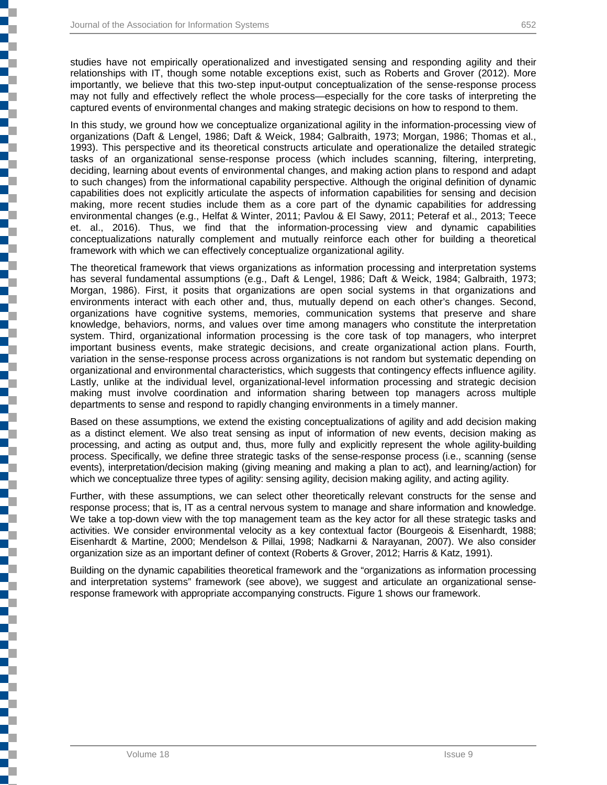Ę

ī

studies have not empirically operationalized and investigated sensing and responding agility and their relationships with IT, though some notable exceptions exist, such as Roberts and Grover (2012). More importantly, we believe that this two-step input-output conceptualization of the sense-response process may not fully and effectively reflect the whole process—especially for the core tasks of interpreting the captured events of environmental changes and making strategic decisions on how to respond to them.

In this study, we ground how we conceptualize organizational agility in the information-processing view of organizations (Daft & Lengel, 1986; Daft & Weick, 1984; Galbraith, 1973; Morgan, 1986; Thomas et al., 1993). This perspective and its theoretical constructs articulate and operationalize the detailed strategic tasks of an organizational sense-response process (which includes scanning, filtering, interpreting, deciding, learning about events of environmental changes, and making action plans to respond and adapt to such changes) from the informational capability perspective. Although the original definition of dynamic capabilities does not explicitly articulate the aspects of information capabilities for sensing and decision making, more recent studies include them as a core part of the dynamic capabilities for addressing environmental changes (e.g., Helfat & Winter, 2011; Pavlou & El Sawy, 2011; Peteraf et al., 2013; Teece et. al., 2016). Thus, we find that the information-processing view and dynamic capabilities conceptualizations naturally complement and mutually reinforce each other for building a theoretical framework with which we can effectively conceptualize organizational agility.

The theoretical framework that views organizations as information processing and interpretation systems has several fundamental assumptions (e.g., Daft & Lengel, 1986; Daft & Weick, 1984; Galbraith, 1973; Morgan, 1986). First, it posits that organizations are open social systems in that organizations and environments interact with each other and, thus, mutually depend on each other's changes. Second, organizations have cognitive systems, memories, communication systems that preserve and share knowledge, behaviors, norms, and values over time among managers who constitute the interpretation system. Third, organizational information processing is the core task of top managers, who interpret important business events, make strategic decisions, and create organizational action plans. Fourth, variation in the sense-response process across organizations is not random but systematic depending on organizational and environmental characteristics, which suggests that contingency effects influence agility. Lastly, unlike at the individual level, organizational-level information processing and strategic decision making must involve coordination and information sharing between top managers across multiple departments to sense and respond to rapidly changing environments in a timely manner.

Based on these assumptions, we extend the existing conceptualizations of agility and add decision making as a distinct element. We also treat sensing as input of information of new events, decision making as processing, and acting as output and, thus, more fully and explicitly represent the whole agility-building process. Specifically, we define three strategic tasks of the sense-response process (i.e., scanning (sense events), interpretation/decision making (giving meaning and making a plan to act), and learning/action) for which we conceptualize three types of agility: sensing agility, decision making agility, and acting agility.

Further, with these assumptions, we can select other theoretically relevant constructs for the sense and response process; that is, IT as a central nervous system to manage and share information and knowledge. We take a top-down view with the top management team as the key actor for all these strategic tasks and activities. We consider environmental velocity as a key contextual factor (Bourgeois & Eisenhardt, 1988; Eisenhardt & Martine, 2000; Mendelson & Pillai, 1998; Nadkarni & Narayanan, 2007). We also consider organization size as an important definer of context (Roberts & Grover, 2012; Harris & Katz, 1991).

Building on the dynamic capabilities theoretical framework and the "organizations as information processing and interpretation systems" framework (see above), we suggest and articulate an organizational senseresponse framework with appropriate accompanying constructs. Figure 1 shows our framework.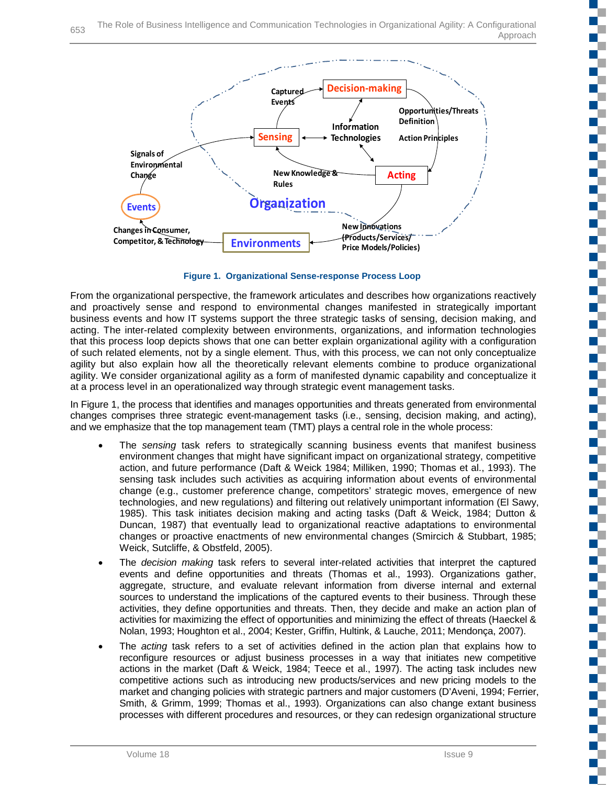

**Figure 1. Organizational Sense-response Process Loop**

From the organizational perspective, the framework articulates and describes how organizations reactively and proactively sense and respond to environmental changes manifested in strategically important business events and how IT systems support the three strategic tasks of sensing, decision making, and acting. The inter-related complexity between environments, organizations, and information technologies that this process loop depicts shows that one can better explain organizational agility with a configuration of such related elements, not by a single element. Thus, with this process, we can not only conceptualize agility but also explain how all the theoretically relevant elements combine to produce organizational agility. We consider organizational agility as a form of manifested dynamic capability and conceptualize it at a process level in an operationalized way through strategic event management tasks.

In Figure 1, the process that identifies and manages opportunities and threats generated from environmental changes comprises three strategic event-management tasks (i.e., sensing, decision making, and acting), and we emphasize that the top management team (TMT) plays a central role in the whole process:

- The *sensing* task refers to strategically scanning business events that manifest business environment changes that might have significant impact on organizational strategy, competitive action, and future performance (Daft & Weick 1984; Milliken, 1990; Thomas et al., 1993). The sensing task includes such activities as acquiring information about events of environmental change (e.g., customer preference change, competitors' strategic moves, emergence of new technologies, and new regulations) and filtering out relatively unimportant information (El Sawy, 1985). This task initiates decision making and acting tasks (Daft & Weick, 1984; Dutton & Duncan, 1987) that eventually lead to organizational reactive adaptations to environmental changes or proactive enactments of new environmental changes (Smircich & Stubbart, 1985; Weick, Sutcliffe, & Obstfeld, 2005).
- The *decision making* task refers to several inter-related activities that interpret the captured events and define opportunities and threats (Thomas et al., 1993). Organizations gather, aggregate, structure, and evaluate relevant information from diverse internal and external sources to understand the implications of the captured events to their business. Through these activities, they define opportunities and threats. Then, they decide and make an action plan of activities for maximizing the effect of opportunities and minimizing the effect of threats (Haeckel & Nolan, 1993; Houghton et al., 2004; Kester, Griffin, Hultink, & Lauche, 2011; Mendonça, 2007).
- The *acting* task refers to a set of activities defined in the action plan that explains how to reconfigure resources or adjust business processes in a way that initiates new competitive actions in the market (Daft & Weick, 1984; Teece et al., 1997). The acting task includes new competitive actions such as introducing new products/services and new pricing models to the market and changing policies with strategic partners and major customers (D'Aveni, 1994; Ferrier, Smith, & Grimm, 1999; Thomas et al., 1993). Organizations can also change extant business processes with different procedures and resources, or they can redesign organizational structure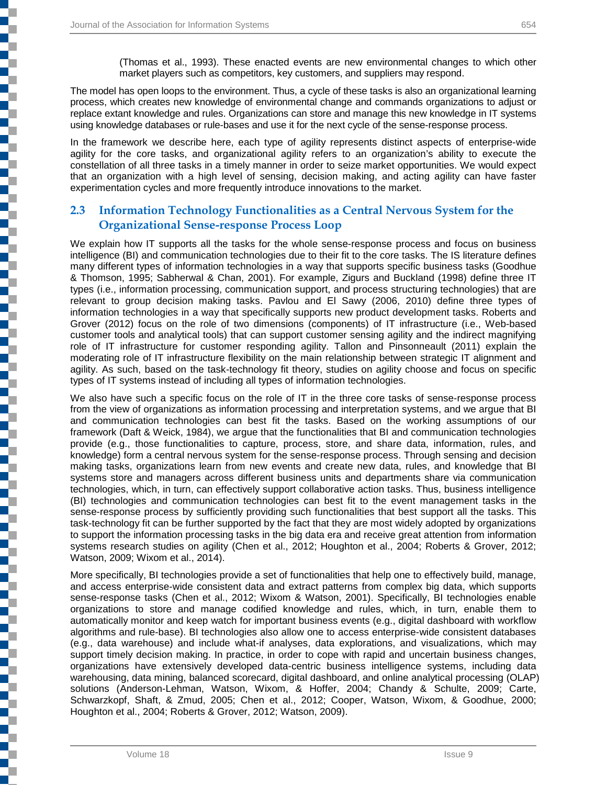j

j

i<br>1

E

į

The model has open loops to the environment. Thus, a cycle of these tasks is also an organizational learning process, which creates new knowledge of environmental change and commands organizations to adjust or replace extant knowledge and rules. Organizations can store and manage this new knowledge in IT systems using knowledge databases or rule-bases and use it for the next cycle of the sense-response process.

In the framework we describe here, each type of agility represents distinct aspects of enterprise-wide agility for the core tasks, and organizational agility refers to an organization's ability to execute the constellation of all three tasks in a timely manner in order to seize market opportunities. We would expect that an organization with a high level of sensing, decision making, and acting agility can have faster experimentation cycles and more frequently introduce innovations to the market.

## **2.3 Information Technology Functionalities as a Central Nervous System for the Organizational Sense-response Process Loop**

We explain how IT supports all the tasks for the whole sense-response process and focus on business intelligence (BI) and communication technologies due to their fit to the core tasks. The IS literature defines many different types of information technologies in a way that supports specific business tasks (Goodhue & Thomson, 1995; Sabherwal & Chan, 2001). For example, Zigurs and Buckland (1998) define three IT types (i.e., information processing, communication support, and process structuring technologies) that are relevant to group decision making tasks. Pavlou and El Sawy (2006, 2010) define three types of information technologies in a way that specifically supports new product development tasks. Roberts and Grover (2012) focus on the role of two dimensions (components) of IT infrastructure (i.e., Web-based customer tools and analytical tools) that can support customer sensing agility and the indirect magnifying role of IT infrastructure for customer responding agility. Tallon and Pinsonneault (2011) explain the moderating role of IT infrastructure flexibility on the main relationship between strategic IT alignment and agility. As such, based on the task-technology fit theory, studies on agility choose and focus on specific types of IT systems instead of including all types of information technologies.

We also have such a specific focus on the role of IT in the three core tasks of sense-response process from the view of organizations as information processing and interpretation systems, and we argue that BI and communication technologies can best fit the tasks. Based on the working assumptions of our framework (Daft & Weick, 1984), we argue that the functionalities that BI and communication technologies provide (e.g., those functionalities to capture, process, store, and share data, information, rules, and knowledge) form a central nervous system for the sense-response process. Through sensing and decision making tasks, organizations learn from new events and create new data, rules, and knowledge that BI systems store and managers across different business units and departments share via communication technologies, which, in turn, can effectively support collaborative action tasks. Thus, business intelligence (BI) technologies and communication technologies can best fit to the event management tasks in the sense-response process by sufficiently providing such functionalities that best support all the tasks. This task-technology fit can be further supported by the fact that they are most widely adopted by organizations to support the information processing tasks in the big data era and receive great attention from information systems research studies on agility (Chen et al., 2012; Houghton et al., 2004; Roberts & Grover, 2012; Watson, 2009; Wixom et al., 2014).

More specifically, BI technologies provide a set of functionalities that help one to effectively build, manage, and access enterprise-wide consistent data and extract patterns from complex big data, which supports sense-response tasks (Chen et al., 2012; Wixom & Watson, 2001). Specifically, BI technologies enable organizations to store and manage codified knowledge and rules, which, in turn, enable them to automatically monitor and keep watch for important business events (e.g., digital dashboard with workflow algorithms and rule-base). BI technologies also allow one to access enterprise-wide consistent databases (e.g., data warehouse) and include what-if analyses, data explorations, and visualizations, which may support timely decision making. In practice, in order to cope with rapid and uncertain business changes, organizations have extensively developed data-centric business intelligence systems, including data warehousing, data mining, balanced scorecard, digital dashboard, and online analytical processing (OLAP) solutions (Anderson-Lehman, Watson, Wixom, & Hoffer, 2004; Chandy & Schulte, 2009; Carte, Schwarzkopf, Shaft, & Zmud, 2005; Chen et al., 2012; Cooper, Watson, Wixom, & Goodhue, 2000; Houghton et al., 2004; Roberts & Grover, 2012; Watson, 2009).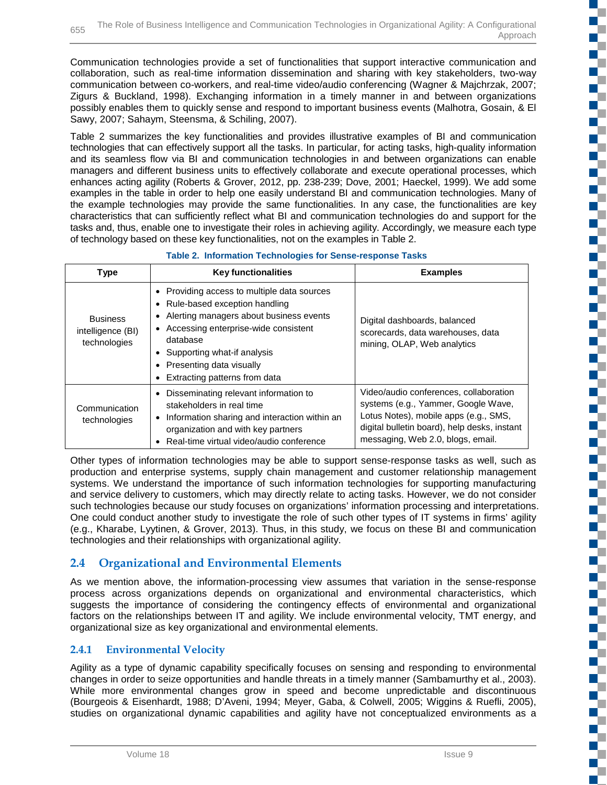Communication technologies provide a set of functionalities that support interactive communication and collaboration, such as real-time information dissemination and sharing with key stakeholders, two-way communication between co-workers, and real-time video/audio conferencing (Wagner & Majchrzak, 2007; Zigurs & Buckland, 1998). Exchanging information in a timely manner in and between organizations possibly enables them to quickly sense and respond to important business events (Malhotra, Gosain, & El Sawy, 2007; Sahaym, Steensma, & Schiling, 2007).

Table 2 summarizes the key functionalities and provides illustrative examples of BI and communication technologies that can effectively support all the tasks. In particular, for acting tasks, high-quality information and its seamless flow via BI and communication technologies in and between organizations can enable managers and different business units to effectively collaborate and execute operational processes, which enhances acting agility (Roberts & Grover, 2012, pp. 238-239; Dove, 2001; Haeckel, 1999). We add some examples in the table in order to help one easily understand BI and communication technologies. Many of the example technologies may provide the same functionalities. In any case, the functionalities are key characteristics that can sufficiently reflect what BI and communication technologies do and support for the tasks and, thus, enable one to investigate their roles in achieving agility. Accordingly, we measure each type of technology based on these key functionalities, not on the examples in Table 2.

| <b>Type</b>                                          | <b>Key functionalities</b>                                                                                                                                                                                                                                                    | <b>Examples</b>                                                                                                                                                                                             |
|------------------------------------------------------|-------------------------------------------------------------------------------------------------------------------------------------------------------------------------------------------------------------------------------------------------------------------------------|-------------------------------------------------------------------------------------------------------------------------------------------------------------------------------------------------------------|
| <b>Business</b><br>intelligence (BI)<br>technologies | • Providing access to multiple data sources<br>• Rule-based exception handling<br>Alerting managers about business events<br>• Accessing enterprise-wide consistent<br>database<br>• Supporting what-if analysis<br>Presenting data visually<br>Extracting patterns from data | Digital dashboards, balanced<br>scorecards, data warehouses, data<br>mining, OLAP, Web analytics                                                                                                            |
| Communication<br>technologies                        | Disseminating relevant information to<br>stakeholders in real time<br>• Information sharing and interaction within an<br>organization and with key partners<br>Real-time virtual video/audio conference                                                                       | Video/audio conferences, collaboration<br>systems (e.g., Yammer, Google Wave,<br>Lotus Notes), mobile apps (e.g., SMS,<br>digital bulletin board), help desks, instant<br>messaging, Web 2.0, blogs, email. |

Other types of information technologies may be able to support sense-response tasks as well, such as production and enterprise systems, supply chain management and customer relationship management systems. We understand the importance of such information technologies for supporting manufacturing and service delivery to customers, which may directly relate to acting tasks. However, we do not consider such technologies because our study focuses on organizations' information processing and interpretations. One could conduct another study to investigate the role of such other types of IT systems in firms' agility (e.g., Kharabe, Lyytinen, & Grover, 2013). Thus, in this study, we focus on these BI and communication technologies and their relationships with organizational agility.

## **2.4 Organizational and Environmental Elements**

As we mention above, the information-processing view assumes that variation in the sense-response process across organizations depends on organizational and environmental characteristics, which suggests the importance of considering the contingency effects of environmental and organizational factors on the relationships between IT and agility. We include environmental velocity, TMT energy, and organizational size as key organizational and environmental elements.

## **2.4.1 Environmental Velocity**

Agility as a type of dynamic capability specifically focuses on sensing and responding to environmental changes in order to seize opportunities and handle threats in a timely manner (Sambamurthy et al., 2003). While more environmental changes grow in speed and become unpredictable and discontinuous (Bourgeois & Eisenhardt, 1988; D'Aveni, 1994; Meyer, Gaba, & Colwell, 2005; Wiggins & Ruefli, 2005), studies on organizational dynamic capabilities and agility have not conceptualized environments as a c

E.

ç.

EÇ,

Ċ,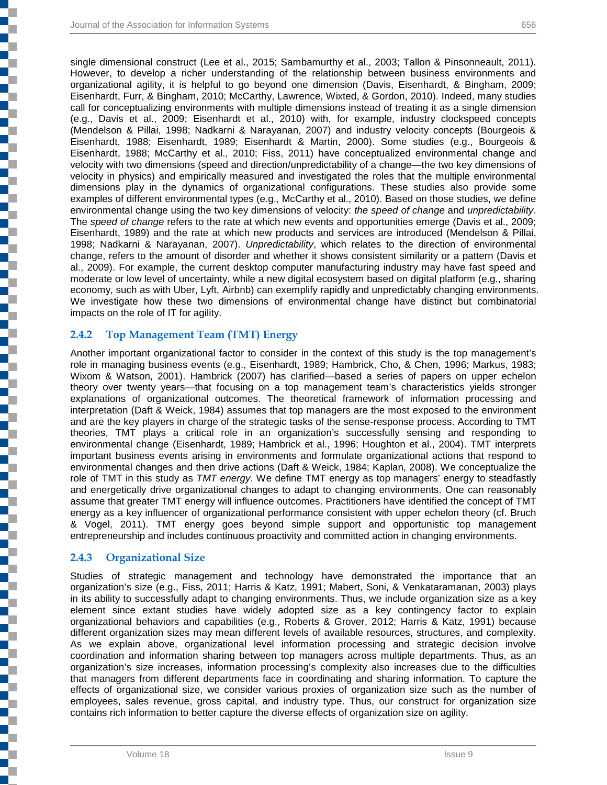single dimensional construct (Lee et al., 2015; Sambamurthy et al., 2003; Tallon & Pinsonneault, 2011). However, to develop a richer understanding of the relationship between business environments and organizational agility, it is helpful to go beyond one dimension (Davis, Eisenhardt, & Bingham, 2009; Eisenhardt, Furr, & Bingham, 2010; McCarthy, Lawrence, Wixted, & Gordon, 2010). Indeed, many studies call for conceptualizing environments with multiple dimensions instead of treating it as a single dimension (e.g., Davis et al., 2009; Eisenhardt et al., 2010) with, for example, industry clockspeed concepts (Mendelson & Pillai, 1998; Nadkarni & Narayanan, 2007) and industry velocity concepts (Bourgeois & Eisenhardt, 1988; Eisenhardt, 1989; Eisenhardt & Martin, 2000). Some studies (e.g., Bourgeois & Eisenhardt, 1988; McCarthy et al., 2010; Fiss, 2011) have conceptualized environmental change and velocity with two dimensions (speed and direction/unpredictability of a change—the two key dimensions of velocity in physics) and empirically measured and investigated the roles that the multiple environmental dimensions play in the dynamics of organizational configurations. These studies also provide some examples of different environmental types (e.g., McCarthy et al., 2010). Based on those studies, we define environmental change using the two key dimensions of velocity: *the speed of change* and *unpredictability*. The *speed of change* refers to the rate at which new events and opportunities emerge (Davis et al., 2009; Eisenhardt, 1989) and the rate at which new products and services are introduced (Mendelson & Pillai, 1998; Nadkarni & Narayanan, 2007). *Unpredictability*, which relates to the direction of environmental change, refers to the amount of disorder and whether it shows consistent similarity or a pattern (Davis et al., 2009). For example, the current desktop computer manufacturing industry may have fast speed and moderate or low level of uncertainty, while a new digital ecosystem based on digital platform (e.g., sharing economy, such as with Uber, Lyft, Airbnb) can exemplify rapidly and unpredictably changing environments. We investigate how these two dimensions of environmental change have distinct but combinatorial impacts on the role of IT for agility.

#### **2.4.2 Top Management Team (TMT) Energy**

Another important organizational factor to consider in the context of this study is the top management's role in managing business events (e.g., Eisenhardt, 1989; Hambrick, Cho, & Chen, 1996; Markus, 1983; Wixom & Watson, 2001). Hambrick (2007) has clarified—based a series of papers on upper echelon theory over twenty years—that focusing on a top management team's characteristics yields stronger explanations of organizational outcomes. The theoretical framework of information processing and interpretation (Daft & Weick, 1984) assumes that top managers are the most exposed to the environment and are the key players in charge of the strategic tasks of the sense-response process. According to TMT theories, TMT plays a critical role in an organization's successfully sensing and responding to environmental change (Eisenhardt, 1989; Hambrick et al., 1996; Houghton et al., 2004). TMT interprets important business events arising in environments and formulate organizational actions that respond to environmental changes and then drive actions (Daft & Weick, 1984; Kaplan, 2008). We conceptualize the role of TMT in this study as *TMT energy*. We define TMT energy as top managers' energy to steadfastly and energetically drive organizational changes to adapt to changing environments. One can reasonably assume that greater TMT energy will influence outcomes. Practitioners have identified the concept of TMT energy as a key influencer of organizational performance consistent with upper echelon theory (cf. Bruch & Vogel, 2011). TMT energy goes beyond simple support and opportunistic top management entrepreneurship and includes continuous proactivity and committed action in changing environments.

#### **2.4.3 Organizational Size**

┇

į

Studies of strategic management and technology have demonstrated the importance that an organization's size (e.g., Fiss, 2011; Harris & Katz, 1991; Mabert, Soni, & Venkataramanan, 2003) plays in its ability to successfully adapt to changing environments. Thus, we include organization size as a key element since extant studies have widely adopted size as a key contingency factor to explain organizational behaviors and capabilities (e.g., Roberts & Grover, 2012; Harris & Katz, 1991) because different organization sizes may mean different levels of available resources, structures, and complexity. As we explain above, organizational level information processing and strategic decision involve coordination and information sharing between top managers across multiple departments. Thus, as an organization's size increases, information processing's complexity also increases due to the difficulties that managers from different departments face in coordinating and sharing information. To capture the effects of organizational size, we consider various proxies of organization size such as the number of employees, sales revenue, gross capital, and industry type. Thus, our construct for organization size contains rich information to better capture the diverse effects of organization size on agility.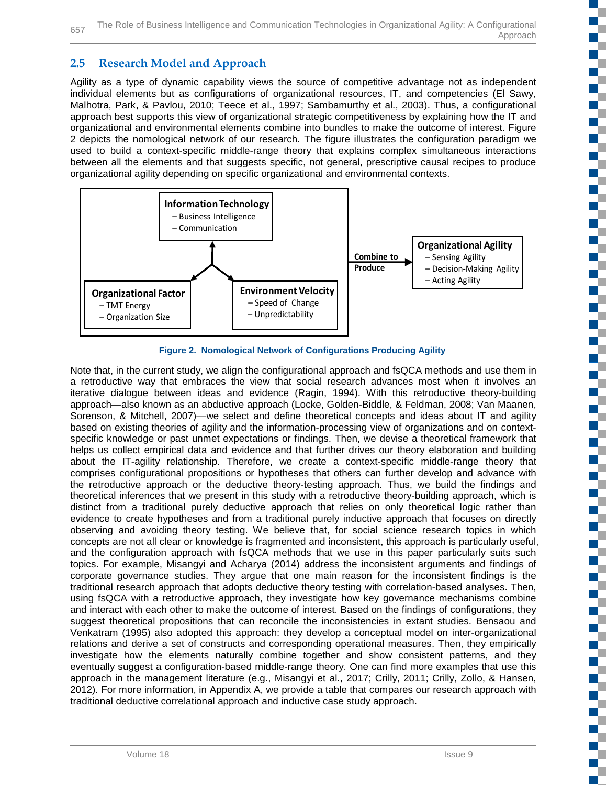## **2.5 Research Model and Approach**

Agility as a type of dynamic capability views the source of competitive advantage not as independent individual elements but as configurations of organizational resources, IT, and competencies (El Sawy, Malhotra, Park, & Pavlou, 2010; Teece et al., 1997; Sambamurthy et al., 2003). Thus, a configurational approach best supports this view of organizational strategic competitiveness by explaining how the IT and organizational and environmental elements combine into bundles to make the outcome of interest. Figure 2 depicts the nomological network of our research. The figure illustrates the configuration paradigm we used to build a context-specific middle-range theory that explains complex simultaneous interactions between all the elements and that suggests specific, not general, prescriptive causal recipes to produce organizational agility depending on specific organizational and environmental contexts.



**Figure 2. Nomological Network of Configurations Producing Agility**

Note that, in the current study, we align the configurational approach and fsQCA methods and use them in a retroductive way that embraces the view that social research advances most when it involves an iterative dialogue between ideas and evidence (Ragin, 1994). With this retroductive theory-building approach—also known as an abductive approach (Locke, Golden-Biddle, & Feldman, 2008; Van Maanen, Sorenson, & Mitchell, 2007)—we select and define theoretical concepts and ideas about IT and agility based on existing theories of agility and the information-processing view of organizations and on contextspecific knowledge or past unmet expectations or findings. Then, we devise a theoretical framework that helps us collect empirical data and evidence and that further drives our theory elaboration and building about the IT-agility relationship. Therefore, we create a context-specific middle-range theory that comprises configurational propositions or hypotheses that others can further develop and advance with the retroductive approach or the deductive theory-testing approach. Thus, we build the findings and theoretical inferences that we present in this study with a retroductive theory-building approach, which is distinct from a traditional purely deductive approach that relies on only theoretical logic rather than evidence to create hypotheses and from a traditional purely inductive approach that focuses on directly observing and avoiding theory testing. We believe that, for social science research topics in which concepts are not all clear or knowledge is fragmented and inconsistent, this approach is particularly useful, and the configuration approach with fsQCA methods that we use in this paper particularly suits such topics. For example, Misangyi and Acharya (2014) address the inconsistent arguments and findings of corporate governance studies. They argue that one main reason for the inconsistent findings is the traditional research approach that adopts deductive theory testing with correlation-based analyses. Then, using fsQCA with a retroductive approach, they investigate how key governance mechanisms combine and interact with each other to make the outcome of interest. Based on the findings of configurations, they suggest theoretical propositions that can reconcile the inconsistencies in extant studies. Bensaou and Venkatram (1995) also adopted this approach: they develop a conceptual model on inter-organizational relations and derive a set of constructs and corresponding operational measures. Then, they empirically investigate how the elements naturally combine together and show consistent patterns, and they eventually suggest a configuration-based middle-range theory. One can find more examples that use this approach in the management literature (e.g., Misangyi et al., 2017; Crilly, 2011; Crilly, Zollo, & Hansen, 2012). For more information, in Appendix A, we provide a table that compares our research approach with traditional deductive correlational approach and inductive case study approach.

Œ

U.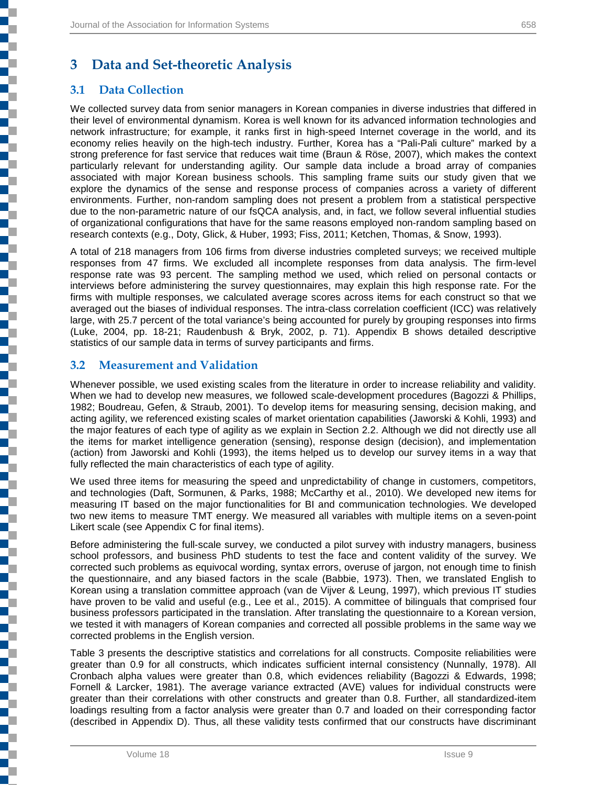## **3 Data and Set-theoretic Analysis**

## **3.1 Data Collection**

į

We collected survey data from senior managers in Korean companies in diverse industries that differed in their level of environmental dynamism. Korea is well known for its advanced information technologies and network infrastructure; for example, it ranks first in high-speed Internet coverage in the world, and its economy relies heavily on the high-tech industry. Further, Korea has a "Pali-Pali culture" marked by a strong preference for fast service that reduces wait time (Braun & Röse, 2007), which makes the context particularly relevant for understanding agility. Our sample data include a broad array of companies associated with major Korean business schools. This sampling frame suits our study given that we explore the dynamics of the sense and response process of companies across a variety of different environments. Further, non-random sampling does not present a problem from a statistical perspective due to the non-parametric nature of our fsQCA analysis, and, in fact, we follow several influential studies of organizational configurations that have for the same reasons employed non-random sampling based on research contexts (e.g., Doty, Glick, & Huber, 1993; Fiss, 2011; Ketchen, Thomas, & Snow, 1993).

A total of 218 managers from 106 firms from diverse industries completed surveys; we received multiple responses from 47 firms. We excluded all incomplete responses from data analysis. The firm-level response rate was 93 percent. The sampling method we used, which relied on personal contacts or interviews before administering the survey questionnaires, may explain this high response rate. For the firms with multiple responses, we calculated average scores across items for each construct so that we averaged out the biases of individual responses. The intra-class correlation coefficient (ICC) was relatively large, with 25.7 percent of the total variance's being accounted for purely by grouping responses into firms (Luke, 2004, pp. 18-21; Raudenbush & Bryk, 2002, p. 71). Appendix B shows detailed descriptive statistics of our sample data in terms of survey participants and firms.

## **3.2 Measurement and Validation**

Whenever possible, we used existing scales from the literature in order to increase reliability and validity. When we had to develop new measures, we followed scale-development procedures (Bagozzi & Phillips, 1982; Boudreau, Gefen, & Straub, 2001). To develop items for measuring sensing, decision making, and acting agility, we referenced existing scales of market orientation capabilities (Jaworski & Kohli, 1993) and the major features of each type of agility as we explain in Section 2.2. Although we did not directly use all the items for market intelligence generation (sensing), response design (decision), and implementation (action) from Jaworski and Kohli (1993), the items helped us to develop our survey items in a way that fully reflected the main characteristics of each type of agility.

We used three items for measuring the speed and unpredictability of change in customers, competitors, and technologies (Daft, Sormunen, & Parks, 1988; McCarthy et al., 2010). We developed new items for measuring IT based on the major functionalities for BI and communication technologies. We developed two new items to measure TMT energy. We measured all variables with multiple items on a seven-point Likert scale (see Appendix C for final items).

Before administering the full-scale survey, we conducted a pilot survey with industry managers, business school professors, and business PhD students to test the face and content validity of the survey. We corrected such problems as equivocal wording, syntax errors, overuse of jargon, not enough time to finish the questionnaire, and any biased factors in the scale (Babbie, 1973). Then, we translated English to Korean using a translation committee approach (van de Vijver & Leung, 1997), which previous IT studies have proven to be valid and useful (e.g., Lee et al., 2015). A committee of bilinguals that comprised four business professors participated in the translation. After translating the questionnaire to a Korean version, we tested it with managers of Korean companies and corrected all possible problems in the same way we corrected problems in the English version.

Table 3 presents the descriptive statistics and correlations for all constructs. Composite reliabilities were greater than 0.9 for all constructs, which indicates sufficient internal consistency (Nunnally, 1978). All Cronbach alpha values were greater than 0.8, which evidences reliability (Bagozzi & Edwards, 1998; Fornell & Larcker, 1981). The average variance extracted (AVE) values for individual constructs were greater than their correlations with other constructs and greater than 0.8. Further, all standardized-item loadings resulting from a factor analysis were greater than 0.7 and loaded on their corresponding factor (described in Appendix D). Thus, all these validity tests confirmed that our constructs have discriminant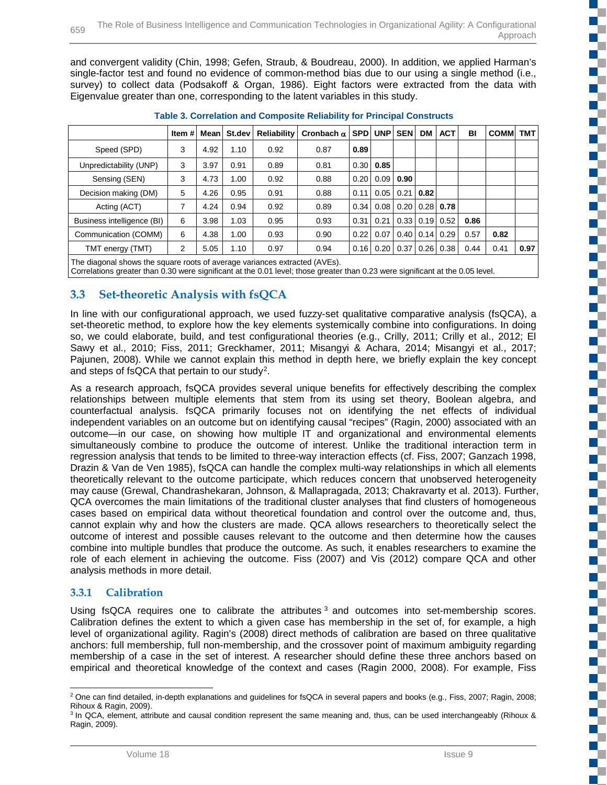and convergent validity (Chin, 1998; Gefen, Straub, & Boudreau, 2000). In addition, we applied Harman's single-factor test and found no evidence of common-method bias due to our using a single method (i.e., survey) to collect data (Podsakoff & Organ, 1986). Eight factors were extracted from the data with Eigenvalue greater than one, corresponding to the latent variables in this study.

|                            | Item #l |      | Mean St.dev | Reliability | Cronbach $\alpha$   SPD   UNP   SEN |      |                            | <b>DM</b>                   | <b>ACT</b>             | BI   | <b>COMMITMT</b> |      |
|----------------------------|---------|------|-------------|-------------|-------------------------------------|------|----------------------------|-----------------------------|------------------------|------|-----------------|------|
| Speed (SPD)                | 3       | 4.92 | 1.10        | 0.92        | 0.87                                | 0.89 |                            |                             |                        |      |                 |      |
| Unpredictability (UNP)     | 3       | 3.97 | 0.91        | 0.89        | 0.81                                |      | $0.30 \mid 0.85$           |                             |                        |      |                 |      |
| Sensing (SEN)              | 3       | 4.73 | 1.00        | 0.92        | 0.88                                |      | $0.20 \mid 0.09 \mid 0.90$ |                             |                        |      |                 |      |
| Decision making (DM)       | 5       | 4.26 | 0.95        | 0.91        | 0.88                                | 0.11 | 0.05                       | $0.21$ 0.82                 |                        |      |                 |      |
| Acting (ACT)               | 7       | 4.24 | 0.94        | 0.92        | 0.89                                |      | $0.34 \cdot 0.08$          |                             | $0.20$   $0.28$   0.78 |      |                 |      |
| Business intelligence (BI) | 6       | 3.98 | 1.03        | 0.95        | 0.93                                | 0.31 | 0.21                       | $0.33 \mid 0.19 \mid$       | 0.52                   | 0.86 |                 |      |
| Communication (COMM)       | 6       | 4.38 | 1.00        | 0.93        | 0.90                                | 0.22 | 0.07                       | $0.40 \,   \, 0.14 \,   \,$ | 0.29                   | 0.57 | 0.82            |      |
| TMT energy (TMT)           | 2       | 5.05 | 1.10        | 0.97        | 0.94                                |      | $0.16$ 0.20                |                             | $0.37$   0.26   0.38   | 0.44 | 0.41            | 0.97 |
|                            |         |      |             |             |                                     |      |                            |                             |                        |      |                 |      |

| <b>Table 3. Correlation and Composite Reliability for Principal Constructs</b> |  |
|--------------------------------------------------------------------------------|--|
|--------------------------------------------------------------------------------|--|

The diagonal shows the square roots of average variances extracted (AVEs).

Correlations greater than 0.30 were significant at the 0.01 level; those greater than 0.23 were significant at the 0.05 level.

## **3.3 Set-theoretic Analysis with fsQCA**

In line with our configurational approach, we used fuzzy-set qualitative comparative analysis (fsQCA), a set-theoretic method, to explore how the key elements systemically combine into configurations. In doing so, we could elaborate, build, and test configurational theories (e.g., Crilly, 2011; Crilly et al., 2012; El Sawy et al., 2010; Fiss, 2011; Greckhamer, 2011; Misangyi & Achara, 2014; Misangyi et al., 2017; Pajunen, 2008). While we cannot explain this method in depth here, we briefly explain the key concept and steps of fsQCA that pertain to our study[2.](#page-11-0)

As a research approach, fsQCA provides several unique benefits for effectively describing the complex relationships between multiple elements that stem from its using set theory, Boolean algebra, and counterfactual analysis. fsQCA primarily focuses not on identifying the net effects of individual independent variables on an outcome but on identifying causal "recipes" (Ragin, 2000) associated with an outcome—in our case, on showing how multiple IT and organizational and environmental elements simultaneously combine to produce the outcome of interest. Unlike the traditional interaction term in regression analysis that tends to be limited to three-way interaction effects (cf. Fiss, 2007; Ganzach 1998, Drazin & Van de Ven 1985), fsQCA can handle the complex multi-way relationships in which all elements theoretically relevant to the outcome participate, which reduces concern that unobserved heterogeneity may cause (Grewal, Chandrashekaran, Johnson, & Mallapragada, 2013; Chakravarty et al. 2013). Further, QCA overcomes the main limitations of the traditional cluster analyses that find clusters of homogeneous cases based on empirical data without theoretical foundation and control over the outcome and, thus, cannot explain why and how the clusters are made. QCA allows researchers to theoretically select the outcome of interest and possible causes relevant to the outcome and then determine how the causes combine into multiple bundles that produce the outcome. As such, it enables researchers to examine the role of each element in achieving the outcome. Fiss (2007) and Vis (2012) compare QCA and other analysis methods in more detail.

### **3.3.1 Calibration**

Using fsQCA requires one to calibrate the attributes  $3$  and outcomes into set-membership scores. Calibration defines the extent to which a given case has membership in the set of, for example, a high level of organizational agility. Ragin's (2008) direct methods of calibration are based on three qualitative anchors: full membership, full non-membership, and the crossover point of maximum ambiguity regarding membership of a case in the set of interest. A researcher should define these three anchors based on empirical and theoretical knowledge of the context and cases (Ragin 2000, 2008). For example, Fiss a.

Ş

c

ī.

<span id="page-11-0"></span><sup>&</sup>lt;sup>2</sup> One can find detailed, in-depth explanations and quidelines for fsQCA in several papers and books (e.g., Fiss, 2007; Ragin, 2008; Rihoux & Ragin, 2009).

<span id="page-11-1"></span><sup>&</sup>lt;sup>3</sup> In QCA, element, attribute and causal condition represent the same meaning and, thus, can be used interchangeably (Rihoux & Ragin, 2009).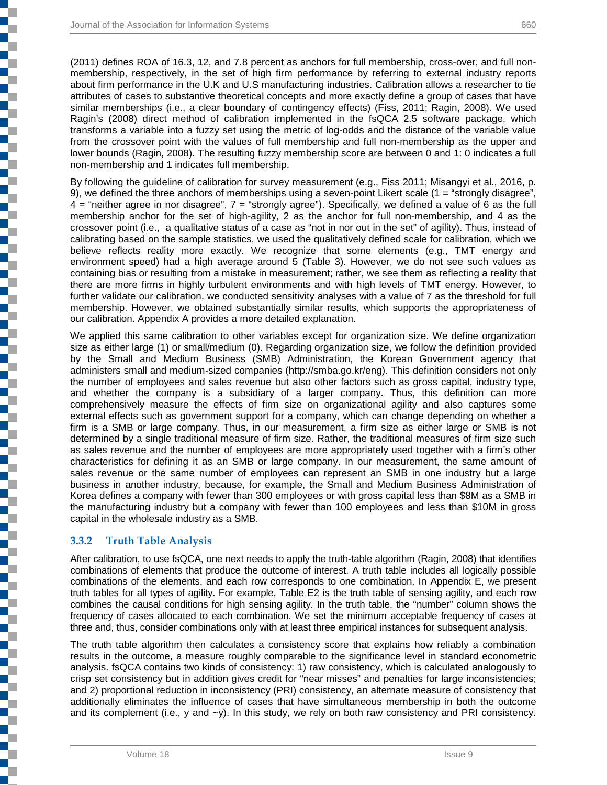(2011) defines ROA of 16.3, 12, and 7.8 percent as anchors for full membership, cross-over, and full nonmembership, respectively, in the set of high firm performance by referring to external industry reports about firm performance in the U.K and U.S manufacturing industries. Calibration allows a researcher to tie attributes of cases to substantive theoretical concepts and more exactly define a group of cases that have similar memberships (i.e., a clear boundary of contingency effects) (Fiss, 2011; Ragin, 2008). We used Ragin's (2008) direct method of calibration implemented in the fsQCA 2.5 software package, which transforms a variable into a fuzzy set using the metric of log-odds and the distance of the variable value from the crossover point with the values of full membership and full non-membership as the upper and lower bounds (Ragin, 2008). The resulting fuzzy membership score are between 0 and 1: 0 indicates a full non-membership and 1 indicates full membership.

By following the guideline of calibration for survey measurement (e.g., Fiss 2011; Misangyi et al., 2016, p. 9), we defined the three anchors of memberships using a seven-point Likert scale (1 = "strongly disagree", 4 = "neither agree in nor disagree", 7 = "strongly agree"). Specifically, we defined a value of 6 as the full membership anchor for the set of high-agility, 2 as the anchor for full non-membership, and 4 as the crossover point (i.e., a qualitative status of a case as "not in nor out in the set" of agility). Thus, instead of calibrating based on the sample statistics, we used the qualitatively defined scale for calibration, which we believe reflects reality more exactly. We recognize that some elements (e.g., TMT energy and environment speed) had a high average around 5 (Table 3). However, we do not see such values as containing bias or resulting from a mistake in measurement; rather, we see them as reflecting a reality that there are more firms in highly turbulent environments and with high levels of TMT energy. However, to further validate our calibration, we conducted sensitivity analyses with a value of 7 as the threshold for full membership. However, we obtained substantially similar results, which supports the appropriateness of our calibration. Appendix A provides a more detailed explanation.

We applied this same calibration to other variables except for organization size. We define organization size as either large (1) or small/medium (0). Regarding organization size, we follow the definition provided by the Small and Medium Business (SMB) Administration, the Korean Government agency that administers small and medium-sized companies (http://smba.go.kr/eng). This definition considers not only the number of employees and sales revenue but also other factors such as gross capital, industry type, and whether the company is a subsidiary of a larger company. Thus, this definition can more comprehensively measure the effects of firm size on organizational agility and also captures some external effects such as government support for a company, which can change depending on whether a firm is a SMB or large company. Thus, in our measurement, a firm size as either large or SMB is not determined by a single traditional measure of firm size. Rather, the traditional measures of firm size such as sales revenue and the number of employees are more appropriately used together with a firm's other characteristics for defining it as an SMB or large company. In our measurement, the same amount of sales revenue or the same number of employees can represent an SMB in one industry but a large business in another industry, because, for example, the Small and Medium Business Administration of Korea defines a company with fewer than 300 employees or with gross capital less than \$8M as a SMB in the manufacturing industry but a company with fewer than 100 employees and less than \$10M in gross capital in the wholesale industry as a SMB.

### **3.3.2 Truth Table Analysis**

 $\overline{a}$ 

After calibration, to use fsQCA, one next needs to apply the truth-table algorithm (Ragin, 2008) that identifies combinations of elements that produce the outcome of interest. A truth table includes all logically possible combinations of the elements, and each row corresponds to one combination. In Appendix E, we present truth tables for all types of agility. For example, Table E2 is the truth table of sensing agility, and each row combines the causal conditions for high sensing agility. In the truth table, the "number" column shows the frequency of cases allocated to each combination. We set the minimum acceptable frequency of cases at three and, thus, consider combinations only with at least three empirical instances for subsequent analysis.

The truth table algorithm then calculates a consistency score that explains how reliably a combination results in the outcome, a measure roughly comparable to the significance level in standard econometric analysis. fsQCA contains two kinds of consistency: 1) raw consistency, which is calculated analogously to crisp set consistency but in addition gives credit for "near misses" and penalties for large inconsistencies; and 2) proportional reduction in inconsistency (PRI) consistency, an alternate measure of consistency that additionally eliminates the influence of cases that have simultaneous membership in both the outcome and its complement (i.e., y and  $-\gamma$ ). In this study, we rely on both raw consistency and PRI consistency.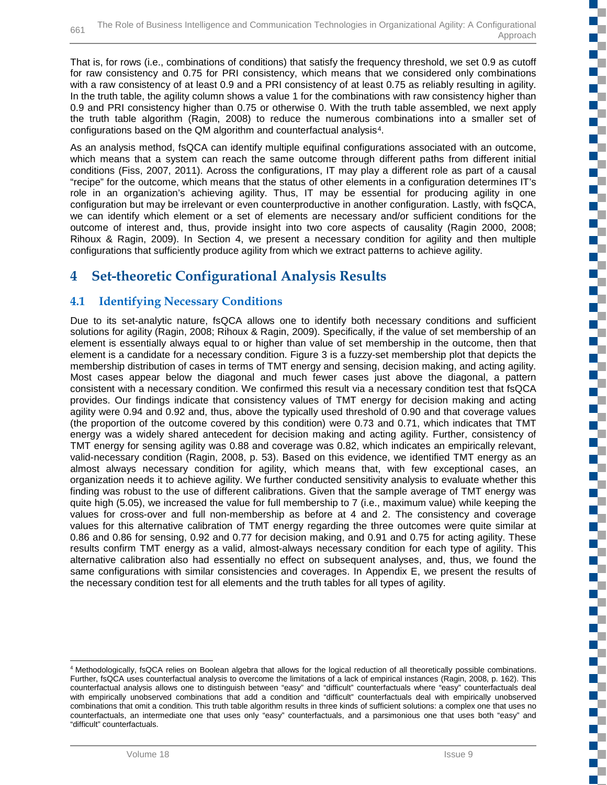That is, for rows (i.e., combinations of conditions) that satisfy the frequency threshold, we set 0.9 as cutoff for raw consistency and 0.75 for PRI consistency, which means that we considered only combinations with a raw consistency of at least 0.9 and a PRI consistency of at least 0.75 as reliably resulting in agility. In the truth table, the agility column shows a value 1 for the combinations with raw consistency higher than 0.9 and PRI consistency higher than 0.75 or otherwise 0. With the truth table assembled, we next apply the truth table algorithm (Ragin, 2008) to reduce the numerous combinations into a smaller set of configurations based on the QM algorithm and counterfactual analysis<sup>4</sup>.

As an analysis method, fsQCA can identify multiple equifinal configurations associated with an outcome, which means that a system can reach the same outcome through different paths from different initial conditions (Fiss, 2007, 2011). Across the configurations, IT may play a different role as part of a causal "recipe" for the outcome, which means that the status of other elements in a configuration determines IT's role in an organization's achieving agility. Thus, IT may be essential for producing agility in one configuration but may be irrelevant or even counterproductive in another configuration. Lastly, with fsQCA, we can identify which element or a set of elements are necessary and/or sufficient conditions for the outcome of interest and, thus, provide insight into two core aspects of causality (Ragin 2000, 2008; Rihoux & Ragin, 2009). In Section 4, we present a necessary condition for agility and then multiple configurations that sufficiently produce agility from which we extract patterns to achieve agility.

## **4 Set-theoretic Configurational Analysis Results**

## **4.1 Identifying Necessary Conditions**

Due to its set-analytic nature, fsQCA allows one to identify both necessary conditions and sufficient solutions for agility (Ragin, 2008; Rihoux & Ragin, 2009). Specifically, if the value of set membership of an element is essentially always equal to or higher than value of set membership in the outcome, then that element is a candidate for a necessary condition. Figure 3 is a fuzzy-set membership plot that depicts the membership distribution of cases in terms of TMT energy and sensing, decision making, and acting agility. Most cases appear below the diagonal and much fewer cases just above the diagonal, a pattern consistent with a necessary condition. We confirmed this result via a necessary condition test that fsQCA provides. Our findings indicate that consistency values of TMT energy for decision making and acting agility were 0.94 and 0.92 and, thus, above the typically used threshold of 0.90 and that coverage values (the proportion of the outcome covered by this condition) were 0.73 and 0.71, which indicates that TMT energy was a widely shared antecedent for decision making and acting agility. Further, consistency of TMT energy for sensing agility was 0.88 and coverage was 0.82, which indicates an empirically relevant, valid-necessary condition (Ragin, 2008, p. 53). Based on this evidence, we identified TMT energy as an almost always necessary condition for agility, which means that, with few exceptional cases, an organization needs it to achieve agility. We further conducted sensitivity analysis to evaluate whether this finding was robust to the use of different calibrations. Given that the sample average of TMT energy was quite high (5.05), we increased the value for full membership to 7 (i.e., maximum value) while keeping the values for cross-over and full non-membership as before at 4 and 2. The consistency and coverage values for this alternative calibration of TMT energy regarding the three outcomes were quite similar at 0.86 and 0.86 for sensing, 0.92 and 0.77 for decision making, and 0.91 and 0.75 for acting agility. These results confirm TMT energy as a valid, almost-always necessary condition for each type of agility. This alternative calibration also had essentially no effect on subsequent analyses, and, thus, we found the same configurations with similar consistencies and coverages. In Appendix E, we present the results of the necessary condition test for all elements and the truth tables for all types of agility.

r. c

ŧ

c

ď.

<span id="page-13-0"></span> <sup>4</sup> Methodologically, fsQCA relies on Boolean algebra that allows for the logical reduction of all theoretically possible combinations. Further, fsQCA uses counterfactual analysis to overcome the limitations of a lack of empirical instances (Ragin, 2008, p. 162). This counterfactual analysis allows one to distinguish between "easy" and "difficult" counterfactuals where "easy" counterfactuals deal with empirically unobserved combinations that add a condition and "difficult" counterfactuals deal with empirically unobserved combinations that omit a condition. This truth table algorithm results in three kinds of sufficient solutions: a complex one that uses no counterfactuals, an intermediate one that uses only "easy" counterfactuals, and a parsimonious one that uses both "easy" and "difficult" counterfactuals.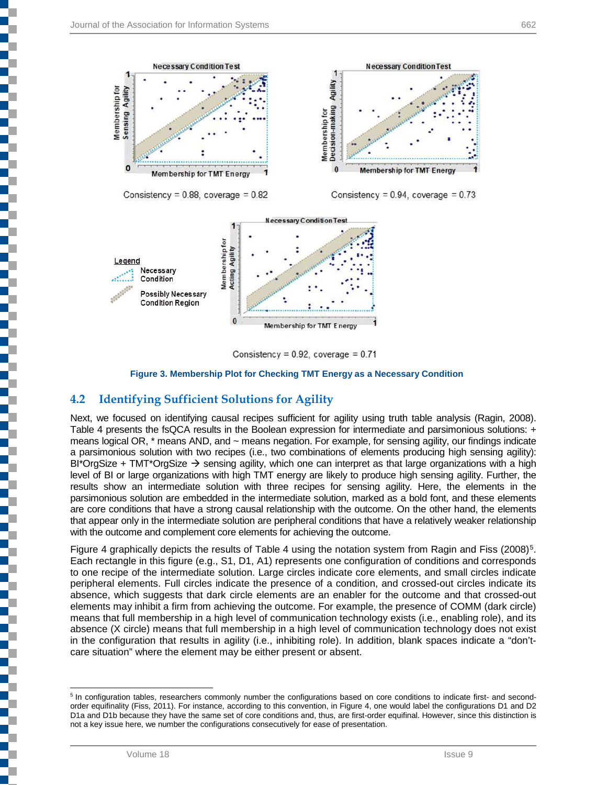



Consistency =  $0.92$ , coverage =  $0.71$ 

#### **Figure 3. Membership Plot for Checking TMT Energy as a Necessary Condition**

#### **4.2 Identifying Sufficient Solutions for Agility**

Next, we focused on identifying causal recipes sufficient for agility using truth table analysis (Ragin, 2008). Table 4 presents the fsQCA results in the Boolean expression for intermediate and parsimonious solutions: + means logical OR, \* means AND, and ~ means negation. For example, for sensing agility, our findings indicate a parsimonious solution with two recipes (i.e., two combinations of elements producing high sensing agility): BI\*OrgSize + TMT\*OrgSize  $\rightarrow$  sensing agility, which one can interpret as that large organizations with a high level of BI or large organizations with high TMT energy are likely to produce high sensing agility. Further, the results show an intermediate solution with three recipes for sensing agility. Here, the elements in the parsimonious solution are embedded in the intermediate solution, marked as a bold font, and these elements are core conditions that have a strong causal relationship with the outcome. On the other hand, the elements that appear only in the intermediate solution are peripheral conditions that have a relatively weaker relationship with the outcome and complement core elements for achieving the outcome.

Figure 4 graphically depicts the results of Table 4 using the notation system from Ragin and Fiss (2008)<sup>[5](#page-14-0)</sup>. Each rectangle in this figure (e.g., S1, D1, A1) represents one configuration of conditions and corresponds to one recipe of the intermediate solution. Large circles indicate core elements, and small circles indicate peripheral elements. Full circles indicate the presence of a condition, and crossed-out circles indicate its absence, which suggests that dark circle elements are an enabler for the outcome and that crossed-out elements may inhibit a firm from achieving the outcome. For example, the presence of COMM (dark circle) means that full membership in a high level of communication technology exists (i.e., enabling role), and its absence (X circle) means that full membership in a high level of communication technology does not exist in the configuration that results in agility (i.e., inhibiting role). In addition, blank spaces indicate a "don'tcare situation" where the element may be either present or absent.

<span id="page-14-0"></span><sup>&</sup>lt;sup>5</sup> In configuration tables, researchers commonly number the configurations based on core conditions to indicate first- and secondorder equifinality (Fiss, 2011). For instance, according to this convention, in Figure 4, one would label the configurations D1 and D2 D1a and D1b because they have the same set of core conditions and, thus, are first-order equifinal. However, since this distinction is not a key issue here, we number the configurations consecutively for ease of presentation.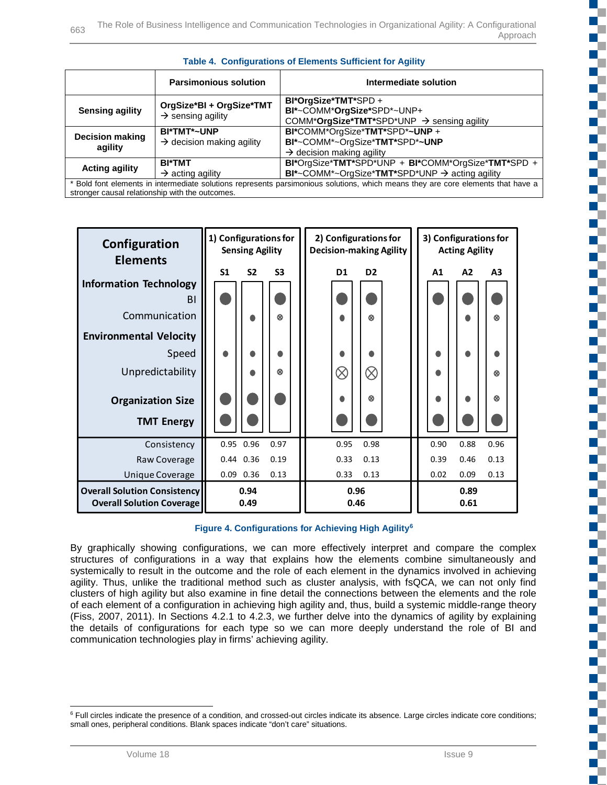|                                                                                                                                                                                     | <b>Parsimonious solution</b>                                | Intermediate solution                                                                                                |  |
|-------------------------------------------------------------------------------------------------------------------------------------------------------------------------------------|-------------------------------------------------------------|----------------------------------------------------------------------------------------------------------------------|--|
| <b>Sensing agility</b>                                                                                                                                                              | OrgSize*BI + OrgSize*TMT<br>$\rightarrow$ sensing agility   | BI*OrgSize*TMT*SPD+<br>BI*~COMM*OrgSize*SPD*~UNP+<br>COMM*OrgSize*TMT*SPD*UNP → sensing agility                      |  |
| <b>Decision making</b><br>agility                                                                                                                                                   | <b>BI*TMT*~UNP</b><br>$\rightarrow$ decision making agility | BI*COMM*OrgSize*TMT*SPD*~UNP +<br>BI*~COMM*~OrgSize*TMT*SPD*~UNP<br>$\rightarrow$ decision making agility            |  |
| <b>Acting agility</b>                                                                                                                                                               | <b>BI*TMT</b><br>$\rightarrow$ acting agility               | BI*OrgSize*TMT*SPD*UNP + BI*COMM*OrgSize*TMT*SPD +<br>$BI^*$ ~COMM*~OrgSize*TMT*SPD*UNP $\rightarrow$ acting agility |  |
| * Bold font elements in intermediate solutions represents parsimonious solutions, which means they are core elements that have a<br>stronger causal relationship with the outcomes. |                                                             |                                                                                                                      |  |



| Configuration<br><b>Elements</b>                                        | 1) Configurations for<br><b>Sensing Agility</b>    | 2) Configurations for<br><b>Decision-making Agility</b> | 3) Configurations for<br><b>Acting Agility</b> |  |  |
|-------------------------------------------------------------------------|----------------------------------------------------|---------------------------------------------------------|------------------------------------------------|--|--|
|                                                                         | S <sub>2</sub><br>S <sub>3</sub><br>S <sub>1</sub> | D <sub>1</sub><br>D <sub>2</sub>                        | A <sub>3</sub><br>A1<br>A2                     |  |  |
| <b>Information Technology</b>                                           |                                                    |                                                         |                                                |  |  |
| B <sub>1</sub>                                                          |                                                    |                                                         |                                                |  |  |
| Communication                                                           | 0                                                  | ര                                                       | ര                                              |  |  |
| <b>Environmental Velocity</b>                                           |                                                    |                                                         |                                                |  |  |
| Speed                                                                   | Δ                                                  |                                                         |                                                |  |  |
| Unpredictability                                                        | 0                                                  | $\otimes$<br>$\otimes$                                  | ଉ                                              |  |  |
| <b>Organization Size</b>                                                |                                                    | ര                                                       | ଉ                                              |  |  |
| <b>TMT Energy</b>                                                       |                                                    |                                                         |                                                |  |  |
| Consistency                                                             | 0.95 0.96<br>0.97                                  | 0.95<br>0.98                                            | 0.90<br>0.88<br>0.96                           |  |  |
| Raw Coverage                                                            | 0.44 0.36<br>0.19                                  | 0.33<br>0.13                                            | 0.39<br>0.13<br>0.46                           |  |  |
| Unique Coverage                                                         | $0.09$ $0.36$<br>0.13                              | 0.33<br>0.13                                            | 0.02<br>0.09<br>0.13                           |  |  |
| <b>Overall Solution Consistency</b><br><b>Overall Solution Coverage</b> | 0.94<br>0.49                                       | 0.96<br>0.46                                            | 0.89<br>0.61                                   |  |  |

**Figure 4. Configurations for Achieving High Agility[6](#page-15-0)**

By graphically showing configurations, we can more effectively interpret and compare the complex structures of configurations in a way that explains how the elements combine simultaneously and systemically to result in the outcome and the role of each element in the dynamics involved in achieving agility. Thus, unlike the traditional method such as cluster analysis, with fsQCA, we can not only find clusters of high agility but also examine in fine detail the connections between the elements and the role of each element of a configuration in achieving high agility and, thus, build a systemic middle-range theory (Fiss, 2007, 2011). In Sections 4.2.1 to 4.2.3, we further delve into the dynamics of agility by explaining the details of configurations for each type so we can more deeply understand the role of BI and communication technologies play in firms' achieving agility.

<span id="page-15-0"></span><sup>&</sup>lt;sup>6</sup> Full circles indicate the presence of a condition, and crossed-out circles indicate its absence. Large circles indicate core conditions; small ones, peripheral conditions. Blank spaces indicate "don't care" situations.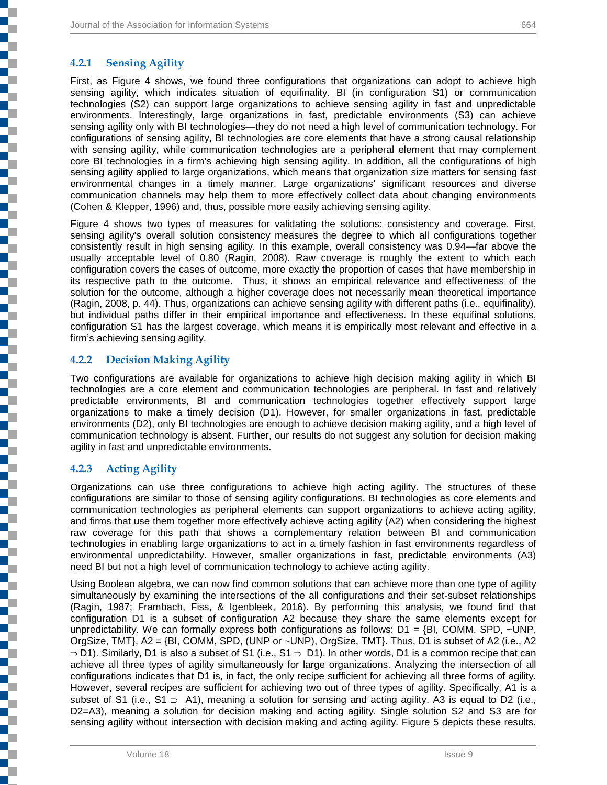### **4.2.1 Sensing Agility**

٦

First, as Figure 4 shows, we found three configurations that organizations can adopt to achieve high sensing agility, which indicates situation of equifinality. BI (in configuration S1) or communication technologies (S2) can support large organizations to achieve sensing agility in fast and unpredictable environments. Interestingly, large organizations in fast, predictable environments (S3) can achieve sensing agility only with BI technologies—they do not need a high level of communication technology. For configurations of sensing agility, BI technologies are core elements that have a strong causal relationship with sensing agility, while communication technologies are a peripheral element that may complement core BI technologies in a firm's achieving high sensing agility. In addition, all the configurations of high sensing agility applied to large organizations, which means that organization size matters for sensing fast environmental changes in a timely manner. Large organizations' significant resources and diverse communication channels may help them to more effectively collect data about changing environments (Cohen & Klepper, 1996) and, thus, possible more easily achieving sensing agility.

Figure 4 shows two types of measures for validating the solutions: consistency and coverage. First, sensing agility's overall solution consistency measures the degree to which all configurations together consistently result in high sensing agility. In this example, overall consistency was 0.94—far above the usually acceptable level of 0.80 (Ragin, 2008). Raw coverage is roughly the extent to which each configuration covers the cases of outcome, more exactly the proportion of cases that have membership in its respective path to the outcome. Thus, it shows an empirical relevance and effectiveness of the solution for the outcome, although a higher coverage does not necessarily mean theoretical importance (Ragin, 2008, p. 44). Thus, organizations can achieve sensing agility with different paths (i.e., equifinality), but individual paths differ in their empirical importance and effectiveness. In these equifinal solutions, configuration S1 has the largest coverage, which means it is empirically most relevant and effective in a firm's achieving sensing agility.

#### **4.2.2 Decision Making Agility**

Two configurations are available for organizations to achieve high decision making agility in which BI technologies are a core element and communication technologies are peripheral. In fast and relatively predictable environments, BI and communication technologies together effectively support large organizations to make a timely decision (D1). However, for smaller organizations in fast, predictable environments (D2), only BI technologies are enough to achieve decision making agility, and a high level of communication technology is absent. Further, our results do not suggest any solution for decision making agility in fast and unpredictable environments.

#### **4.2.3 Acting Agility**

Organizations can use three configurations to achieve high acting agility. The structures of these configurations are similar to those of sensing agility configurations. BI technologies as core elements and communication technologies as peripheral elements can support organizations to achieve acting agility, and firms that use them together more effectively achieve acting agility (A2) when considering the highest raw coverage for this path that shows a complementary relation between BI and communication technologies in enabling large organizations to act in a timely fashion in fast environments regardless of environmental unpredictability. However, smaller organizations in fast, predictable environments (A3) need BI but not a high level of communication technology to achieve acting agility.

Using Boolean algebra, we can now find common solutions that can achieve more than one type of agility simultaneously by examining the intersections of the all configurations and their set-subset relationships (Ragin, 1987; Frambach, Fiss, & Igenbleek, 2016). By performing this analysis, we found find that configuration D1 is a subset of configuration A2 because they share the same elements except for unpredictability. We can formally express both configurations as follows:  $D1 = {BI, COMM, SPD, ~UNP,}$ OrgSize, TMT}, A2 = {BI, COMM, SPD, (UNP or ~UNP), OrgSize, TMT}. Thus, D1 is subset of A2 (i.e., A2 ⊃ D1). Similarly, D1 is also a subset of S1 (i.e., S1 ⊃ D1). In other words, D1 is a common recipe that can achieve all three types of agility simultaneously for large organizations. Analyzing the intersection of all configurations indicates that D1 is, in fact, the only recipe sufficient for achieving all three forms of agility. However, several recipes are sufficient for achieving two out of three types of agility. Specifically, A1 is a subset of S1 (i.e., S1  $\supset$  A1), meaning a solution for sensing and acting agility. A3 is equal to D2 (i.e., D2=A3), meaning a solution for decision making and acting agility. Single solution S2 and S3 are for sensing agility without intersection with decision making and acting agility. Figure 5 depicts these results.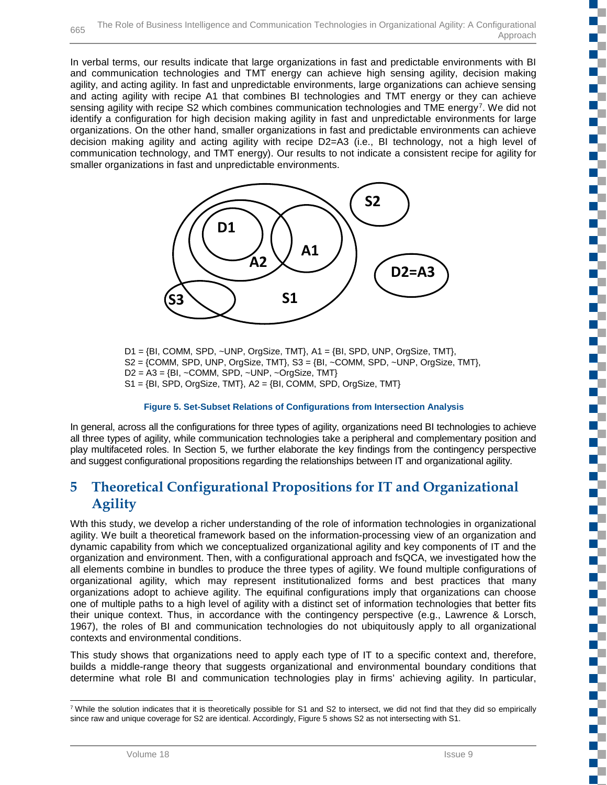In verbal terms, our results indicate that large organizations in fast and predictable environments with BI and communication technologies and TMT energy can achieve high sensing agility, decision making agility, and acting agility. In fast and unpredictable environments, large organizations can achieve sensing and acting agility with recipe A1 that combines BI technologies and TMT energy or they can achieve sensing agility with recipe S2 which combines communication technologies and TME energy<sup>7</sup>. We did not identify a configuration for high decision making agility in fast and unpredictable environments for large organizations. On the other hand, smaller organizations in fast and predictable environments can achieve decision making agility and acting agility with recipe D2=A3 (i.e., BI technology, not a high level of communication technology, and TMT energy). Our results to not indicate a consistent recipe for agility for smaller organizations in fast and unpredictable environments.



D1 = {BI, COMM, SPD, ~UNP, OrgSize, TMT}, A1 = {BI, SPD, UNP, OrgSize, TMT}, S2 = {COMM, SPD, UNP, OrgSize, TMT}, S3 = {BI, ~COMM, SPD, ~UNP, OrgSize, TMT},  $D2 = A3 = {BI, -COMM, SPD, -UNP, -OrgSize, TMT}$  $S1 = {BI, SPD, OrgSize, TMT}, A2 = {BI, COMM, SPD, OrgSize, TMT}$ 

#### **Figure 5. Set-Subset Relations of Configurations from Intersection Analysis**

In general, across all the configurations for three types of agility, organizations need BI technologies to achieve all three types of agility, while communication technologies take a peripheral and complementary position and play multifaceted roles. In Section 5, we further elaborate the key findings from the contingency perspective and suggest configurational propositions regarding the relationships between IT and organizational agility.

## **5 Theoretical Configurational Propositions for IT and Organizational Agility**

Wth this study, we develop a richer understanding of the role of information technologies in organizational agility. We built a theoretical framework based on the information-processing view of an organization and dynamic capability from which we conceptualized organizational agility and key components of IT and the organization and environment. Then, with a configurational approach and fsQCA, we investigated how the all elements combine in bundles to produce the three types of agility. We found multiple configurations of organizational agility, which may represent institutionalized forms and best practices that many organizations adopt to achieve agility. The equifinal configurations imply that organizations can choose one of multiple paths to a high level of agility with a distinct set of information technologies that better fits their unique context. Thus, in accordance with the contingency perspective (e.g., Lawrence & Lorsch, 1967), the roles of BI and communication technologies do not ubiquitously apply to all organizational contexts and environmental conditions.

This study shows that organizations need to apply each type of IT to a specific context and, therefore, builds a middle-range theory that suggests organizational and environmental boundary conditions that determine what role BI and communication technologies play in firms' achieving agility. In particular,

Œ

<span id="page-17-0"></span> $7$  While the solution indicates that it is theoretically possible for S1 and S2 to intersect, we did not find that they did so empirically since raw and unique coverage for S2 are identical. Accordingly, Figure 5 shows S2 as not intersecting with S1.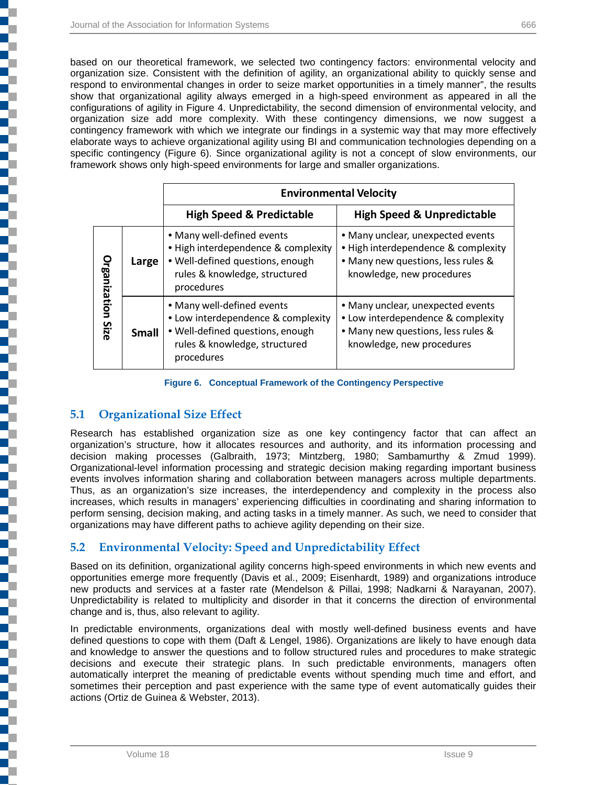based on our theoretical framework, we selected two contingency factors: environmental velocity and organization size. Consistent with the definition of agility, an organizational ability to quickly sense and respond to environmental changes in order to seize market opportunities in a timely manner", the results show that organizational agility always emerged in a high-speed environment as appeared in all the configurations of agility in Figure 4. Unpredictability, the second dimension of environmental velocity, and organization size add more complexity. With these contingency dimensions, we now suggest a contingency framework with which we integrate our findings in a systemic way that may more effectively elaborate ways to achieve organizational agility using BI and communication technologies depending on a specific contingency (Figure 6). Since organizational agility is not a concept of slow environments, our framework shows only high-speed environments for large and smaller organizations.

|                     |              | <b>Environmental Velocity</b>                                                                                                                        |                                                                                                                                             |  |  |
|---------------------|--------------|------------------------------------------------------------------------------------------------------------------------------------------------------|---------------------------------------------------------------------------------------------------------------------------------------------|--|--|
|                     |              | <b>High Speed &amp; Predictable</b>                                                                                                                  | <b>High Speed &amp; Unpredictable</b>                                                                                                       |  |  |
| <b>Organization</b> | Large        | • Many well-defined events<br>• High interdependence & complexity<br>. Well-defined questions, enough<br>rules & knowledge, structured<br>procedures | • Many unclear, unexpected events<br>· High interdependence & complexity<br>• Many new questions, less rules &<br>knowledge, new procedures |  |  |
| Size                | <b>Small</b> | • Many well-defined events<br>• Low interdependence & complexity<br>. Well-defined questions, enough<br>rules & knowledge, structured<br>procedures  | • Many unclear, unexpected events<br>• Low interdependence & complexity<br>. Many new questions, less rules &<br>knowledge, new procedures  |  |  |

**Figure 6. Conceptual Framework of the Contingency Perspective** 

### **5.1 Organizational Size Effect**

Research has established organization size as one key contingency factor that can affect an organization's structure, how it allocates resources and authority, and its information processing and decision making processes (Galbraith, 1973; Mintzberg, 1980; Sambamurthy & Zmud 1999). Organizational-level information processing and strategic decision making regarding important business events involves information sharing and collaboration between managers across multiple departments. Thus, as an organization's size increases, the interdependency and complexity in the process also increases, which results in managers' experiencing difficulties in coordinating and sharing information to perform sensing, decision making, and acting tasks in a timely manner. As such, we need to consider that organizations may have different paths to achieve agility depending on their size.

### **5.2 Environmental Velocity: Speed and Unpredictability Effect**

Based on its definition, organizational agility concerns high-speed environments in which new events and opportunities emerge more frequently (Davis et al., 2009; Eisenhardt, 1989) and organizations introduce new products and services at a faster rate (Mendelson & Pillai, 1998; Nadkarni & Narayanan, 2007). Unpredictability is related to multiplicity and disorder in that it concerns the direction of environmental change and is, thus, also relevant to agility.

In predictable environments, organizations deal with mostly well-defined business events and have defined questions to cope with them (Daft & Lengel, 1986). Organizations are likely to have enough data and knowledge to answer the questions and to follow structured rules and procedures to make strategic decisions and execute their strategic plans. In such predictable environments, managers often automatically interpret the meaning of predictable events without spending much time and effort, and sometimes their perception and past experience with the same type of event automatically guides their actions (Ortiz de Guinea & Webster, 2013).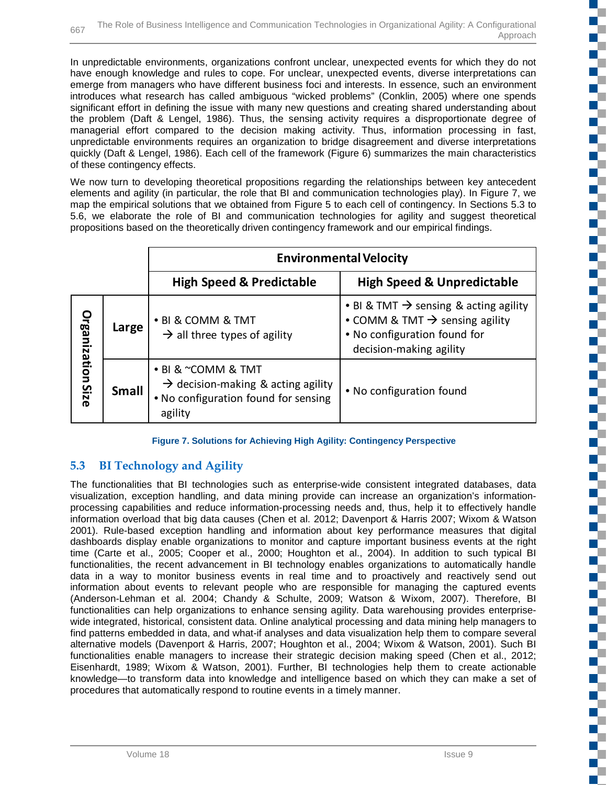In unpredictable environments, organizations confront unclear, unexpected events for which they do not have enough knowledge and rules to cope. For unclear, unexpected events, diverse interpretations can emerge from managers who have different business foci and interests. In essence, such an environment introduces what research has called ambiguous "wicked problems" (Conklin, 2005) where one spends significant effort in defining the issue with many new questions and creating shared understanding about the problem (Daft & Lengel, 1986). Thus, the sensing activity requires a disproportionate degree of managerial effort compared to the decision making activity. Thus, information processing in fast, unpredictable environments requires an organization to bridge disagreement and diverse interpretations quickly (Daft & Lengel, 1986). Each cell of the framework (Figure 6) summarizes the main characteristics of these contingency effects.

We now turn to developing theoretical propositions regarding the relationships between key antecedent elements and agility (in particular, the role that BI and communication technologies play). In Figure 7, we map the empirical solutions that we obtained from Figure 5 to each cell of contingency. In Sections 5.3 to 5.6, we elaborate the role of BI and communication technologies for agility and suggest theoretical propositions based on the theoretically driven contingency framework and our empirical findings.

|                   |              | <b>Environmental Velocity</b>                                                                                           |                                                                                                                                                            |  |  |
|-------------------|--------------|-------------------------------------------------------------------------------------------------------------------------|------------------------------------------------------------------------------------------------------------------------------------------------------------|--|--|
|                   |              | <b>High Speed &amp; Predictable</b>                                                                                     | <b>High Speed &amp; Unpredictable</b>                                                                                                                      |  |  |
| Organization Size | Large        | • BI & COMM & TMT<br>$\rightarrow$ all three types of agility                                                           | • BI & TMT $\rightarrow$ sensing & acting agility<br>• COMM & TMT $\rightarrow$ sensing agility<br>. No configuration found for<br>decision-making agility |  |  |
|                   | <b>Small</b> | • BI & ~COMM & TMT<br>$\rightarrow$ decision-making & acting agility<br>• No configuration found for sensing<br>agility | • No configuration found                                                                                                                                   |  |  |

**Figure 7. Solutions for Achieving High Agility: Contingency Perspective**

## **5.3 BI Technology and Agility**

The functionalities that BI technologies such as enterprise-wide consistent integrated databases, data visualization, exception handling, and data mining provide can increase an organization's informationprocessing capabilities and reduce information-processing needs and, thus, help it to effectively handle information overload that big data causes (Chen et al. 2012; Davenport & Harris 2007; Wixom & Watson 2001). Rule-based exception handling and information about key performance measures that digital dashboards display enable organizations to monitor and capture important business events at the right time (Carte et al., 2005; Cooper et al., 2000; Houghton et al., 2004). In addition to such typical BI functionalities, the recent advancement in BI technology enables organizations to automatically handle data in a way to monitor business events in real time and to proactively and reactively send out information about events to relevant people who are responsible for managing the captured events (Anderson-Lehman et al. 2004; Chandy & Schulte, 2009; Watson & Wixom, 2007). Therefore, BI functionalities can help organizations to enhance sensing agility. Data warehousing provides enterprisewide integrated, historical, consistent data. Online analytical processing and data mining help managers to find patterns embedded in data, and what-if analyses and data visualization help them to compare several alternative models (Davenport & Harris, 2007; Houghton et al., 2004; Wixom & Watson, 2001). Such BI functionalities enable managers to increase their strategic decision making speed (Chen et al., 2012; Eisenhardt, 1989; Wixom & Watson, 2001). Further, BI technologies help them to create actionable knowledge—to transform data into knowledge and intelligence based on which they can make a set of procedures that automatically respond to routine events in a timely manner.

ť.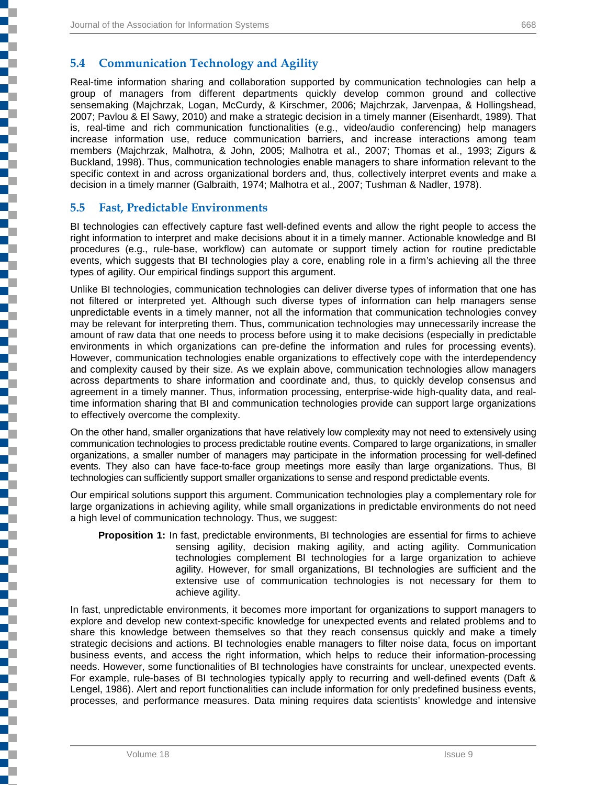## **5.4 Communication Technology and Agility**

Real-time information sharing and collaboration supported by communication technologies can help a group of managers from different departments quickly develop common ground and collective sensemaking (Majchrzak, Logan, McCurdy, & Kirschmer, 2006; Majchrzak, Jarvenpaa, & Hollingshead, 2007; Pavlou & El Sawy, 2010) and make a strategic decision in a timely manner (Eisenhardt, 1989). That is, real-time and rich communication functionalities (e.g., video/audio conferencing) help managers increase information use, reduce communication barriers, and increase interactions among team members (Majchrzak, Malhotra, & John, 2005; Malhotra et al., 2007; Thomas et al., 1993; Zigurs & Buckland, 1998). Thus, communication technologies enable managers to share information relevant to the specific context in and across organizational borders and, thus, collectively interpret events and make a decision in a timely manner (Galbraith, 1974; Malhotra et al., 2007; Tushman & Nadler, 1978).

### **5.5 Fast, Predictable Environments**

į

j

į

l

i

j

BI technologies can effectively capture fast well-defined events and allow the right people to access the right information to interpret and make decisions about it in a timely manner. Actionable knowledge and BI procedures (e.g., rule-base, workflow) can automate or support timely action for routine predictable events, which suggests that BI technologies play a core, enabling role in a firm's achieving all the three types of agility. Our empirical findings support this argument.

Unlike BI technologies, communication technologies can deliver diverse types of information that one has not filtered or interpreted yet. Although such diverse types of information can help managers sense unpredictable events in a timely manner, not all the information that communication technologies convey may be relevant for interpreting them. Thus, communication technologies may unnecessarily increase the amount of raw data that one needs to process before using it to make decisions (especially in predictable environments in which organizations can pre-define the information and rules for processing events). However, communication technologies enable organizations to effectively cope with the interdependency and complexity caused by their size. As we explain above, communication technologies allow managers across departments to share information and coordinate and, thus, to quickly develop consensus and agreement in a timely manner. Thus, information processing, enterprise-wide high-quality data, and realtime information sharing that BI and communication technologies provide can support large organizations to effectively overcome the complexity.

On the other hand, smaller organizations that have relatively low complexity may not need to extensively using communication technologies to process predictable routine events. Compared to large organizations, in smaller organizations, a smaller number of managers may participate in the information processing for well-defined events. They also can have face-to-face group meetings more easily than large organizations. Thus, BI technologies can sufficiently support smaller organizations to sense and respond predictable events.

Our empirical solutions support this argument. Communication technologies play a complementary role for large organizations in achieving agility, while small organizations in predictable environments do not need a high level of communication technology. Thus, we suggest:

**Proposition 1:** In fast, predictable environments, BI technologies are essential for firms to achieve sensing agility, decision making agility, and acting agility. Communication technologies complement BI technologies for a large organization to achieve agility. However, for small organizations, BI technologies are sufficient and the extensive use of communication technologies is not necessary for them to achieve agility.

In fast, unpredictable environments, it becomes more important for organizations to support managers to explore and develop new context-specific knowledge for unexpected events and related problems and to share this knowledge between themselves so that they reach consensus quickly and make a timely strategic decisions and actions. BI technologies enable managers to filter noise data, focus on important business events, and access the right information, which helps to reduce their information-processing needs. However, some functionalities of BI technologies have constraints for unclear, unexpected events. For example, rule-bases of BI technologies typically apply to recurring and well-defined events (Daft & Lengel, 1986). Alert and report functionalities can include information for only predefined business events, processes, and performance measures. Data mining requires data scientists' knowledge and intensive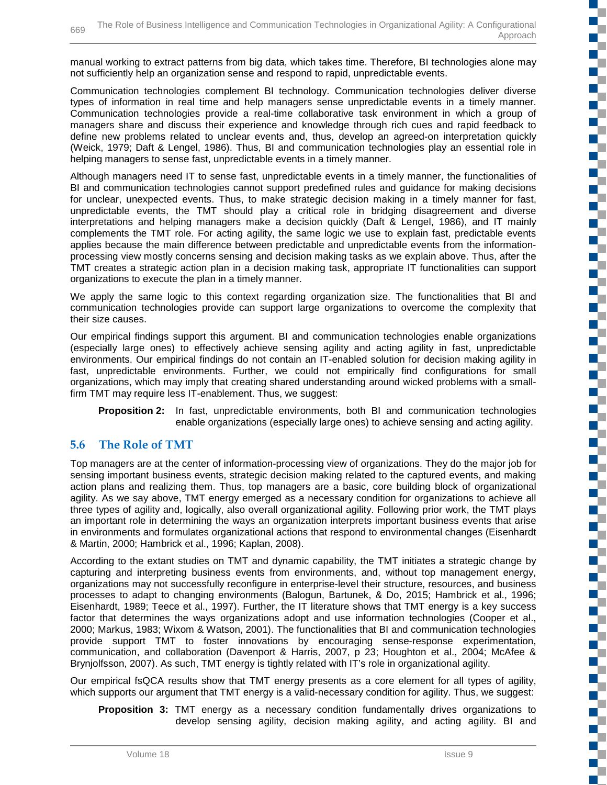manual working to extract patterns from big data, which takes time. Therefore, BI technologies alone may not sufficiently help an organization sense and respond to rapid, unpredictable events.

Communication technologies complement BI technology. Communication technologies deliver diverse types of information in real time and help managers sense unpredictable events in a timely manner. Communication technologies provide a real-time collaborative task environment in which a group of managers share and discuss their experience and knowledge through rich cues and rapid feedback to define new problems related to unclear events and, thus, develop an agreed-on interpretation quickly (Weick, 1979; Daft & Lengel, 1986). Thus, BI and communication technologies play an essential role in helping managers to sense fast, unpredictable events in a timely manner.

Although managers need IT to sense fast, unpredictable events in a timely manner, the functionalities of BI and communication technologies cannot support predefined rules and guidance for making decisions for unclear, unexpected events. Thus, to make strategic decision making in a timely manner for fast, unpredictable events, the TMT should play a critical role in bridging disagreement and diverse interpretations and helping managers make a decision quickly (Daft & Lengel, 1986), and IT mainly complements the TMT role. For acting agility, the same logic we use to explain fast, predictable events applies because the main difference between predictable and unpredictable events from the informationprocessing view mostly concerns sensing and decision making tasks as we explain above. Thus, after the TMT creates a strategic action plan in a decision making task, appropriate IT functionalities can support organizations to execute the plan in a timely manner.

We apply the same logic to this context regarding organization size. The functionalities that BI and communication technologies provide can support large organizations to overcome the complexity that their size causes.

Our empirical findings support this argument. BI and communication technologies enable organizations (especially large ones) to effectively achieve sensing agility and acting agility in fast, unpredictable environments. Our empirical findings do not contain an IT-enabled solution for decision making agility in fast, unpredictable environments. Further, we could not empirically find configurations for small organizations, which may imply that creating shared understanding around wicked problems with a smallfirm TMT may require less IT-enablement. Thus, we suggest:

**Proposition 2:** In fast, unpredictable environments, both BI and communication technologies enable organizations (especially large ones) to achieve sensing and acting agility.

### **5.6 The Role of TMT**

Top managers are at the center of information-processing view of organizations. They do the major job for sensing important business events, strategic decision making related to the captured events, and making action plans and realizing them. Thus, top managers are a basic, core building block of organizational agility. As we say above, TMT energy emerged as a necessary condition for organizations to achieve all three types of agility and, logically, also overall organizational agility. Following prior work, the TMT plays an important role in determining the ways an organization interprets important business events that arise in environments and formulates organizational actions that respond to environmental changes (Eisenhardt & Martin, 2000; Hambrick et al., 1996; Kaplan, 2008).

According to the extant studies on TMT and dynamic capability, the TMT initiates a strategic change by capturing and interpreting business events from environments, and, without top management energy, organizations may not successfully reconfigure in enterprise-level their structure, resources, and business processes to adapt to changing environments (Balogun, Bartunek, & Do, 2015; Hambrick et al., 1996; Eisenhardt, 1989; Teece et al., 1997). Further, the IT literature shows that TMT energy is a key success factor that determines the ways organizations adopt and use information technologies (Cooper et al., 2000; Markus, 1983; Wixom & Watson, 2001). The functionalities that BI and communication technologies provide support TMT to foster innovations by encouraging sense-response experimentation, communication, and collaboration (Davenport & Harris, 2007, p 23; Houghton et al., 2004; McAfee & Brynjolfsson, 2007). As such, TMT energy is tightly related with IT's role in organizational agility.

Our empirical fsQCA results show that TMT energy presents as a core element for all types of agility, which supports our argument that TMT energy is a valid-necessary condition for agility. Thus, we suggest:

**Proposition 3:** TMT energy as a necessary condition fundamentally drives organizations to develop sensing agility, decision making agility, and acting agility. BI and n T

n T Г E.

۳ T E. ď.

E. n. د بر<br>ا Z

E.

C ď.

n.  $\mathbb{R}^+$ 

a.

n T

 $\mathbb{R}^n$ **IST** 

 $\mathbb{R}^+$ æ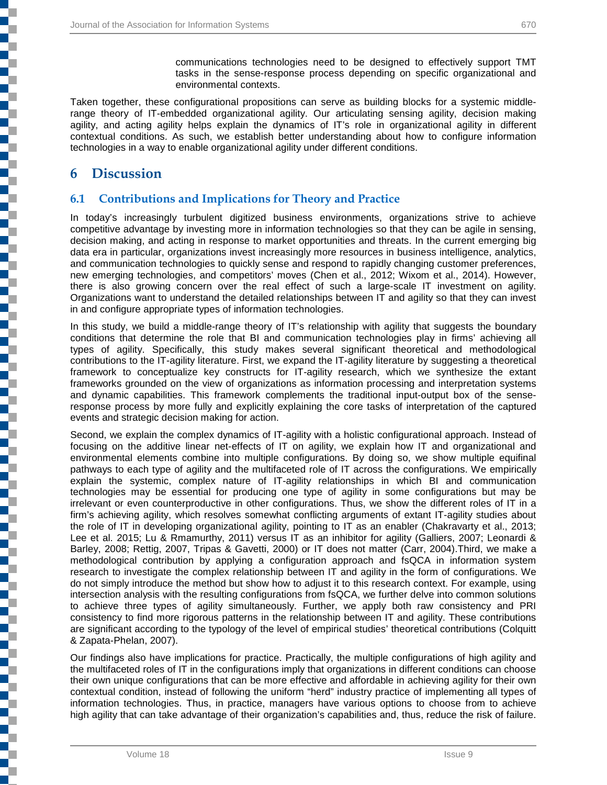communications technologies need to be designed to effectively support TMT tasks in the sense-response process depending on specific organizational and environmental contexts.

Taken together, these configurational propositions can serve as building blocks for a systemic middlerange theory of IT-embedded organizational agility. Our articulating sensing agility, decision making agility, and acting agility helps explain the dynamics of IT's role in organizational agility in different contextual conditions. As such, we establish better understanding about how to configure information technologies in a way to enable organizational agility under different conditions.

## **6 Discussion**

j

## **6.1 Contributions and Implications for Theory and Practice**

In today's increasingly turbulent digitized business environments, organizations strive to achieve competitive advantage by investing more in information technologies so that they can be agile in sensing, decision making, and acting in response to market opportunities and threats. In the current emerging big data era in particular, organizations invest increasingly more resources in business intelligence, analytics, and communication technologies to quickly sense and respond to rapidly changing customer preferences, new emerging technologies, and competitors' moves (Chen et al., 2012; Wixom et al., 2014). However, there is also growing concern over the real effect of such a large-scale IT investment on agility. Organizations want to understand the detailed relationships between IT and agility so that they can invest in and configure appropriate types of information technologies.

In this study, we build a middle-range theory of IT's relationship with agility that suggests the boundary conditions that determine the role that BI and communication technologies play in firms' achieving all types of agility. Specifically, this study makes several significant theoretical and methodological contributions to the IT-agility literature. First, we expand the IT-agility literature by suggesting a theoretical framework to conceptualize key constructs for IT-agility research, which we synthesize the extant frameworks grounded on the view of organizations as information processing and interpretation systems and dynamic capabilities. This framework complements the traditional input-output box of the senseresponse process by more fully and explicitly explaining the core tasks of interpretation of the captured events and strategic decision making for action.

Second, we explain the complex dynamics of IT-agility with a holistic configurational approach. Instead of focusing on the additive linear net-effects of IT on agility, we explain how IT and organizational and environmental elements combine into multiple configurations. By doing so, we show multiple equifinal pathways to each type of agility and the multifaceted role of IT across the configurations. We empirically explain the systemic, complex nature of IT-agility relationships in which BI and communication technologies may be essential for producing one type of agility in some configurations but may be irrelevant or even counterproductive in other configurations. Thus, we show the different roles of IT in a firm's achieving agility, which resolves somewhat conflicting arguments of extant IT-agility studies about the role of IT in developing organizational agility, pointing to IT as an enabler (Chakravarty et al., 2013; Lee et al. 2015; Lu & Rmamurthy, 2011) versus IT as an inhibitor for agility (Galliers, 2007; Leonardi & Barley, 2008; Rettig, 2007, Tripas & Gavetti, 2000) or IT does not matter (Carr, 2004).Third, we make a methodological contribution by applying a configuration approach and fsQCA in information system research to investigate the complex relationship between IT and agility in the form of configurations. We do not simply introduce the method but show how to adjust it to this research context. For example, using intersection analysis with the resulting configurations from fsQCA, we further delve into common solutions to achieve three types of agility simultaneously. Further, we apply both raw consistency and PRI consistency to find more rigorous patterns in the relationship between IT and agility. These contributions are significant according to the typology of the level of empirical studies' theoretical contributions (Colquitt & Zapata-Phelan, 2007).

Our findings also have implications for practice. Practically, the multiple configurations of high agility and the multifaceted roles of IT in the configurations imply that organizations in different conditions can choose their own unique configurations that can be more effective and affordable in achieving agility for their own contextual condition, instead of following the uniform "herd" industry practice of implementing all types of information technologies. Thus, in practice, managers have various options to choose from to achieve high agility that can take advantage of their organization's capabilities and, thus, reduce the risk of failure.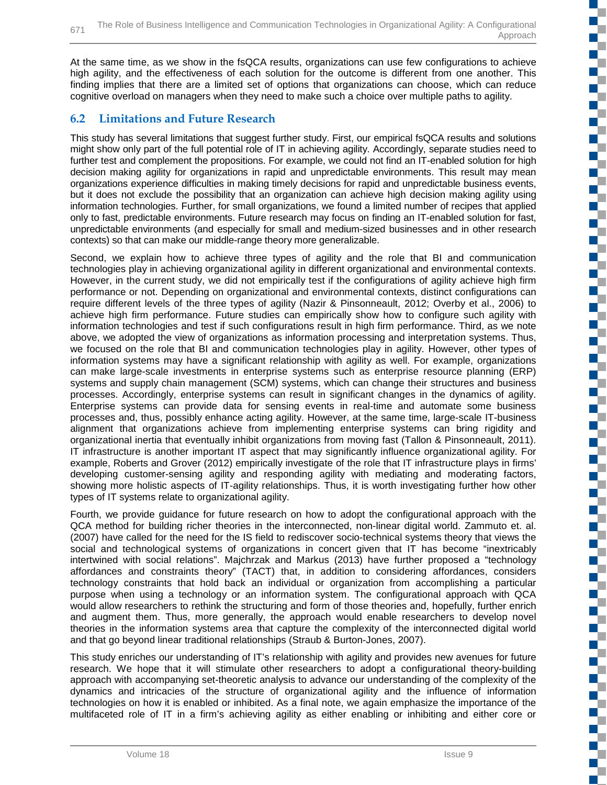At the same time, as we show in the fsQCA results, organizations can use few configurations to achieve high agility, and the effectiveness of each solution for the outcome is different from one another. This finding implies that there are a limited set of options that organizations can choose, which can reduce cognitive overload on managers when they need to make such a choice over multiple paths to agility.

## **6.2 Limitations and Future Research**

This study has several limitations that suggest further study. First, our empirical fsQCA results and solutions might show only part of the full potential role of IT in achieving agility. Accordingly, separate studies need to further test and complement the propositions. For example, we could not find an IT-enabled solution for high decision making agility for organizations in rapid and unpredictable environments. This result may mean organizations experience difficulties in making timely decisions for rapid and unpredictable business events, but it does not exclude the possibility that an organization can achieve high decision making agility using information technologies. Further, for small organizations, we found a limited number of recipes that applied only to fast, predictable environments. Future research may focus on finding an IT-enabled solution for fast, unpredictable environments (and especially for small and medium-sized businesses and in other research contexts) so that can make our middle-range theory more generalizable.

Second, we explain how to achieve three types of agility and the role that BI and communication technologies play in achieving organizational agility in different organizational and environmental contexts. However, in the current study, we did not empirically test if the configurations of agility achieve high firm performance or not. Depending on organizational and environmental contexts, distinct configurations can require different levels of the three types of agility (Nazir & Pinsonneault, 2012; Overby et al., 2006) to achieve high firm performance. Future studies can empirically show how to configure such agility with information technologies and test if such configurations result in high firm performance. Third, as we note above, we adopted the view of organizations as information processing and interpretation systems. Thus, we focused on the role that BI and communication technologies play in agility. However, other types of information systems may have a significant relationship with agility as well. For example, organizations can make large-scale investments in enterprise systems such as enterprise resource planning (ERP) systems and supply chain management (SCM) systems, which can change their structures and business processes. Accordingly, enterprise systems can result in significant changes in the dynamics of agility. Enterprise systems can provide data for sensing events in real-time and automate some business processes and, thus, possibly enhance acting agility. However, at the same time, large-scale IT-business alignment that organizations achieve from implementing enterprise systems can bring rigidity and organizational inertia that eventually inhibit organizations from moving fast (Tallon & Pinsonneault, 2011). IT infrastructure is another important IT aspect that may significantly influence organizational agility. For example, Roberts and Grover (2012) empirically investigate of the role that IT infrastructure plays in firms' developing customer-sensing agility and responding agility with mediating and moderating factors, showing more holistic aspects of IT-agility relationships. Thus, it is worth investigating further how other types of IT systems relate to organizational agility.

Fourth, we provide guidance for future research on how to adopt the configurational approach with the QCA method for building richer theories in the interconnected, non-linear digital world. Zammuto et. al. (2007) have called for the need for the IS field to rediscover socio-technical systems theory that views the social and technological systems of organizations in concert given that IT has become "inextricably intertwined with social relations". Majchrzak and Markus (2013) have further proposed a "technology affordances and constraints theory" (TACT) that, in addition to considering affordances, considers technology constraints that hold back an individual or organization from accomplishing a particular purpose when using a technology or an information system. The configurational approach with QCA would allow researchers to rethink the structuring and form of those theories and, hopefully, further enrich and augment them. Thus, more generally, the approach would enable researchers to develop novel theories in the information systems area that capture the complexity of the interconnected digital world and that go beyond linear traditional relationships (Straub & Burton-Jones, 2007).

This study enriches our understanding of IT's relationship with agility and provides new avenues for future research. We hope that it will stimulate other researchers to adopt a configurational theory-building approach with accompanying set-theoretic analysis to advance our understanding of the complexity of the dynamics and intricacies of the structure of organizational agility and the influence of information technologies on how it is enabled or inhibited. As a final note, we again emphasize the importance of the multifaceted role of IT in a firm's achieving agility as either enabling or inhibiting and either core or

 $\mathbb{R}^{\mathbb{Z}}$ a j  $\overline{\phantom{a}}$ C E. E. a pr T

EĒ. m. n T

 $\mathbb{R}^2$ a p

T.

**The Co** 

E ٣Ē,

T.

a. **TILL TT** 

Œ  $\mathbb{R}^{\mathbb{Z}}$ **Ta** a. Ű. T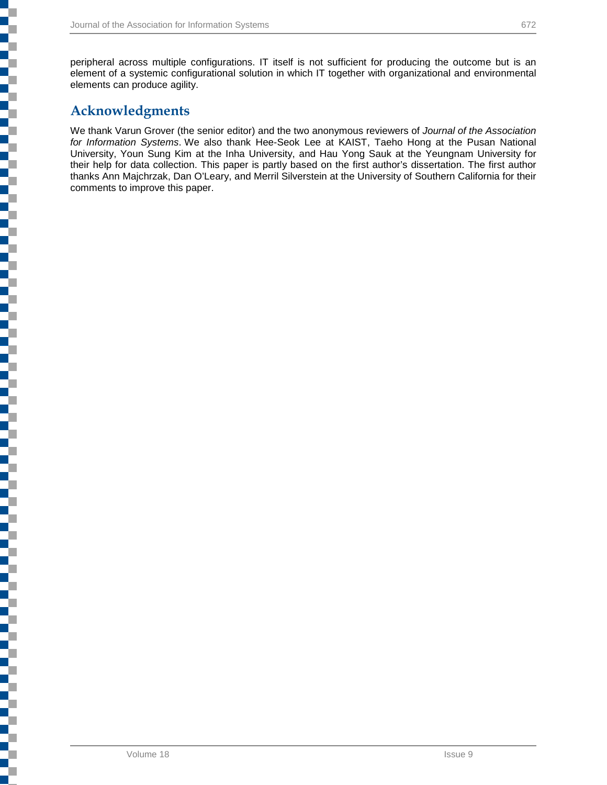peripheral across multiple configurations. IT itself is not sufficient for producing the outcome but is an element of a systemic configurational solution in which IT together with organizational and environmental elements can produce agility.

## **Acknowledgments**

l

٦

j

į

Ę

į

Ş

5

j

j

i<br>I

i<br>Li

We thank Varun Grover (the senior editor) and the two anonymous reviewers of *Journal of the Association for Information Systems*. We also thank Hee-Seok Lee at KAIST, Taeho Hong at the Pusan National University, Youn Sung Kim at the Inha University, and Hau Yong Sauk at the Yeungnam University for their help for data collection. This paper is partly based on the first author's dissertation. The first author thanks Ann Majchrzak, Dan O'Leary, and Merril Silverstein at the University of Southern California for their comments to improve this paper.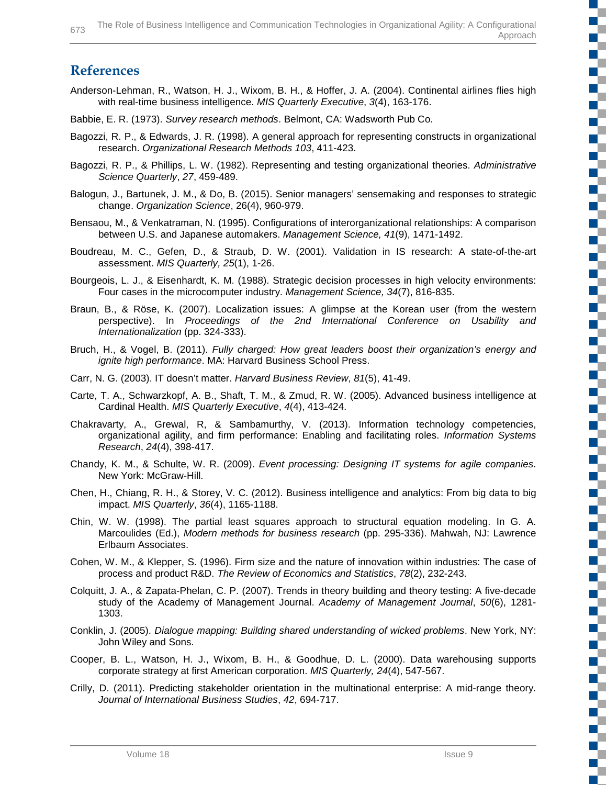Anderson-Lehman, R., Watson, H. J., Wixom, B. H., & Hoffer, J. A. (2004). Continental airlines flies high with real-time business intelligence. *MIS Quarterly Executive*, *3*(4), 163-176. Babbie, E. R. (1973). *Survey research methods*. Belmont, CA: Wadsworth Pub Co. Bagozzi, R. P., & Edwards, J. R. (1998). A general approach for representing constructs in organizational research. *Organizational Research Methods 103*, 411-423. Bagozzi, R. P., & Phillips, L. W. (1982). Representing and testing organizational theories. *Administrative*  Balogun, J., Bartunek, J. M., & Do, B. (2015). Senior managers' sensemaking and responses to strategic change. *Organization Science*, 26(4), 960-979. Bensaou, M., & Venkatraman, N. (1995). Configurations of interorganizational relationships: A comparison between U.S. and Japanese automakers. *Management Science, 41*(9), 1471-1492.

L

c

<u>ra</u>

n T

E.

T

D.

Œ c

s.

D. T

 $\mathbb{R}^2$ 

- Boudreau, M. C., Gefen, D., & Straub, D. W. (2001). Validation in IS research: A state-of-the-art assessment. *MIS Quarterly, 25*(1), 1-26.
- Bourgeois, L. J., & Eisenhardt, K. M. (1988). Strategic decision processes in high velocity environments: Four cases in the microcomputer industry. *Management Science, 34*(7), 816-835.
- Braun, B., & Röse, K. (2007). Localization issues: A glimpse at the Korean user (from the western perspective). In *Proceedings of the 2nd International Conference on Usability and Internationalization* (pp. 324-333).
- Bruch, H., & Vogel, B. (2011). *Fully charged: How great leaders boost their organization's energy and ignite high performance*. MA: Harvard Business School Press.
- Carr, N. G. (2003). IT doesn't matter. *Harvard Business Review*, *81*(5), 41-49.
- Carte, T. A., Schwarzkopf, A. B., Shaft, T. M., & Zmud, R. W. (2005). Advanced business intelligence at Cardinal Health. *MIS Quarterly Executive*, *4*(4), 413-424.
- Chakravarty, A., Grewal, R, & Sambamurthy, V. (2013). Information technology competencies, organizational agility, and firm performance: Enabling and facilitating roles. *Information Systems Research*, *24*(4), 398-417.
- Chandy, K. M., & Schulte, W. R. (2009). *Event processing: Designing IT systems for agile companies*. New York: McGraw-Hill.
- Chen, H., Chiang, R. H., & Storey, V. C. (2012). Business intelligence and analytics: From big data to big impact. *MIS Quarterly*, *36*(4), 1165-1188.
- Chin, W. W. (1998). The partial least squares approach to structural equation modeling. In G. A. Marcoulides (Ed.), *Modern methods for business research* (pp. 295-336). Mahwah, NJ: Lawrence Erlbaum Associates.
- Cohen, W. M., & Klepper, S. (1996). Firm size and the nature of innovation within industries: The case of process and product R&D. *The Review of Economics and Statistics*, *78*(2), 232-243.
- Colquitt, J. A., & Zapata-Phelan, C. P. (2007). Trends in theory building and theory testing: A five-decade study of the Academy of Management Journal. *Academy of Management Journal*, *50*(6), 1281- 1303.
- Conklin, J. (2005). *Dialogue mapping: Building shared understanding of wicked problems*. New York, NY: John Wiley and Sons.
- Cooper, B. L., Watson, H. J., Wixom, B. H., & Goodhue, D. L. (2000). Data warehousing supports corporate strategy at first American corporation. *MIS Quarterly, 24*(4), 547-567.
- Crilly, D. (2011). Predicting stakeholder orientation in the multinational enterprise: A mid-range theory. *Journal of International Business Studies*, *42*, 694-717.

**References**

*Science Quarterly*, *27*, 459-489.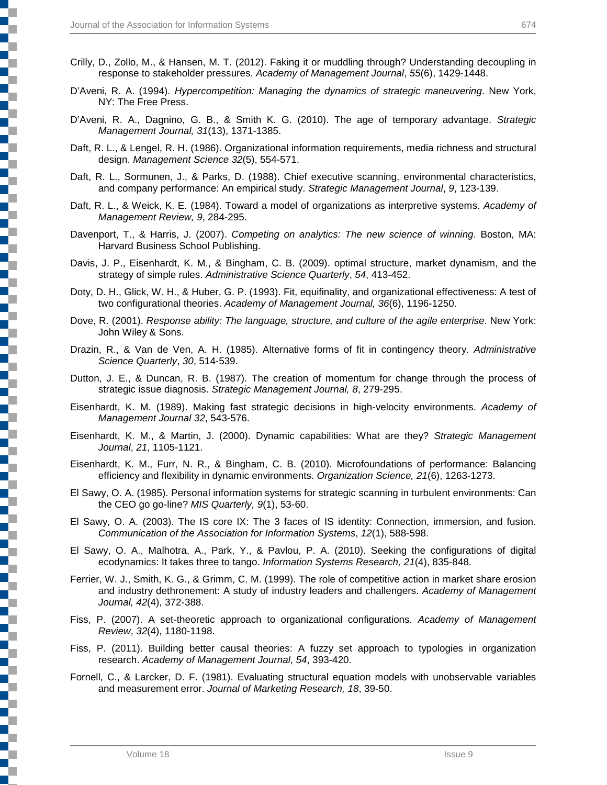- Crilly, D., Zollo, M., & Hansen, M. T. (2012). Faking it or muddling through? Understanding decoupling in response to stakeholder pressures. *Academy of Management Journal*, *55*(6), 1429-1448.
- D'Aveni, R. A. (1994). *Hypercompetition: Managing the dynamics of strategic maneuvering*. New York, NY: The Free Press.
- D'Aveni, R. A., Dagnino, G. B., & Smith K. G. (2010). The age of temporary advantage. *Strategic Management Journal, 31*(13), 1371-1385.
- Daft, R. L., & Lengel, R. H. (1986). Organizational information requirements, media richness and structural design. *Management Science 32*(5), 554-571.
- Daft, R. L., Sormunen, J., & Parks, D. (1988). Chief executive scanning, environmental characteristics, and company performance: An empirical study. *Strategic Management Journal*, *9*, 123-139.
- Daft, R. L., & Weick, K. E. (1984). Toward a model of organizations as interpretive systems. *Academy of Management Review, 9*, 284-295.
- Davenport, T., & Harris, J. (2007). *Competing on analytics: The new science of winning*. Boston, MA: Harvard Business School Publishing.
- Davis, J. P., Eisenhardt, K. M., & Bingham, C. B. (2009). optimal structure, market dynamism, and the strategy of simple rules. *Administrative Science Quarterly*, *54*, 413-452.
- Doty, D. H., Glick, W. H., & Huber, G. P. (1993). Fit, equifinality, and organizational effectiveness: A test of two configurational theories. *Academy of Management Journal, 36*(6), 1196-1250.
- Dove, R. (2001). *Response ability: The language, structure, and culture of the agile enterprise*. New York: John Wiley & Sons.
- Drazin, R., & Van de Ven, A. H. (1985). Alternative forms of fit in contingency theory. *Administrative Science Quarterly*, *30*, 514-539.
- Dutton, J. E., & Duncan, R. B. (1987). The creation of momentum for change through the process of strategic issue diagnosis. *Strategic Management Journal, 8*, 279-295.
- Eisenhardt, K. M. (1989). Making fast strategic decisions in high-velocity environments. *Academy of Management Journal 32*, 543-576.
- Eisenhardt, K. M., & Martin, J. (2000). Dynamic capabilities: What are they? *Strategic Management Journal*, *21*, 1105-1121.
- Eisenhardt, K. M., Furr, N. R., & Bingham, C. B. (2010). Microfoundations of performance: Balancing efficiency and flexibility in dynamic environments. *Organization Science, 21*(6), 1263-1273.
- El Sawy, O. A. (1985). Personal information systems for strategic scanning in turbulent environments: Can the CEO go go-line? *MIS Quarterly, 9*(1), 53-60.
- El Sawy, O. A. (2003). The IS core IX: The 3 faces of IS identity: Connection, immersion, and fusion. *Communication of the Association for Information Systems*, *12*(1), 588-598.
- El Sawy, O. A., Malhotra, A., Park, Y., & Pavlou, P. A. (2010). Seeking the configurations of digital ecodynamics: It takes three to tango. *Information Systems Research, 21*(4), 835-848.
- Ferrier, W. J., Smith, K. G., & Grimm, C. M. (1999). The role of competitive action in market share erosion and industry dethronement: A study of industry leaders and challengers. *Academy of Management Journal, 42*(4), 372-388.
- Fiss, P. (2007). A set-theoretic approach to organizational configurations. *Academy of Management Review*, *32*(4), 1180-1198.
- Fiss, P. (2011). Building better causal theories: A fuzzy set approach to typologies in organization research. *Academy of Management Journal, 54*, 393-420.
- Fornell, C., & Larcker, D. F. (1981). Evaluating structural equation models with unobservable variables and measurement error. *Journal of Marketing Research, 18*, 39-50.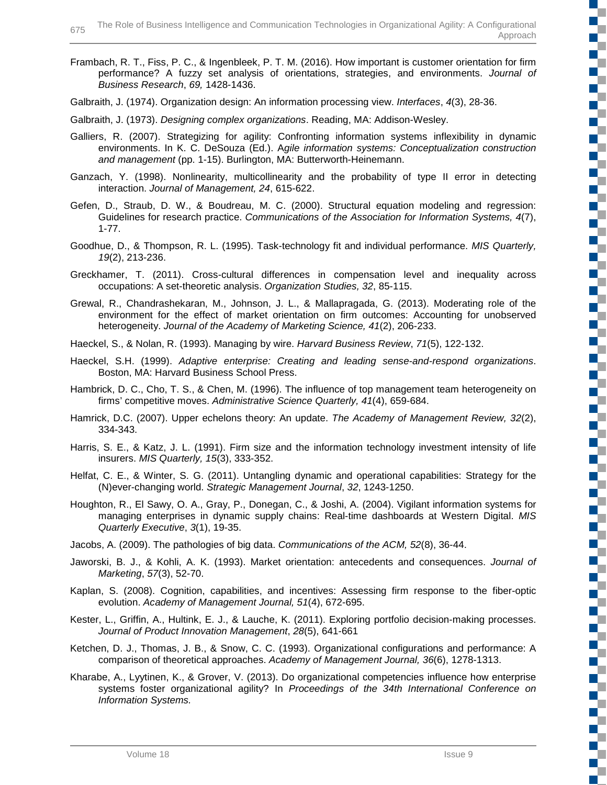Frambach, R. T., Fiss, P. C., & Ingenbleek, P. T. M. (2016). How important is customer orientation for firm performance? A fuzzy set analysis of orientations, strategies, and environments. *Journal of Business Research*, *69,* 1428-1436.

Galbraith, J. (1974). Organization design: An information processing view. *Interfaces*, *4*(3), 28-36.

- Galbraith, J. (1973). *Designing complex organizations*. Reading, MA: Addison-Wesley.
- Galliers, R. (2007). Strategizing for agility: Confronting information systems inflexibility in dynamic environments. In K. C. DeSouza (Ed.). A*gile information systems: Conceptualization construction and management* (pp. 1-15). Burlington, MA: Butterworth-Heinemann.
- Ganzach, Y. (1998). Nonlinearity, multicollinearity and the probability of type II error in detecting interaction. *Journal of Management, 24*, 615-622.
- Gefen, D., Straub, D. W., & Boudreau, M. C. (2000). Structural equation modeling and regression: Guidelines for research practice. *Communications of the Association for Information Systems, 4*(7), 1-77.
- Goodhue, D., & Thompson, R. L. (1995). Task-technology fit and individual performance. *MIS Quarterly, 19*(2), 213-236.
- Greckhamer, T. (2011). Cross-cultural differences in compensation level and inequality across occupations: A set-theoretic analysis. *Organization Studies, 32*, 85-115.
- Grewal, R., Chandrashekaran, M., Johnson, J. L., & Mallapragada, G. (2013). Moderating role of the environment for the effect of market orientation on firm outcomes: Accounting for unobserved heterogeneity. *Journal of the Academy of Marketing Science, 41*(2), 206-233.
- Haeckel, S., & Nolan, R. (1993). Managing by wire. *Harvard Business Review*, *71*(5), 122-132.
- Haeckel, S.H. (1999). *Adaptive enterprise: Creating and leading sense-and-respond organizations*. Boston, MA: Harvard Business School Press.
- Hambrick, D. C., Cho, T. S., & Chen, M. (1996). The influence of top management team heterogeneity on firms' competitive moves. *Administrative Science Quarterly, 41*(4), 659-684.
- Hamrick, D.C. (2007). Upper echelons theory: An update. *The Academy of Management Review, 32*(2), 334-343.
- Harris, S. E., & Katz, J. L. (1991). Firm size and the information technology investment intensity of life insurers. *MIS Quarterly, 15*(3), 333-352.
- Helfat, C. E., & Winter, S. G. (2011). Untangling dynamic and operational capabilities: Strategy for the (N)ever-changing world. *Strategic Management Journal*, *32*, 1243-1250.
- Houghton, R., El Sawy, O. A., Gray, P., Donegan, C., & Joshi, A. (2004). Vigilant information systems for managing enterprises in dynamic supply chains: Real-time dashboards at Western Digital. *MIS Quarterly Executive*, *3*(1), 19-35.
- Jacobs, A. (2009). The pathologies of big data. *Communications of the ACM, 52*(8), 36-44.
- Jaworski, B. J., & Kohli, A. K. (1993). Market orientation: antecedents and consequences. *Journal of Marketing*, *57*(3), 52-70.
- Kaplan, S. (2008). Cognition, capabilities, and incentives: Assessing firm response to the fiber-optic evolution. *Academy of Management Journal, 51*(4), 672-695.
- Kester, L., Griffin, A., Hultink, E. J., & Lauche, K. (2011). Exploring portfolio decision-making processes. *Journal of Product Innovation Management*, *28*(5), 641-661
- Ketchen, D. J., Thomas, J. B., & Snow, C. C. (1993). Organizational configurations and performance: A comparison of theoretical approaches. *Academy of Management Journal, 36*(6), 1278-1313.
- Kharabe, A., Lyytinen, K., & Grover, V. (2013). Do organizational competencies influence how enterprise systems foster organizational agility? In *Proceedings of the 34th International Conference on Information Systems.*

T.

Œ

Œ Œ

T. c  $\mathbb{R}^n$ 

> г Œ

> T

Г ٣Ē

 $\mathbb{Z}^{\mathbb{Z}}$ 

T. C **The Co**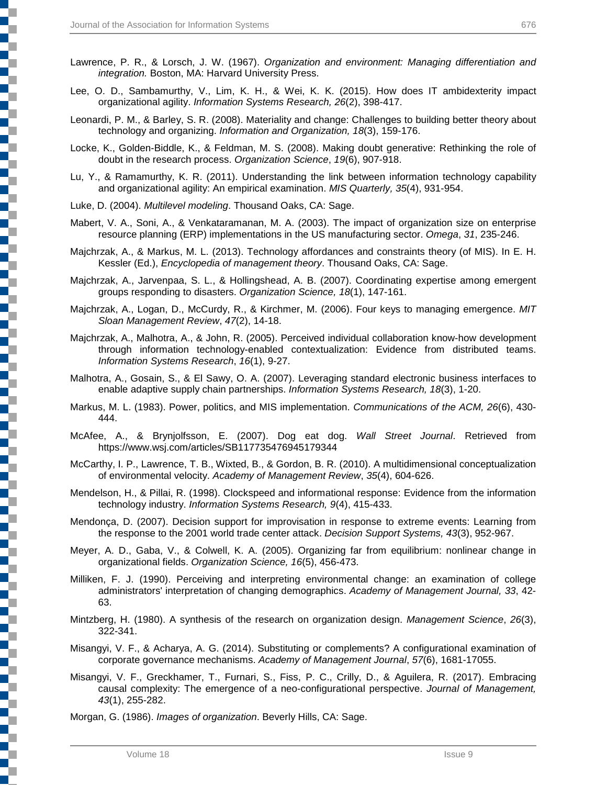- Lawrence, P. R., & Lorsch, J. W. (1967). *Organization and environment: Managing differentiation and integration.* Boston, MA: Harvard University Press.
- Lee, O. D., Sambamurthy, V., Lim, K. H., & Wei, K. K. (2015). How does IT ambidexterity impact organizational agility. *Information Systems Research, 26*(2), 398-417.
- Leonardi, P. M., & Barley, S. R. (2008). Materiality and change: Challenges to building better theory about technology and organizing. *Information and Organization, 18*(3), 159-176.
- Locke, K., Golden-Biddle, K., & Feldman, M. S. (2008). Making doubt generative: Rethinking the role of doubt in the research process. *Organization Science*, *19*(6), 907-918.
- Lu, Y., & Ramamurthy, K. R. (2011). Understanding the link between information technology capability and organizational agility: An empirical examination. *MIS Quarterly, 35*(4), 931-954.
- Luke, D. (2004). *Multilevel modeling*. Thousand Oaks, CA: Sage.
- Mabert, V. A., Soni, A., & Venkataramanan, M. A. (2003). The impact of organization size on enterprise resource planning (ERP) implementations in the US manufacturing sector. *Omega*, *31*, 235-246.
- Majchrzak, A., & Markus, M. L. (2013). Technology affordances and constraints theory (of MIS). In E. H. Kessler (Ed.), *Encyclopedia of management theory*. Thousand Oaks, CA: Sage.
- Majchrzak, A., Jarvenpaa, S. L., & Hollingshead, A. B. (2007). Coordinating expertise among emergent groups responding to disasters. *Organization Science, 18*(1), 147-161.
- Majchrzak, A., Logan, D., McCurdy, R., & Kirchmer, M. (2006). Four keys to managing emergence. *MIT Sloan Management Review*, *47*(2), 14-18.
- Majchrzak, A., Malhotra, A., & John, R. (2005). Perceived individual collaboration know-how development through information technology-enabled contextualization: Evidence from distributed teams. *Information Systems Research*, *16*(1), 9-27.
- Malhotra, A., Gosain, S., & El Sawy, O. A. (2007). Leveraging standard electronic business interfaces to enable adaptive supply chain partnerships. *Information Systems Research, 18*(3), 1-20.
- Markus, M. L. (1983). Power, politics, and MIS implementation. *Communications of the ACM, 26*(6), 430- 444.
- McAfee, A., & Brynjolfsson, E. (2007). Dog eat dog. *Wall Street Journal*. Retrieved from https://www.wsj.com/articles/SB117735476945179344
- McCarthy, I. P., Lawrence, T. B., Wixted, B., & Gordon, B. R. (2010). A multidimensional conceptualization of environmental velocity. *Academy of Management Review*, *35*(4), 604-626.
- Mendelson, H., & Pillai, R. (1998). Clockspeed and informational response: Evidence from the information technology industry. *Information Systems Research, 9*(4), 415-433.
- Mendonça, D. (2007). Decision support for improvisation in response to extreme events: Learning from the response to the 2001 world trade center attack. *Decision Support Systems, 43*(3), 952-967.
- Meyer, A. D., Gaba, V., & Colwell, K. A. (2005). Organizing far from equilibrium: nonlinear change in organizational fields. *Organization Science, 16*(5), 456-473.
- Milliken, F. J. (1990). Perceiving and interpreting environmental change: an examination of college administrators' interpretation of changing demographics. *Academy of Management Journal, 33*, 42- 63.
- Mintzberg, H. (1980). A synthesis of the research on organization design. *Management Science*, *26*(3), 322-341.
- Misangyi, V. F., & Acharya, A. G. (2014). Substituting or complements? A configurational examination of corporate governance mechanisms. *Academy of Management Journal*, *57*(6), 1681-17055.
- Misangyi, V. F., Greckhamer, T., Furnari, S., Fiss, P. C., Crilly, D., & Aguilera, R. (2017). Embracing causal complexity: The emergence of a neo-configurational perspective. *Journal of Management, 43*(1), 255-282.

Morgan, G. (1986). *Images of organization*. Beverly Hills, CA: Sage.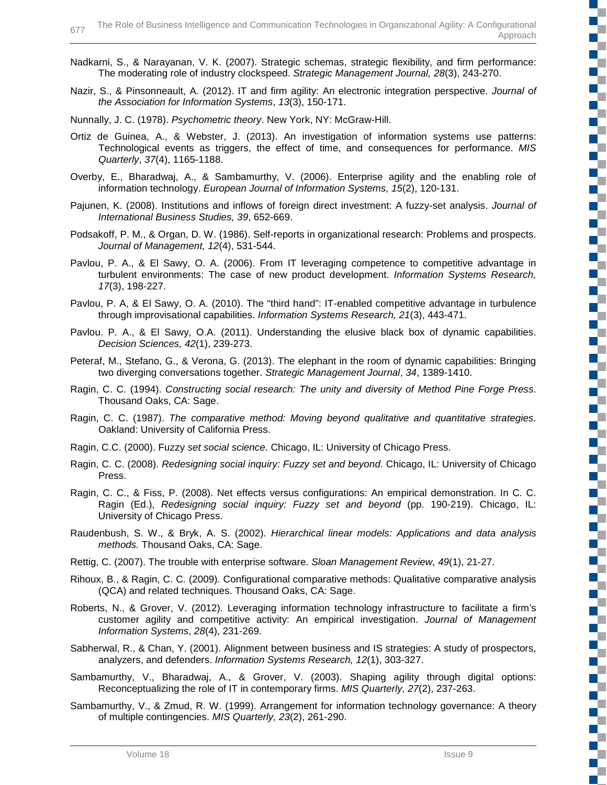- Nadkarni, S., & Narayanan, V. K. (2007). Strategic schemas, strategic flexibility, and firm performance: The moderating role of industry clockspeed. *Strategic Management Journal, 28*(3), 243-270.
- Nazir, S., & Pinsonneault, A. (2012). IT and firm agility: An electronic integration perspective. *Journal of the Association for Information Systems*, *13*(3), 150-171.
- Nunnally, J. C. (1978). *Psychometric theory*. New York, NY: McGraw-Hill.
- Ortiz de Guinea, A., & Webster, J. (2013). An investigation of information systems use patterns: Technological events as triggers, the effect of time, and consequences for performance. *MIS Quarterly*, *37*(4), 1165-1188.
- Overby, E., Bharadwaj, A., & Sambamurthy, V. (2006). Enterprise agility and the enabling role of information technology. *European Journal of Information Systems, 15*(2), 120-131.
- Pajunen, K. (2008). Institutions and inflows of foreign direct investment: A fuzzy-set analysis. *Journal of International Business Studies, 39*, 652-669.
- Podsakoff, P. M., & Organ, D. W. (1986). Self-reports in organizational research: Problems and prospects. *Journal of Management, 12*(4), 531-544.
- Pavlou, P. A., & El Sawy, O. A. (2006). From IT leveraging competence to competitive advantage in turbulent environments: The case of new product development. *Information Systems Research, 17*(3), 198-227.
- Pavlou, P. A, & El Sawy, O. A. (2010). The "third hand": IT-enabled competitive advantage in turbulence through improvisational capabilities. *Information Systems Research, 21*(3), 443-471.
- Pavlou. P. A., & El Sawy, O.A. (2011). Understanding the elusive black box of dynamic capabilities. *Decision Sciences, 42*(1), 239-273.
- Peteraf, M., Stefano, G., & Verona, G. (2013). The elephant in the room of dynamic capabilities: Bringing two diverging conversations together. *Strategic Management Journal*, *34*, 1389-1410.
- Ragin, C. C. (1994). *Constructing social research: The unity and diversity of Method Pine Forge Press*. Thousand Oaks, CA: Sage.
- Ragin, C. C. (1987). *The comparative method: Moving beyond qualitative and quantitative strategies*. Oakland: University of California Press.
- Ragin, C.C. (2000). Fuzzy *set social science*. Chicago, IL: University of Chicago Press.
- Ragin, C. C. (2008). *Redesigning social inquiry: Fuzzy set and beyond*. Chicago, IL: University of Chicago Press.
- Ragin, C. C., & Fiss, P. (2008). Net effects versus configurations: An empirical demonstration. In C. C. Ragin (Ed.), *Redesigning social inquiry: Fuzzy set and beyond* (pp. 190-219). Chicago, IL: University of Chicago Press.
- Raudenbush, S. W., & Bryk, A. S. (2002). *Hierarchical linear models: Applications and data analysis methods.* Thousand Oaks, CA: Sage.
- Rettig, C. (2007). The trouble with enterprise software. *Sloan Management Review, 49*(1), 21-27.
- Rihoux, B., & Ragin, C. C. (2009). Configurational comparative methods: Qualitative comparative analysis (QCA) and related techniques. Thousand Oaks, CA: Sage.
- Roberts, N., & Grover, V. (2012). Leveraging information technology infrastructure to facilitate a firm's customer agility and competitive activity: An empirical investigation. *Journal of Management Information Systems*, *28*(4), 231-269.
- Sabherwal, R., & Chan, Y. (2001). Alignment between business and IS strategies: A study of prospectors, analyzers, and defenders. *Information Systems Research, 12*(1), 303-327.
- Sambamurthy, V., Bharadwaj, A., & Grover, V. (2003). Shaping agility through digital options: Reconceptualizing the role of IT in contemporary firms. *MIS Quarterly, 27*(2), 237-263.
- Sambamurthy, V., & Zmud, R. W. (1999). Arrangement for information technology governance: A theory of multiple contingencies. *MIS Quarterly, 23*(2), 261-290.

L

ET.

E. E.

Г

S N.

> Г ю

ПĒ

٣Ē

**IST** 

E.  $\mathbb{R}^3$ 

c **The Co**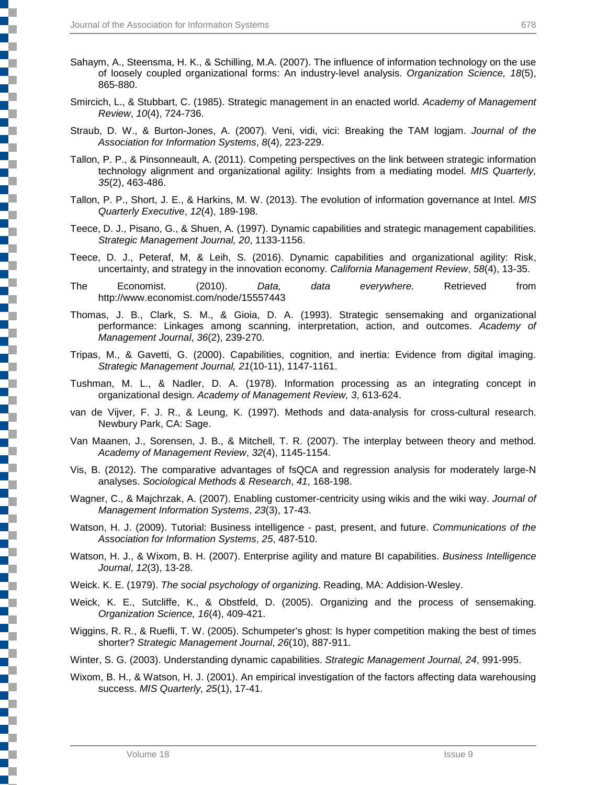- Sahaym, A., Steensma, H. K., & Schilling, M.A. (2007). The influence of information technology on the use of loosely coupled organizational forms: An industry-level analysis. *Organization Science, 18*(5), 865-880.
- Smircich, L., & Stubbart, C. (1985). Strategic management in an enacted world. *Academy of Management Review*, *10*(4), 724-736.
- Straub, D. W., & Burton-Jones, A. (2007). Veni, vidi, vici: Breaking the TAM logjam. *Journal of the Association for Information Systems*, *8*(4), 223-229.
- Tallon, P. P., & Pinsonneault, A. (2011). Competing perspectives on the link between strategic information technology alignment and organizational agility: Insights from a mediating model. *MIS Quarterly, 35*(2), 463-486.
- Tallon, P. P., Short, J. E., & Harkins, M. W. (2013). The evolution of information governance at Intel. *MIS Quarterly Executive*, *12*(4), 189-198.
- Teece, D. J., Pisano, G., & Shuen, A. (1997). Dynamic capabilities and strategic management capabilities. *Strategic Management Journal, 20*, 1133-1156.
- Teece, D. J., Peteraf, M, & Leih, S. (2016). Dynamic capabilities and organizational agility: Risk, uncertainty, and strategy in the innovation economy. *California Management Review*, *58*(4), 13-35.
- The Economist. (2010). *Data, data everywhere.* Retrieved from http://www.economist.com/node/15557443
- Thomas, J. B., Clark, S. M., & Gioia, D. A. (1993). Strategic sensemaking and organizational performance: Linkages among scanning, interpretation, action, and outcomes. *Academy of Management Journal*, *36*(2), 239-270.
- Tripas, M., & Gavetti, G. (2000). Capabilities, cognition, and inertia: Evidence from digital imaging. *Strategic Management Journal, 21*(10-11), 1147-1161.
- Tushman, M. L., & Nadler, D. A. (1978). Information processing as an integrating concept in organizational design. *Academy of Management Review, 3*, 613-624.
- van de Vijver, F. J. R., & Leung, K. (1997). Methods and data-analysis for cross-cultural research. Newbury Park, CA: Sage.
- Van Maanen, J., Sorensen, J. B., & Mitchell, T. R. (2007). The interplay between theory and method. *Academy of Management Review*, *32*(4), 1145-1154.
- Vis, B. (2012). The comparative advantages of fsQCA and regression analysis for moderately large-N analyses. *Sociological Methods & Research*, *41*, 168-198.
- Wagner, C., & Majchrzak, A. (2007). Enabling customer-centricity using wikis and the wiki way. *Journal of Management Information Systems*, *23*(3), 17-43.
- Watson, H. J. (2009). Tutorial: Business intelligence past, present, and future. *Communications of the Association for Information Systems*, *25*, 487-510.
- Watson, H. J., & Wixom, B. H. (2007). Enterprise agility and mature BI capabilities. *Business Intelligence Journal*, *12*(3), 13-28.
- Weick. K. E. (1979). *The social psychology of organizing*. Reading, MA: Addision-Wesley.
- Weick, K. E., Sutcliffe, K., & Obstfeld, D. (2005). Organizing and the process of sensemaking. *Organization Science, 16*(4), 409-421.
- Wiggins, R. R., & Ruefli, T. W. (2005). Schumpeter's ghost: Is hyper competition making the best of times shorter? *Strategic Management Journal*, *26*(10), 887-911.
- Winter, S. G. (2003). Understanding dynamic capabilities. *Strategic Management Journal, 24*, 991-995.
- Wixom, B. H., & Watson, H. J. (2001). An empirical investigation of the factors affecting data warehousing success. *MIS Quarterly, 25*(1), 17-41.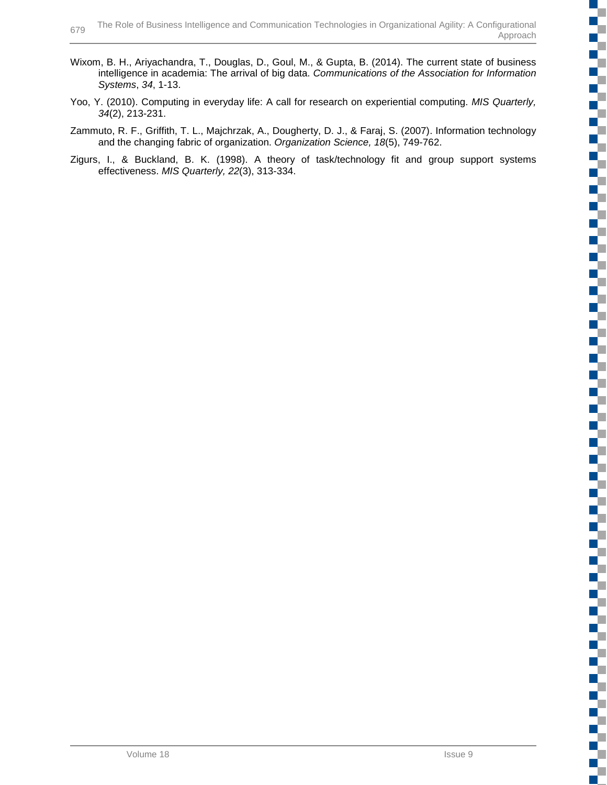- Wixom, B. H., Ariyachandra, T., Douglas, D., Goul, M., & Gupta, B. (2014). The current state of business intelligence in academia: The arrival of big data. *Communications of the Association for Information Systems*, *34*, 1-13.
- Yoo, Y. (2010). Computing in everyday life: A call for research on experiential computing. *MIS Quarterly, 34*(2), 213-231.
- Zammuto, R. F., Griffith, T. L., Majchrzak, A., Dougherty, D. J., & Faraj, S. (2007). Information technology and the changing fabric of organization. *Organization Science, 18*(5), 749-762.
- Zigurs, I., & Buckland, B. K. (1998). A theory of task/technology fit and group support systems effectiveness. *MIS Quarterly, 22*(3), 313-334.

**I**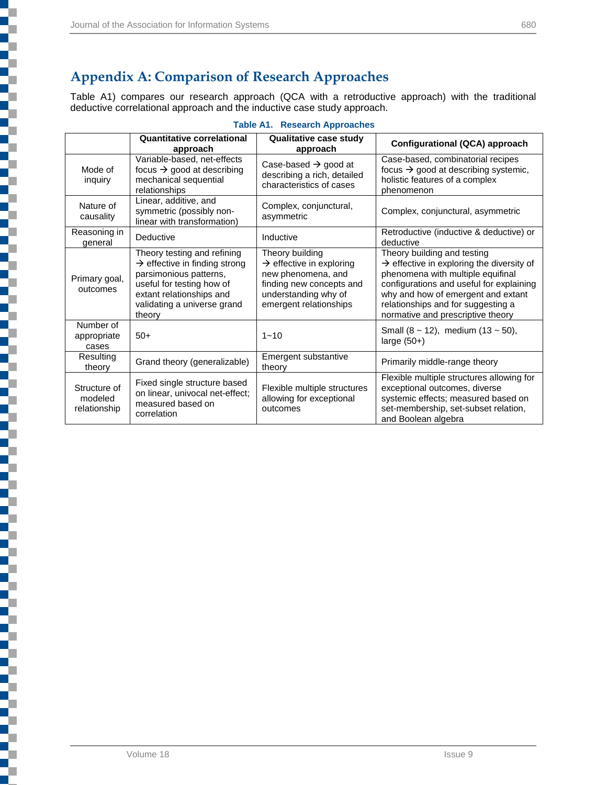Ę

l

٦

į

┋

## **Appendix A: Comparison of Research Approaches**

Table A1) compares our research approach (QCA with a retroductive approach) with the traditional deductive correlational approach and the inductive case study approach.

| <b>Table A1. Research Approaches</b> |  |
|--------------------------------------|--|
|--------------------------------------|--|

|                                         | <b>Quantitative correlational</b><br>approach                                                                                                                                                        | Qualitative case study<br>approach                                                                                                                          | Configurational (QCA) approach                                                                                                                                                                                                                                                         |
|-----------------------------------------|------------------------------------------------------------------------------------------------------------------------------------------------------------------------------------------------------|-------------------------------------------------------------------------------------------------------------------------------------------------------------|----------------------------------------------------------------------------------------------------------------------------------------------------------------------------------------------------------------------------------------------------------------------------------------|
| Mode of<br>inquiry                      | Variable-based, net-effects<br>focus $\rightarrow$ good at describing<br>mechanical sequential<br>relationships                                                                                      | Case-based $\rightarrow$ good at<br>describing a rich, detailed<br>characteristics of cases                                                                 | Case-based, combinatorial recipes<br>focus $\rightarrow$ good at describing systemic,<br>holistic features of a complex<br>phenomenon                                                                                                                                                  |
| Nature of<br>causality                  | Linear, additive, and<br>symmetric (possibly non-<br>linear with transformation)                                                                                                                     | Complex, conjunctural,<br>asymmetric                                                                                                                        | Complex, conjunctural, asymmetric                                                                                                                                                                                                                                                      |
| Reasoning in<br>general                 | Deductive                                                                                                                                                                                            | Inductive                                                                                                                                                   | Retroductive (inductive & deductive) or<br>deductive                                                                                                                                                                                                                                   |
| Primary goal,<br>outcomes               | Theory testing and refining<br>$\rightarrow$ effective in finding strong<br>parsimonious patterns,<br>useful for testing how of<br>extant relationships and<br>validating a universe grand<br>theory | Theory building<br>$\rightarrow$ effective in exploring<br>new phenomena, and<br>finding new concepts and<br>understanding why of<br>emergent relationships | Theory building and testing<br>$\rightarrow$ effective in exploring the diversity of<br>phenomena with multiple equifinal<br>configurations and useful for explaining<br>why and how of emergent and extant<br>relationships and for suggesting a<br>normative and prescriptive theory |
| Number of<br>appropriate<br>cases       | $50+$                                                                                                                                                                                                | $1 - 10$                                                                                                                                                    | Small $(8 \sim 12)$ , medium $(13 \sim 50)$ ,<br>large $(50+)$                                                                                                                                                                                                                         |
| Resulting<br>theory                     | Grand theory (generalizable)                                                                                                                                                                         | Emergent substantive<br>theory                                                                                                                              | Primarily middle-range theory                                                                                                                                                                                                                                                          |
| Structure of<br>modeled<br>relationship | Fixed single structure based<br>on linear, univocal net-effect;<br>measured based on<br>correlation                                                                                                  | Flexible multiple structures<br>allowing for exceptional<br>outcomes                                                                                        | Flexible multiple structures allowing for<br>exceptional outcomes, diverse<br>systemic effects; measured based on<br>set-membership, set-subset relation,<br>and Boolean algebra                                                                                                       |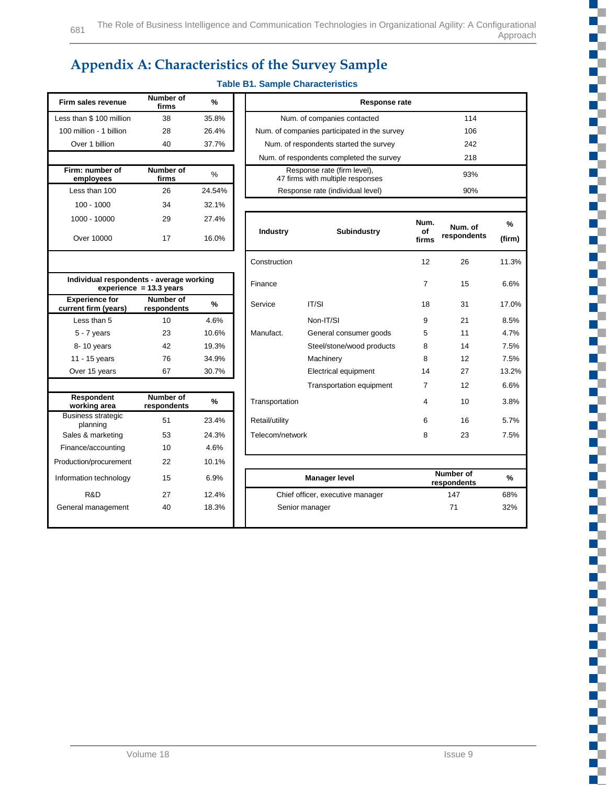# **Appendix A: Characteristics of the Survey Sample**

## **Table B1. Sample Characteristics**

General management 40 18.3% Senior manager 71 71 32%

| Firm sales revenue                            | Number of<br>firms        | %      |
|-----------------------------------------------|---------------------------|--------|
| Less than \$100 million                       | 38                        | 35.8%  |
| 100 million - 1 billion                       | 28                        | 26.4%  |
| Over 1 billion                                | 40                        | 37.7%  |
|                                               |                           |        |
| Firm: number of<br>employees                  | Number of<br>firms        | %      |
| Less than 100                                 | 26                        | 24.54% |
| $100 - 1000$                                  | 34                        | 32.1%  |
| 1000 - 10000                                  | 29                        | 27.4%  |
| Over 10000                                    | 17                        | 16.0%  |
|                                               |                           |        |
| Individual respondents - average working      | experience = $13.3$ years |        |
| <b>Experience for</b><br>current firm (years) | Number of<br>respondents  | %      |
| I ess than 5                                  | 10                        | 4.6%   |
| 5 - 7 years                                   | 23                        | 10.6%  |
|                                               |                           |        |

| Firm sales revenue                            | Number of<br>firms        | $\frac{9}{6}$ | Response rate                                    |                                                                 |                |             |        |
|-----------------------------------------------|---------------------------|---------------|--------------------------------------------------|-----------------------------------------------------------------|----------------|-------------|--------|
| Less than \$100 million                       | 38                        | 35.8%         |                                                  | Num. of companies contacted                                     | 114            |             |        |
| 100 million - 1 billion                       | 28                        | 26.4%         |                                                  | Num. of companies participated in the survey                    | 106            |             |        |
| Over 1 billion                                | 40                        | 37.7%         |                                                  | Num. of respondents started the survey                          |                | 242         |        |
|                                               |                           |               |                                                  | Num. of respondents completed the survey                        |                | 218         |        |
| Firm: number of<br>employees                  | Number of<br>firms        | $\%$          |                                                  | Response rate (firm level),<br>47 firms with multiple responses |                | 93%         |        |
| Less than 100                                 | 26                        | 24.54%        |                                                  | Response rate (individual level)                                |                | 90%         |        |
| $100 - 1000$                                  | 34                        | 32.1%         |                                                  |                                                                 |                |             |        |
| 1000 - 10000                                  | 29                        | 27.4%         | Industry                                         | <b>Subindustry</b>                                              | Num.<br>οf     | Num. of     | %      |
| Over 10000                                    | 17                        | 16.0%         |                                                  |                                                                 | firms          | respondents | (firm) |
|                                               |                           |               | Construction                                     |                                                                 | 12             | 26          | 11.3%  |
| Individual respondents - average working      | experience $= 13.3$ years |               | Finance                                          |                                                                 | $\overline{7}$ | 15          | 6.6%   |
| <b>Experience for</b><br>current firm (years) | Number of<br>respondents  | %             | Service                                          | IT/SI                                                           | 18             | 31          | 17.0%  |
| Less than 5                                   | 10                        | 4.6%          |                                                  | Non-IT/SI                                                       | 9              | 21          | 8.5%   |
| $5 - 7$ years                                 | 23                        | 10.6%         | Manufact.                                        | General consumer goods                                          | 5              | 11          | 4.7%   |
| 8-10 years                                    | 42                        | 19.3%         |                                                  | Steel/stone/wood products                                       | 8              | 14          | 7.5%   |
| 11 - 15 years                                 | 76                        | 34.9%         |                                                  | Machinery                                                       | 8              | 12          | 7.5%   |
| Over 15 years                                 | 67                        | 30.7%         |                                                  | Electrical equipment                                            | 14             | 27          | 13.2%  |
|                                               |                           |               |                                                  | <b>Transportation equipment</b>                                 | 7              | 12          | 6.6%   |
| Respondent<br>working area                    | Number of<br>respondents  | $\frac{9}{6}$ | Transportation                                   |                                                                 | 4              | 10          | 3.8%   |
| <b>Business strategic</b><br>planning         | 51                        | 23.4%         | Retail/utility                                   |                                                                 | 6              | 16          | 5.7%   |
| Sales & marketing                             | 53                        | 24.3%         | Telecom/network                                  |                                                                 | 8              | 23          | 7.5%   |
| Finance/accounting                            | 10                        | 4.6%          |                                                  |                                                                 |                |             |        |
| Production/procurement                        | 22                        | 10.1%         |                                                  |                                                                 |                |             |        |
| Information technology                        | 15                        | 6.9%          | Number of<br><b>Manager level</b><br>respondents |                                                                 |                | %           |        |
| R&D                                           | 27                        | 12.4%         |                                                  | Chief officer, executive manager                                |                | 147         | 68%    |

| I ess than 5                          | 10                       | 4.6%  |
|---------------------------------------|--------------------------|-------|
| $5 - 7$ years                         | 23                       | 10.6% |
| 8-10 years                            | 42                       | 19.3% |
| 11 - 15 years                         | 76                       | 34.9% |
| Over 15 years                         | 67                       | 30.7% |
|                                       |                          |       |
|                                       |                          |       |
| Respondent<br>working area            | Number of<br>respondents | %     |
| <b>Business strategic</b><br>planning | 51                       | 23.4% |
| Sales & marketing                     | 53                       | 24.3% |
| Finance/accounting                    | 10                       | 4.6%  |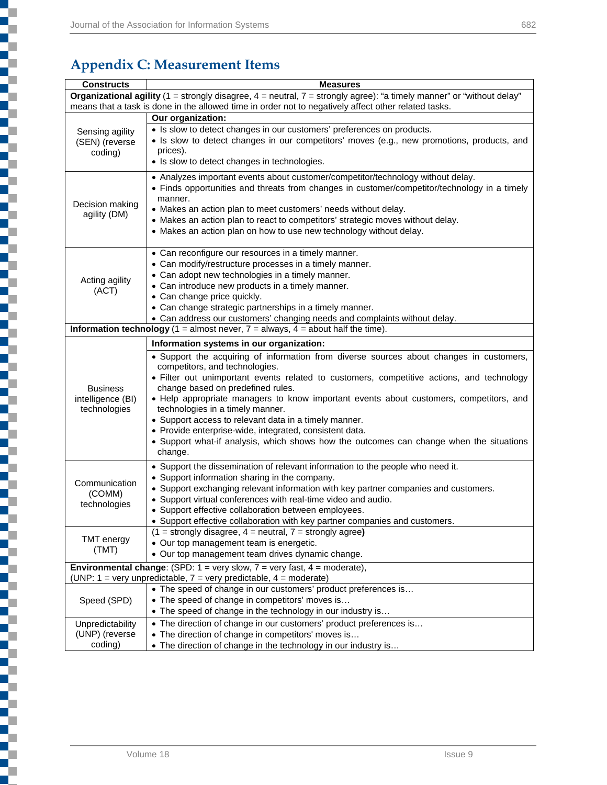₹

Ę

l

5

ĺ

i

ī

# **Appendix C: Measurement Items**

| Organizational agility (1 = strongly disagree, 4 = neutral, 7 = strongly agree): "a timely manner" or "without delay"<br>means that a task is done in the allowed time in order not to negatively affect other related tasks.<br>Our organization:<br>• Is slow to detect changes in our customers' preferences on products.<br>Sensing agility<br>• Is slow to detect changes in our competitors' moves (e.g., new promotions, products, and<br>(SEN) (reverse<br>prices).<br>coding)<br>• Is slow to detect changes in technologies.<br>• Analyzes important events about customer/competitor/technology without delay.<br>• Finds opportunities and threats from changes in customer/competitor/technology in a timely<br>manner.<br>Decision making<br>• Makes an action plan to meet customers' needs without delay.<br>agility (DM)<br>• Makes an action plan to react to competitors' strategic moves without delay.<br>• Makes an action plan on how to use new technology without delay.<br>• Can reconfigure our resources in a timely manner.<br>• Can modify/restructure processes in a timely manner.<br>• Can adopt new technologies in a timely manner.<br>Acting agility<br>• Can introduce new products in a timely manner.<br>(ACT)<br>• Can change price quickly.<br>• Can change strategic partnerships in a timely manner.<br>• Can address our customers' changing needs and complaints without delay.<br><b>Information technology</b> (1 = almost never, $7$ = always, $4$ = about half the time).<br>Information systems in our organization:<br>• Support the acquiring of information from diverse sources about changes in customers,<br>competitors, and technologies.<br>• Filter out unimportant events related to customers, competitive actions, and technology<br>change based on predefined rules.<br><b>Business</b><br>intelligence (BI)<br>• Help appropriate managers to know important events about customers, competitors, and<br>technologies in a timely manner.<br>technologies<br>• Support access to relevant data in a timely manner.<br>• Provide enterprise-wide, integrated, consistent data.<br>• Support what-if analysis, which shows how the outcomes can change when the situations<br>change.<br>• Support the dissemination of relevant information to the people who need it.<br>• Support information sharing in the company.<br>Communication<br>• Support exchanging relevant information with key partner companies and customers.<br>(COMM)<br>• Support virtual conferences with real-time video and audio.<br>technologies<br>• Support effective collaboration between employees.<br>• Support effective collaboration with key partner companies and customers. | <b>Constructs</b> | <b>Measures</b> |
|------------------------------------------------------------------------------------------------------------------------------------------------------------------------------------------------------------------------------------------------------------------------------------------------------------------------------------------------------------------------------------------------------------------------------------------------------------------------------------------------------------------------------------------------------------------------------------------------------------------------------------------------------------------------------------------------------------------------------------------------------------------------------------------------------------------------------------------------------------------------------------------------------------------------------------------------------------------------------------------------------------------------------------------------------------------------------------------------------------------------------------------------------------------------------------------------------------------------------------------------------------------------------------------------------------------------------------------------------------------------------------------------------------------------------------------------------------------------------------------------------------------------------------------------------------------------------------------------------------------------------------------------------------------------------------------------------------------------------------------------------------------------------------------------------------------------------------------------------------------------------------------------------------------------------------------------------------------------------------------------------------------------------------------------------------------------------------------------------------------------------------------------------------------------------------------------------------------------------------------------------------------------------------------------------------------------------------------------------------------------------------------------------------------------------------------------------------------------------------------------------------------------------------------------------------------------------------------------------------------------------------------------------------------------------------------------------------------------------------|-------------------|-----------------|
|                                                                                                                                                                                                                                                                                                                                                                                                                                                                                                                                                                                                                                                                                                                                                                                                                                                                                                                                                                                                                                                                                                                                                                                                                                                                                                                                                                                                                                                                                                                                                                                                                                                                                                                                                                                                                                                                                                                                                                                                                                                                                                                                                                                                                                                                                                                                                                                                                                                                                                                                                                                                                                                                                                                                    |                   |                 |
|                                                                                                                                                                                                                                                                                                                                                                                                                                                                                                                                                                                                                                                                                                                                                                                                                                                                                                                                                                                                                                                                                                                                                                                                                                                                                                                                                                                                                                                                                                                                                                                                                                                                                                                                                                                                                                                                                                                                                                                                                                                                                                                                                                                                                                                                                                                                                                                                                                                                                                                                                                                                                                                                                                                                    |                   |                 |
|                                                                                                                                                                                                                                                                                                                                                                                                                                                                                                                                                                                                                                                                                                                                                                                                                                                                                                                                                                                                                                                                                                                                                                                                                                                                                                                                                                                                                                                                                                                                                                                                                                                                                                                                                                                                                                                                                                                                                                                                                                                                                                                                                                                                                                                                                                                                                                                                                                                                                                                                                                                                                                                                                                                                    |                   |                 |
|                                                                                                                                                                                                                                                                                                                                                                                                                                                                                                                                                                                                                                                                                                                                                                                                                                                                                                                                                                                                                                                                                                                                                                                                                                                                                                                                                                                                                                                                                                                                                                                                                                                                                                                                                                                                                                                                                                                                                                                                                                                                                                                                                                                                                                                                                                                                                                                                                                                                                                                                                                                                                                                                                                                                    |                   |                 |
|                                                                                                                                                                                                                                                                                                                                                                                                                                                                                                                                                                                                                                                                                                                                                                                                                                                                                                                                                                                                                                                                                                                                                                                                                                                                                                                                                                                                                                                                                                                                                                                                                                                                                                                                                                                                                                                                                                                                                                                                                                                                                                                                                                                                                                                                                                                                                                                                                                                                                                                                                                                                                                                                                                                                    |                   |                 |
|                                                                                                                                                                                                                                                                                                                                                                                                                                                                                                                                                                                                                                                                                                                                                                                                                                                                                                                                                                                                                                                                                                                                                                                                                                                                                                                                                                                                                                                                                                                                                                                                                                                                                                                                                                                                                                                                                                                                                                                                                                                                                                                                                                                                                                                                                                                                                                                                                                                                                                                                                                                                                                                                                                                                    |                   |                 |
|                                                                                                                                                                                                                                                                                                                                                                                                                                                                                                                                                                                                                                                                                                                                                                                                                                                                                                                                                                                                                                                                                                                                                                                                                                                                                                                                                                                                                                                                                                                                                                                                                                                                                                                                                                                                                                                                                                                                                                                                                                                                                                                                                                                                                                                                                                                                                                                                                                                                                                                                                                                                                                                                                                                                    |                   |                 |
|                                                                                                                                                                                                                                                                                                                                                                                                                                                                                                                                                                                                                                                                                                                                                                                                                                                                                                                                                                                                                                                                                                                                                                                                                                                                                                                                                                                                                                                                                                                                                                                                                                                                                                                                                                                                                                                                                                                                                                                                                                                                                                                                                                                                                                                                                                                                                                                                                                                                                                                                                                                                                                                                                                                                    |                   |                 |
|                                                                                                                                                                                                                                                                                                                                                                                                                                                                                                                                                                                                                                                                                                                                                                                                                                                                                                                                                                                                                                                                                                                                                                                                                                                                                                                                                                                                                                                                                                                                                                                                                                                                                                                                                                                                                                                                                                                                                                                                                                                                                                                                                                                                                                                                                                                                                                                                                                                                                                                                                                                                                                                                                                                                    |                   |                 |
|                                                                                                                                                                                                                                                                                                                                                                                                                                                                                                                                                                                                                                                                                                                                                                                                                                                                                                                                                                                                                                                                                                                                                                                                                                                                                                                                                                                                                                                                                                                                                                                                                                                                                                                                                                                                                                                                                                                                                                                                                                                                                                                                                                                                                                                                                                                                                                                                                                                                                                                                                                                                                                                                                                                                    |                   |                 |
|                                                                                                                                                                                                                                                                                                                                                                                                                                                                                                                                                                                                                                                                                                                                                                                                                                                                                                                                                                                                                                                                                                                                                                                                                                                                                                                                                                                                                                                                                                                                                                                                                                                                                                                                                                                                                                                                                                                                                                                                                                                                                                                                                                                                                                                                                                                                                                                                                                                                                                                                                                                                                                                                                                                                    |                   |                 |
|                                                                                                                                                                                                                                                                                                                                                                                                                                                                                                                                                                                                                                                                                                                                                                                                                                                                                                                                                                                                                                                                                                                                                                                                                                                                                                                                                                                                                                                                                                                                                                                                                                                                                                                                                                                                                                                                                                                                                                                                                                                                                                                                                                                                                                                                                                                                                                                                                                                                                                                                                                                                                                                                                                                                    |                   |                 |
|                                                                                                                                                                                                                                                                                                                                                                                                                                                                                                                                                                                                                                                                                                                                                                                                                                                                                                                                                                                                                                                                                                                                                                                                                                                                                                                                                                                                                                                                                                                                                                                                                                                                                                                                                                                                                                                                                                                                                                                                                                                                                                                                                                                                                                                                                                                                                                                                                                                                                                                                                                                                                                                                                                                                    |                   |                 |
|                                                                                                                                                                                                                                                                                                                                                                                                                                                                                                                                                                                                                                                                                                                                                                                                                                                                                                                                                                                                                                                                                                                                                                                                                                                                                                                                                                                                                                                                                                                                                                                                                                                                                                                                                                                                                                                                                                                                                                                                                                                                                                                                                                                                                                                                                                                                                                                                                                                                                                                                                                                                                                                                                                                                    |                   |                 |
|                                                                                                                                                                                                                                                                                                                                                                                                                                                                                                                                                                                                                                                                                                                                                                                                                                                                                                                                                                                                                                                                                                                                                                                                                                                                                                                                                                                                                                                                                                                                                                                                                                                                                                                                                                                                                                                                                                                                                                                                                                                                                                                                                                                                                                                                                                                                                                                                                                                                                                                                                                                                                                                                                                                                    |                   |                 |
|                                                                                                                                                                                                                                                                                                                                                                                                                                                                                                                                                                                                                                                                                                                                                                                                                                                                                                                                                                                                                                                                                                                                                                                                                                                                                                                                                                                                                                                                                                                                                                                                                                                                                                                                                                                                                                                                                                                                                                                                                                                                                                                                                                                                                                                                                                                                                                                                                                                                                                                                                                                                                                                                                                                                    |                   |                 |
|                                                                                                                                                                                                                                                                                                                                                                                                                                                                                                                                                                                                                                                                                                                                                                                                                                                                                                                                                                                                                                                                                                                                                                                                                                                                                                                                                                                                                                                                                                                                                                                                                                                                                                                                                                                                                                                                                                                                                                                                                                                                                                                                                                                                                                                                                                                                                                                                                                                                                                                                                                                                                                                                                                                                    |                   |                 |
|                                                                                                                                                                                                                                                                                                                                                                                                                                                                                                                                                                                                                                                                                                                                                                                                                                                                                                                                                                                                                                                                                                                                                                                                                                                                                                                                                                                                                                                                                                                                                                                                                                                                                                                                                                                                                                                                                                                                                                                                                                                                                                                                                                                                                                                                                                                                                                                                                                                                                                                                                                                                                                                                                                                                    |                   |                 |
|                                                                                                                                                                                                                                                                                                                                                                                                                                                                                                                                                                                                                                                                                                                                                                                                                                                                                                                                                                                                                                                                                                                                                                                                                                                                                                                                                                                                                                                                                                                                                                                                                                                                                                                                                                                                                                                                                                                                                                                                                                                                                                                                                                                                                                                                                                                                                                                                                                                                                                                                                                                                                                                                                                                                    |                   |                 |
|                                                                                                                                                                                                                                                                                                                                                                                                                                                                                                                                                                                                                                                                                                                                                                                                                                                                                                                                                                                                                                                                                                                                                                                                                                                                                                                                                                                                                                                                                                                                                                                                                                                                                                                                                                                                                                                                                                                                                                                                                                                                                                                                                                                                                                                                                                                                                                                                                                                                                                                                                                                                                                                                                                                                    |                   |                 |
|                                                                                                                                                                                                                                                                                                                                                                                                                                                                                                                                                                                                                                                                                                                                                                                                                                                                                                                                                                                                                                                                                                                                                                                                                                                                                                                                                                                                                                                                                                                                                                                                                                                                                                                                                                                                                                                                                                                                                                                                                                                                                                                                                                                                                                                                                                                                                                                                                                                                                                                                                                                                                                                                                                                                    |                   |                 |
|                                                                                                                                                                                                                                                                                                                                                                                                                                                                                                                                                                                                                                                                                                                                                                                                                                                                                                                                                                                                                                                                                                                                                                                                                                                                                                                                                                                                                                                                                                                                                                                                                                                                                                                                                                                                                                                                                                                                                                                                                                                                                                                                                                                                                                                                                                                                                                                                                                                                                                                                                                                                                                                                                                                                    |                   |                 |
|                                                                                                                                                                                                                                                                                                                                                                                                                                                                                                                                                                                                                                                                                                                                                                                                                                                                                                                                                                                                                                                                                                                                                                                                                                                                                                                                                                                                                                                                                                                                                                                                                                                                                                                                                                                                                                                                                                                                                                                                                                                                                                                                                                                                                                                                                                                                                                                                                                                                                                                                                                                                                                                                                                                                    |                   |                 |
|                                                                                                                                                                                                                                                                                                                                                                                                                                                                                                                                                                                                                                                                                                                                                                                                                                                                                                                                                                                                                                                                                                                                                                                                                                                                                                                                                                                                                                                                                                                                                                                                                                                                                                                                                                                                                                                                                                                                                                                                                                                                                                                                                                                                                                                                                                                                                                                                                                                                                                                                                                                                                                                                                                                                    |                   |                 |
|                                                                                                                                                                                                                                                                                                                                                                                                                                                                                                                                                                                                                                                                                                                                                                                                                                                                                                                                                                                                                                                                                                                                                                                                                                                                                                                                                                                                                                                                                                                                                                                                                                                                                                                                                                                                                                                                                                                                                                                                                                                                                                                                                                                                                                                                                                                                                                                                                                                                                                                                                                                                                                                                                                                                    |                   |                 |
|                                                                                                                                                                                                                                                                                                                                                                                                                                                                                                                                                                                                                                                                                                                                                                                                                                                                                                                                                                                                                                                                                                                                                                                                                                                                                                                                                                                                                                                                                                                                                                                                                                                                                                                                                                                                                                                                                                                                                                                                                                                                                                                                                                                                                                                                                                                                                                                                                                                                                                                                                                                                                                                                                                                                    |                   |                 |
|                                                                                                                                                                                                                                                                                                                                                                                                                                                                                                                                                                                                                                                                                                                                                                                                                                                                                                                                                                                                                                                                                                                                                                                                                                                                                                                                                                                                                                                                                                                                                                                                                                                                                                                                                                                                                                                                                                                                                                                                                                                                                                                                                                                                                                                                                                                                                                                                                                                                                                                                                                                                                                                                                                                                    |                   |                 |
|                                                                                                                                                                                                                                                                                                                                                                                                                                                                                                                                                                                                                                                                                                                                                                                                                                                                                                                                                                                                                                                                                                                                                                                                                                                                                                                                                                                                                                                                                                                                                                                                                                                                                                                                                                                                                                                                                                                                                                                                                                                                                                                                                                                                                                                                                                                                                                                                                                                                                                                                                                                                                                                                                                                                    |                   |                 |
|                                                                                                                                                                                                                                                                                                                                                                                                                                                                                                                                                                                                                                                                                                                                                                                                                                                                                                                                                                                                                                                                                                                                                                                                                                                                                                                                                                                                                                                                                                                                                                                                                                                                                                                                                                                                                                                                                                                                                                                                                                                                                                                                                                                                                                                                                                                                                                                                                                                                                                                                                                                                                                                                                                                                    |                   |                 |
|                                                                                                                                                                                                                                                                                                                                                                                                                                                                                                                                                                                                                                                                                                                                                                                                                                                                                                                                                                                                                                                                                                                                                                                                                                                                                                                                                                                                                                                                                                                                                                                                                                                                                                                                                                                                                                                                                                                                                                                                                                                                                                                                                                                                                                                                                                                                                                                                                                                                                                                                                                                                                                                                                                                                    |                   |                 |
|                                                                                                                                                                                                                                                                                                                                                                                                                                                                                                                                                                                                                                                                                                                                                                                                                                                                                                                                                                                                                                                                                                                                                                                                                                                                                                                                                                                                                                                                                                                                                                                                                                                                                                                                                                                                                                                                                                                                                                                                                                                                                                                                                                                                                                                                                                                                                                                                                                                                                                                                                                                                                                                                                                                                    |                   |                 |
|                                                                                                                                                                                                                                                                                                                                                                                                                                                                                                                                                                                                                                                                                                                                                                                                                                                                                                                                                                                                                                                                                                                                                                                                                                                                                                                                                                                                                                                                                                                                                                                                                                                                                                                                                                                                                                                                                                                                                                                                                                                                                                                                                                                                                                                                                                                                                                                                                                                                                                                                                                                                                                                                                                                                    |                   |                 |
|                                                                                                                                                                                                                                                                                                                                                                                                                                                                                                                                                                                                                                                                                                                                                                                                                                                                                                                                                                                                                                                                                                                                                                                                                                                                                                                                                                                                                                                                                                                                                                                                                                                                                                                                                                                                                                                                                                                                                                                                                                                                                                                                                                                                                                                                                                                                                                                                                                                                                                                                                                                                                                                                                                                                    |                   |                 |
|                                                                                                                                                                                                                                                                                                                                                                                                                                                                                                                                                                                                                                                                                                                                                                                                                                                                                                                                                                                                                                                                                                                                                                                                                                                                                                                                                                                                                                                                                                                                                                                                                                                                                                                                                                                                                                                                                                                                                                                                                                                                                                                                                                                                                                                                                                                                                                                                                                                                                                                                                                                                                                                                                                                                    |                   |                 |
|                                                                                                                                                                                                                                                                                                                                                                                                                                                                                                                                                                                                                                                                                                                                                                                                                                                                                                                                                                                                                                                                                                                                                                                                                                                                                                                                                                                                                                                                                                                                                                                                                                                                                                                                                                                                                                                                                                                                                                                                                                                                                                                                                                                                                                                                                                                                                                                                                                                                                                                                                                                                                                                                                                                                    |                   |                 |
|                                                                                                                                                                                                                                                                                                                                                                                                                                                                                                                                                                                                                                                                                                                                                                                                                                                                                                                                                                                                                                                                                                                                                                                                                                                                                                                                                                                                                                                                                                                                                                                                                                                                                                                                                                                                                                                                                                                                                                                                                                                                                                                                                                                                                                                                                                                                                                                                                                                                                                                                                                                                                                                                                                                                    |                   |                 |
| $(1 =$ strongly disagree, $4 =$ neutral, $7 =$ strongly agree)                                                                                                                                                                                                                                                                                                                                                                                                                                                                                                                                                                                                                                                                                                                                                                                                                                                                                                                                                                                                                                                                                                                                                                                                                                                                                                                                                                                                                                                                                                                                                                                                                                                                                                                                                                                                                                                                                                                                                                                                                                                                                                                                                                                                                                                                                                                                                                                                                                                                                                                                                                                                                                                                     |                   |                 |
| <b>TMT</b> energy<br>• Our top management team is energetic.                                                                                                                                                                                                                                                                                                                                                                                                                                                                                                                                                                                                                                                                                                                                                                                                                                                                                                                                                                                                                                                                                                                                                                                                                                                                                                                                                                                                                                                                                                                                                                                                                                                                                                                                                                                                                                                                                                                                                                                                                                                                                                                                                                                                                                                                                                                                                                                                                                                                                                                                                                                                                                                                       |                   |                 |
| (TMT)<br>• Our top management team drives dynamic change.                                                                                                                                                                                                                                                                                                                                                                                                                                                                                                                                                                                                                                                                                                                                                                                                                                                                                                                                                                                                                                                                                                                                                                                                                                                                                                                                                                                                                                                                                                                                                                                                                                                                                                                                                                                                                                                                                                                                                                                                                                                                                                                                                                                                                                                                                                                                                                                                                                                                                                                                                                                                                                                                          |                   |                 |
| <b>Environmental change:</b> (SPD: $1 = \text{very slow}, 7 = \text{very fast}, 4 = \text{moderate}$ ),                                                                                                                                                                                                                                                                                                                                                                                                                                                                                                                                                                                                                                                                                                                                                                                                                                                                                                                                                                                                                                                                                                                                                                                                                                                                                                                                                                                                                                                                                                                                                                                                                                                                                                                                                                                                                                                                                                                                                                                                                                                                                                                                                                                                                                                                                                                                                                                                                                                                                                                                                                                                                            |                   |                 |
| (UNP: 1 = very unpredictable, $7$ = very predictable, $4$ = moderate)                                                                                                                                                                                                                                                                                                                                                                                                                                                                                                                                                                                                                                                                                                                                                                                                                                                                                                                                                                                                                                                                                                                                                                                                                                                                                                                                                                                                                                                                                                                                                                                                                                                                                                                                                                                                                                                                                                                                                                                                                                                                                                                                                                                                                                                                                                                                                                                                                                                                                                                                                                                                                                                              |                   |                 |
| • The speed of change in our customers' product preferences is                                                                                                                                                                                                                                                                                                                                                                                                                                                                                                                                                                                                                                                                                                                                                                                                                                                                                                                                                                                                                                                                                                                                                                                                                                                                                                                                                                                                                                                                                                                                                                                                                                                                                                                                                                                                                                                                                                                                                                                                                                                                                                                                                                                                                                                                                                                                                                                                                                                                                                                                                                                                                                                                     |                   |                 |
| • The speed of change in competitors' moves is<br>Speed (SPD)                                                                                                                                                                                                                                                                                                                                                                                                                                                                                                                                                                                                                                                                                                                                                                                                                                                                                                                                                                                                                                                                                                                                                                                                                                                                                                                                                                                                                                                                                                                                                                                                                                                                                                                                                                                                                                                                                                                                                                                                                                                                                                                                                                                                                                                                                                                                                                                                                                                                                                                                                                                                                                                                      |                   |                 |
| • The speed of change in the technology in our industry is                                                                                                                                                                                                                                                                                                                                                                                                                                                                                                                                                                                                                                                                                                                                                                                                                                                                                                                                                                                                                                                                                                                                                                                                                                                                                                                                                                                                                                                                                                                                                                                                                                                                                                                                                                                                                                                                                                                                                                                                                                                                                                                                                                                                                                                                                                                                                                                                                                                                                                                                                                                                                                                                         |                   |                 |
| • The direction of change in our customers' product preferences is<br>Unpredictability<br>(UNP) (reverse<br>• The direction of change in competitors' moves is                                                                                                                                                                                                                                                                                                                                                                                                                                                                                                                                                                                                                                                                                                                                                                                                                                                                                                                                                                                                                                                                                                                                                                                                                                                                                                                                                                                                                                                                                                                                                                                                                                                                                                                                                                                                                                                                                                                                                                                                                                                                                                                                                                                                                                                                                                                                                                                                                                                                                                                                                                     |                   |                 |
| coding)<br>• The direction of change in the technology in our industry is                                                                                                                                                                                                                                                                                                                                                                                                                                                                                                                                                                                                                                                                                                                                                                                                                                                                                                                                                                                                                                                                                                                                                                                                                                                                                                                                                                                                                                                                                                                                                                                                                                                                                                                                                                                                                                                                                                                                                                                                                                                                                                                                                                                                                                                                                                                                                                                                                                                                                                                                                                                                                                                          |                   |                 |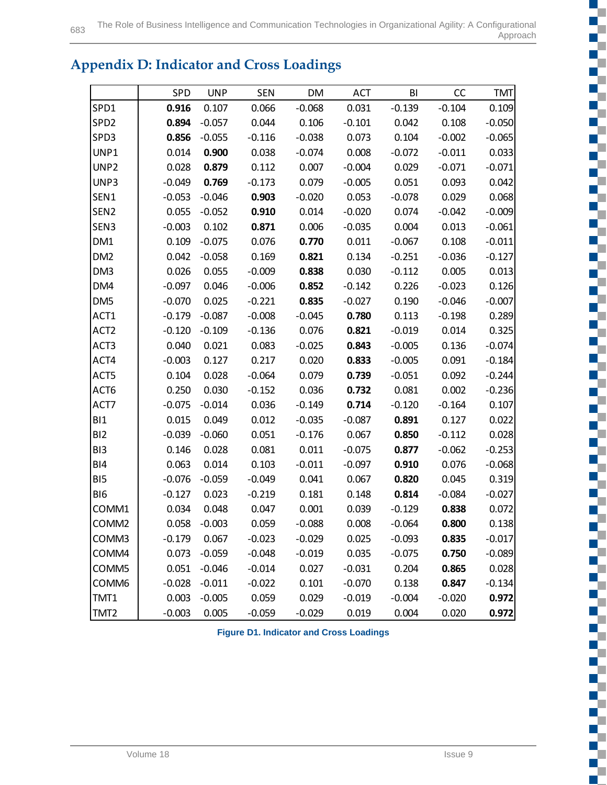# **Appendix D: Indicator and Cross Loadings**

|                   | SPD      | <b>UNP</b>      | <b>SEN</b> | DM       | <b>ACT</b> | BI       | CC       | <b>TMT</b> |
|-------------------|----------|-----------------|------------|----------|------------|----------|----------|------------|
| SPD1              | 0.916    | 0.107           | 0.066      | $-0.068$ | 0.031      | $-0.139$ | $-0.104$ | 0.109      |
| SPD <sub>2</sub>  | 0.894    | $-0.057$        | 0.044      | 0.106    | $-0.101$   | 0.042    | 0.108    | $-0.050$   |
| SPD3              | 0.856    | $-0.055$        | $-0.116$   | $-0.038$ | 0.073      | 0.104    | $-0.002$ | $-0.065$   |
| UNP1              | 0.014    | 0.900           | 0.038      | $-0.074$ | 0.008      | $-0.072$ | $-0.011$ | 0.033      |
| UNP <sub>2</sub>  | 0.028    | 0.879           | 0.112      | 0.007    | $-0.004$   | 0.029    | $-0.071$ | $-0.071$   |
| UNP3              | $-0.049$ | 0.769           | $-0.173$   | 0.079    | $-0.005$   | 0.051    | 0.093    | 0.042      |
| SEN1              | $-0.053$ | $-0.046$        | 0.903      | $-0.020$ | 0.053      | $-0.078$ | 0.029    | 0.068      |
| SEN <sub>2</sub>  | 0.055    | $-0.052$        | 0.910      | 0.014    | $-0.020$   | 0.074    | $-0.042$ | $-0.009$   |
| SEN3              | $-0.003$ | 0.102           | 0.871      | 0.006    | $-0.035$   | 0.004    | 0.013    | $-0.061$   |
| DM1               | 0.109    | $-0.075$        | 0.076      | 0.770    | 0.011      | $-0.067$ | 0.108    | $-0.011$   |
| DM <sub>2</sub>   | 0.042    | $-0.058$        | 0.169      | 0.821    | 0.134      | $-0.251$ | $-0.036$ | $-0.127$   |
| DM3               | 0.026    | 0.055           | $-0.009$   | 0.838    | 0.030      | $-0.112$ | 0.005    | 0.013      |
| DM4               | $-0.097$ | 0.046           | $-0.006$   | 0.852    | $-0.142$   | 0.226    | $-0.023$ | 0.126      |
| DM <sub>5</sub>   | $-0.070$ | 0.025           | $-0.221$   | 0.835    | $-0.027$   | 0.190    | $-0.046$ | $-0.007$   |
| ACT1              | $-0.179$ | $-0.087$        | $-0.008$   | $-0.045$ | 0.780      | 0.113    | $-0.198$ | 0.289      |
| ACT <sub>2</sub>  | $-0.120$ | $-0.109$        | $-0.136$   | 0.076    | 0.821      | $-0.019$ | 0.014    | 0.325      |
| ACT3              | 0.040    | 0.021           | 0.083      | $-0.025$ | 0.843      | $-0.005$ | 0.136    | $-0.074$   |
| ACT4              | $-0.003$ | 0.127           | 0.217      | 0.020    | 0.833      | $-0.005$ | 0.091    | $-0.184$   |
| ACT5              | 0.104    | 0.028           | $-0.064$   | 0.079    | 0.739      | $-0.051$ | 0.092    | $-0.244$   |
| ACT6              | 0.250    | 0.030           | $-0.152$   | 0.036    | 0.732      | 0.081    | 0.002    | $-0.236$   |
| ACT7              | $-0.075$ | $-0.014$        | 0.036      | $-0.149$ | 0.714      | $-0.120$ | $-0.164$ | 0.107      |
| BI1               | 0.015    | 0.049           | 0.012      | $-0.035$ | $-0.087$   | 0.891    | 0.127    | 0.022      |
| BI <sub>2</sub>   | $-0.039$ | $-0.060$        | 0.051      | $-0.176$ | 0.067      | 0.850    | $-0.112$ | 0.028      |
| BI3               | 0.146    | 0.028           | 0.081      | 0.011    | $-0.075$   | 0.877    | $-0.062$ | $-0.253$   |
| BI4               | 0.063    | 0.014           | 0.103      | $-0.011$ | $-0.097$   | 0.910    | 0.076    | $-0.068$   |
| BI5               | $-0.076$ | $-0.059$        | $-0.049$   | 0.041    | 0.067      | 0.820    | 0.045    | 0.319      |
| BI <sub>6</sub>   | $-0.127$ | 0.023           | $-0.219$   | 0.181    | 0.148      | 0.814    | $-0.084$ | $-0.027$   |
| COMM1             | 0.034    | 0.048           | 0.047      | 0.001    | 0.039      | $-0.129$ | 0.838    | 0.072      |
| COMM <sub>2</sub> |          | $0.058 - 0.003$ | 0.059      | $-0.088$ | 0.008      | $-0.064$ | 0.800    | 0.138      |
| COMM3             | $-0.179$ | 0.067           | $-0.023$   | $-0.029$ | 0.025      | $-0.093$ | 0.835    | $-0.017$   |
| COMM4             | 0.073    | $-0.059$        | $-0.048$   | $-0.019$ | 0.035      | $-0.075$ | 0.750    | $-0.089$   |
| COMM5             | 0.051    | $-0.046$        | $-0.014$   | 0.027    | $-0.031$   | 0.204    | 0.865    | 0.028      |
| COMM6             | $-0.028$ | $-0.011$        | $-0.022$   | 0.101    | $-0.070$   | 0.138    | 0.847    | $-0.134$   |
| TMT1              | 0.003    | $-0.005$        | 0.059      | 0.029    | $-0.019$   | $-0.004$ | $-0.020$ | 0.972      |
| TMT <sub>2</sub>  | $-0.003$ | 0.005           | $-0.059$   | $-0.029$ | 0.019      | 0.004    | 0.020    | 0.972      |

**Figure D1. Indicator and Cross Loadings**

m.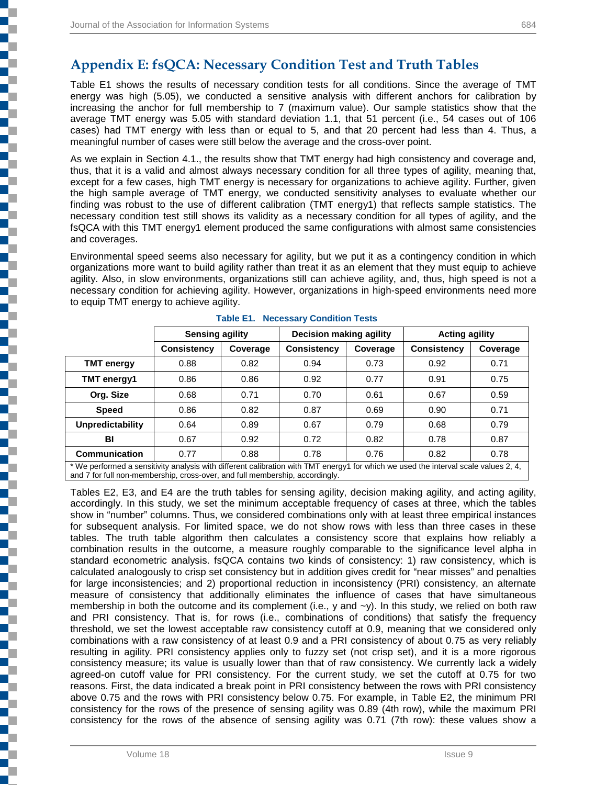Table E1 shows the results of necessary condition tests for all conditions. Since the average of TMT energy was high (5.05), we conducted a sensitive analysis with different anchors for calibration by increasing the anchor for full membership to 7 (maximum value). Our sample statistics show that the average TMT energy was 5.05 with standard deviation 1.1, that 51 percent (i.e., 54 cases out of 106 cases) had TMT energy with less than or equal to 5, and that 20 percent had less than 4. Thus, a meaningful number of cases were still below the average and the cross-over point.

As we explain in Section 4.1., the results show that TMT energy had high consistency and coverage and, thus, that it is a valid and almost always necessary condition for all three types of agility, meaning that, except for a few cases, high TMT energy is necessary for organizations to achieve agility. Further, given the high sample average of TMT energy, we conducted sensitivity analyses to evaluate whether our finding was robust to the use of different calibration (TMT energy1) that reflects sample statistics. The necessary condition test still shows its validity as a necessary condition for all types of agility, and the fsQCA with this TMT energy1 element produced the same configurations with almost same consistencies and coverages.

Environmental speed seems also necessary for agility, but we put it as a contingency condition in which organizations more want to build agility rather than treat it as an element that they must equip to achieve agility. Also, in slow environments, organizations still can achieve agility, and, thus, high speed is not a necessary condition for achieving agility. However, organizations in high-speed environments need more to equip TMT energy to achieve agility.

|                      | <b>Sensing agility</b>                                                                                                              |          | Decision making agility |          | <b>Acting agility</b> |          |  |  |  |  |
|----------------------|-------------------------------------------------------------------------------------------------------------------------------------|----------|-------------------------|----------|-----------------------|----------|--|--|--|--|
|                      | <b>Consistency</b>                                                                                                                  | Coverage | <b>Consistency</b>      | Coverage | <b>Consistency</b>    | Coverage |  |  |  |  |
| <b>TMT</b> energy    | 0.88                                                                                                                                | 0.82     | 0.94                    | 0.73     | 0.92                  | 0.71     |  |  |  |  |
| TMT energy1          | 0.86                                                                                                                                | 0.86     | 0.92                    | 0.77     | 0.91                  | 0.75     |  |  |  |  |
| Org. Size            | 0.68                                                                                                                                | 0.71     | 0.70                    | 0.61     | 0.67                  | 0.59     |  |  |  |  |
| <b>Speed</b>         | 0.86                                                                                                                                | 0.82     | 0.87                    | 0.69     | 0.90                  | 0.71     |  |  |  |  |
| Unpredictability     | 0.64                                                                                                                                | 0.89     | 0.67                    | 0.79     | 0.68                  | 0.79     |  |  |  |  |
| BI                   | 0.67                                                                                                                                | 0.92     | 0.72                    | 0.82     | 0.78                  | 0.87     |  |  |  |  |
| <b>Communication</b> | 0.77                                                                                                                                | 0.88     | 0.78                    | 0.76     | 0.82                  | 0.78     |  |  |  |  |
|                      | * We performed a sensitivity analysis with different calibration with TMT energy1 for which we used the interval scale values 2, 4, |          |                         |          |                       |          |  |  |  |  |

|  | <b>Table E1. Necessary Condition Tests</b> |  |  |
|--|--------------------------------------------|--|--|
|--|--------------------------------------------|--|--|

and 7 for full non-membership, cross-over, and full membership, accordingly.

Tables E2, E3, and E4 are the truth tables for sensing agility, decision making agility, and acting agility, accordingly. In this study, we set the minimum acceptable frequency of cases at three, which the tables show in "number" columns. Thus, we considered combinations only with at least three empirical instances for subsequent analysis. For limited space, we do not show rows with less than three cases in these tables. The truth table algorithm then calculates a consistency score that explains how reliably a combination results in the outcome, a measure roughly comparable to the significance level alpha in standard econometric analysis. fsQCA contains two kinds of consistency: 1) raw consistency, which is calculated analogously to crisp set consistency but in addition gives credit for "near misses" and penalties for large inconsistencies; and 2) proportional reduction in inconsistency (PRI) consistency, an alternate measure of consistency that additionally eliminates the influence of cases that have simultaneous membership in both the outcome and its complement (i.e., y and  $-y$ ). In this study, we relied on both raw and PRI consistency. That is, for rows (i.e., combinations of conditions) that satisfy the frequency threshold, we set the lowest acceptable raw consistency cutoff at 0.9, meaning that we considered only combinations with a raw consistency of at least 0.9 and a PRI consistency of about 0.75 as very reliably resulting in agility. PRI consistency applies only to fuzzy set (not crisp set), and it is a more rigorous consistency measure; its value is usually lower than that of raw consistency. We currently lack a widely agreed-on cutoff value for PRI consistency. For the current study, we set the cutoff at 0.75 for two reasons. First, the data indicated a break point in PRI consistency between the rows with PRI consistency above 0.75 and the rows with PRI consistency below 0.75. For example, in Table E2, the minimum PRI consistency for the rows of the presence of sensing agility was 0.89 (4th row), while the maximum PRI consistency for the rows of the absence of sensing agility was 0.71 (7th row): these values show a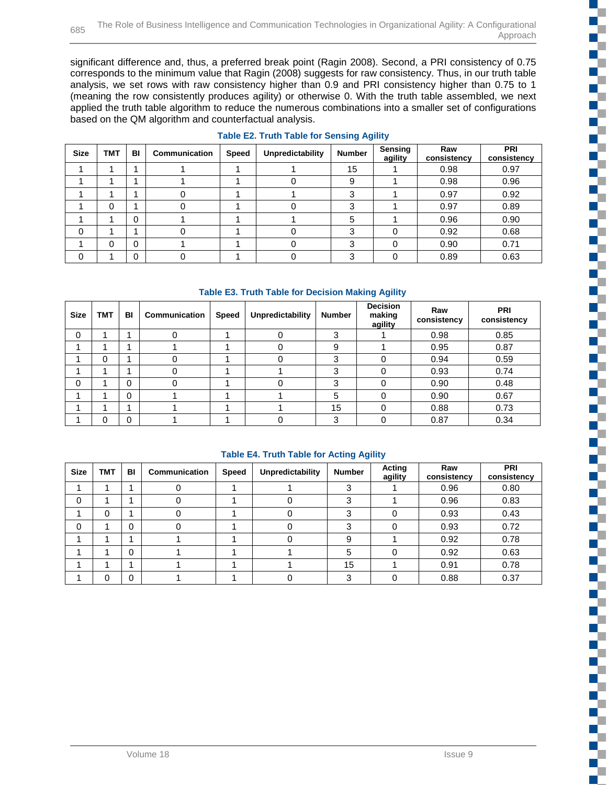significant difference and, thus, a preferred break point (Ragin 2008). Second, a PRI consistency of 0.75 corresponds to the minimum value that Ragin (2008) suggests for raw consistency. Thus, in our truth table analysis, we set rows with raw consistency higher than 0.9 and PRI consistency higher than 0.75 to 1 (meaning the row consistently produces agility) or otherwise 0. With the truth table assembled, we next applied the truth table algorithm to reduce the numerous combinations into a smaller set of configurations based on the QM algorithm and counterfactual analysis.

| <b>Size</b> | <b>TMT</b> | BI       | Communication | Speed | Unpredictability | Number | Sensing<br>agility | Raw<br>consistency | PRI<br>consistency |
|-------------|------------|----------|---------------|-------|------------------|--------|--------------------|--------------------|--------------------|
|             |            |          |               |       |                  | 15     |                    | 0.98               | 0.97               |
|             |            |          |               |       | 0                | 9      |                    | 0.98               | 0.96               |
|             |            |          |               |       |                  |        |                    | 0.97               | 0.92               |
|             | 0          |          |               |       |                  |        |                    | 0.97               | 0.89               |
|             |            | $\Omega$ |               |       |                  |        |                    | 0.96               | 0.90               |
| 0           |            |          |               |       |                  |        | ი                  | 0.92               | 0.68               |
|             | 0          | 0        |               |       |                  |        | ი                  | 0.90               | 0.71               |
| 0           |            | $\Omega$ |               |       |                  |        |                    | 0.89               | 0.63               |

#### **Table E2. Truth Table for Sensing Agility**

#### **Table E3. Truth Table for Decision Making Agility**

| <b>Size</b> | <b>TMT</b> | BI           | Communication | <b>Speed</b> | Unpredictability | <b>Number</b> | <b>Decision</b><br>making<br>agility | Raw<br>consistency | <b>PRI</b><br>consistency |
|-------------|------------|--------------|---------------|--------------|------------------|---------------|--------------------------------------|--------------------|---------------------------|
| 0           |            |              |               |              | 0                | 3             |                                      | 0.98               | 0.85                      |
|             |            |              |               |              | 0                | 9             |                                      | 0.95               | 0.87                      |
|             | 0          |              |               |              |                  | 3             |                                      | 0.94               | 0.59                      |
|             |            |              |               |              |                  | 3             |                                      | 0.93               | 0.74                      |
| $\mathbf 0$ |            | $\Omega$     |               |              |                  | 3             |                                      | 0.90               | 0.48                      |
|             |            | $\Omega$     |               |              |                  | 5             | ∩                                    | 0.90               | 0.67                      |
|             |            |              |               |              |                  | 15            |                                      | 0.88               | 0.73                      |
|             | 0          | $\mathbf{0}$ |               |              |                  | ◠             |                                      | 0.87               | 0.34                      |

#### **Table E4. Truth Table for Acting Agility**

| <b>Size</b> | <b>TMT</b> | BI | Communication | <b>Speed</b> | Unpredictability | <b>Number</b> | Acting<br>agility | Raw<br>consistency | PRI<br>consistency |
|-------------|------------|----|---------------|--------------|------------------|---------------|-------------------|--------------------|--------------------|
|             |            |    |               |              |                  | 3             |                   | 0.96               | 0.80               |
| 0           |            |    |               |              |                  | ≏             |                   | 0.96               | 0.83               |
|             | 0          |    |               |              |                  | ົ             |                   | 0.93               | 0.43               |
| 0           |            | 0  |               |              |                  | ≏             |                   | 0.93               | 0.72               |
|             |            |    |               |              |                  | 9             |                   | 0.92               | 0.78               |
|             |            | 0  |               |              |                  | 5             | $\Omega$          | 0.92               | 0.63               |
|             |            | ۸  |               |              |                  | 15            |                   | 0.91               | 0.78               |
|             | 0          | 0  |               |              |                  | з             | $\Omega$          | 0.88               | 0.37               |